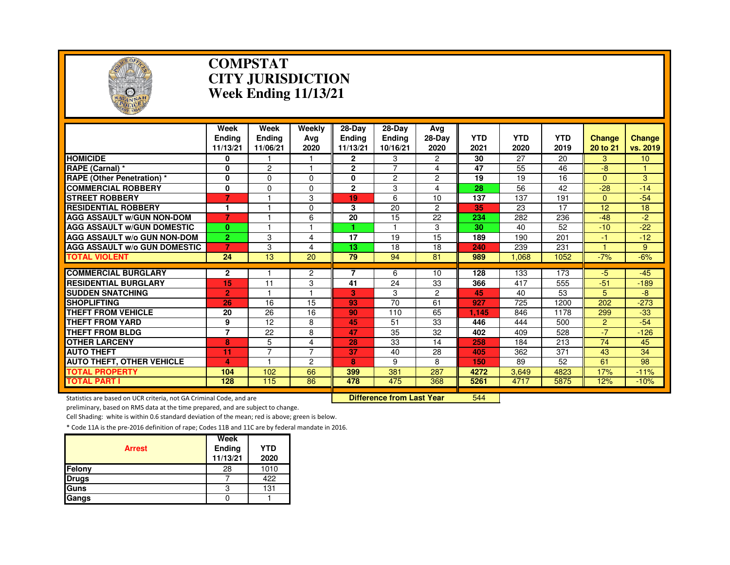

### **COMPSTAT CITY JURISDICTIONWeek Ending 11/13/21**

|                                     | Week<br><b>Endina</b><br>11/13/21 | Week<br><b>Endina</b><br>11/06/21 | Weekly<br>Avg<br>2020 | 28-Dav<br><b>Endina</b><br>11/13/21 | 28-Dav<br>Ending<br>10/16/21 | Ava<br>28-Day<br>2020 | <b>YTD</b><br>2021 | <b>YTD</b><br>2020 | <b>YTD</b><br>2019 | <b>Change</b><br>20 to 21 | <b>Change</b><br>vs. 2019 |
|-------------------------------------|-----------------------------------|-----------------------------------|-----------------------|-------------------------------------|------------------------------|-----------------------|--------------------|--------------------|--------------------|---------------------------|---------------------------|
| <b>HOMICIDE</b>                     | 0                                 |                                   |                       | 2                                   | 3                            | $\overline{2}$        | 30                 | 27                 | 20                 | 3                         | 10 <sup>°</sup>           |
| RAPE (Carnal) *                     | 0                                 | 2                                 |                       | $\overline{2}$                      | $\overline{7}$               | 4                     | 47                 | 55                 | 46                 | -8                        |                           |
| <b>RAPE (Other Penetration) *</b>   | $\bf{0}$                          | 0                                 | $\Omega$              | $\mathbf{0}$                        | 2                            | $\overline{c}$        | 19                 | 19                 | 16                 | $\Omega$                  | 3                         |
| <b>COMMERCIAL ROBBERY</b>           | $\bf{0}$                          | $\Omega$                          | $\Omega$              | $\mathbf{2}$                        | 3                            | 4                     | 28                 | 56                 | 42                 | $-28$                     | $-14$                     |
| <b>STREET ROBBERY</b>               | 7                                 |                                   | 3                     | 19                                  | 6                            | 10                    | 137                | 137                | 191                | $\mathbf{0}$              | $-54$                     |
| <b>RESIDENTIAL ROBBERY</b>          | 1                                 |                                   | $\Omega$              | 3                                   | 20                           | $\overline{c}$        | 35                 | 23                 | 17                 | 12 <sup>2</sup>           | 18                        |
| <b>AGG ASSAULT W/GUN NON-DOM</b>    | 7                                 |                                   | 6                     | $\overline{20}$                     | 15                           | 22                    | 234                | 282                | 236                | $-48$                     | $-2$                      |
| <b>AGG ASSAULT W/GUN DOMESTIC</b>   | $\mathbf{0}$                      |                                   |                       |                                     |                              | 3                     | 30                 | 40                 | 52                 | $-10$                     | $-22$                     |
| <b>AGG ASSAULT W/o GUN NON-DOM</b>  | $\overline{2}$                    | 3                                 | 4                     | 17                                  | 19                           | 15                    | 189                | 190                | 201                | $-1$                      | $-12$                     |
| <b>AGG ASSAULT w/o GUN DOMESTIC</b> |                                   | 3                                 | 4                     | 13                                  | 18                           | 18                    | 240                | 239                | 231                |                           | 9                         |
| <b>TOTAL VIOLENT</b>                | 24                                | 13                                | 20                    | 79                                  | 94                           | 81                    | 989                | 1.068              | 1052               | $-7%$                     | $-6%$                     |
| <b>COMMERCIAL BURGLARY</b>          | 2                                 |                                   | $\overline{c}$        |                                     | 6                            | 10                    | 128                | 133                | 173                | $-5$                      | $-45$                     |
| <b>RESIDENTIAL BURGLARY</b>         | 15                                | 11                                | 3                     | 41                                  | 24                           | 33                    | 366                | 417                |                    | $-51$                     | $-189$                    |
| <b>SUDDEN SNATCHING</b>             |                                   | ٠                                 |                       | 3                                   | 3                            | $\overline{2}$        | 45                 | 40                 | 555<br>53          | 5                         | -8                        |
| <b>SHOPLIFTING</b>                  | $\overline{2}$                    | 16                                | 15                    | 93                                  | 70                           |                       | 927                |                    | 1200               | 202                       | $-273$                    |
| <b>THEFT FROM VEHICLE</b>           | 26<br>20                          | 26                                | 16                    | 90                                  | 110                          | 61<br>65              | 1.145              | 725<br>846         | 1178               |                           | $-33$                     |
| <b>THEFT FROM YARD</b>              | 9                                 | 12                                | 8                     | 45                                  | 51                           | 33                    | 446                | 444                | 500                | 299<br>$\overline{2}$     | $-54$                     |
| <b>THEFT FROM BLDG</b>              | 7                                 |                                   |                       | 47                                  |                              |                       |                    |                    |                    | $-7$                      |                           |
| <b>OTHER LARCENY</b>                | 8                                 | 22<br>5                           | 8<br>4                | 28                                  | 35<br>33                     | 32<br>14              | 402<br>258         | 409<br>184         | 528<br>213         | 74                        | $-126$<br>45              |
|                                     |                                   | $\overline{7}$                    | $\overline{7}$        | 37                                  |                              |                       |                    |                    |                    |                           |                           |
| <b>AUTO THEFT</b>                   | 11                                |                                   |                       |                                     | 40                           | 28                    | 405                | 362                | 371                | 43                        | 34                        |
| <b>AUTO THEFT, OTHER VEHICLE</b>    | 4                                 |                                   | 2                     | 8                                   | 9                            | 8                     | 150                | 89                 | 52                 | 61                        | 98                        |
| <b>TOTAL PROPERTY</b>               | 104                               | 102                               | 66                    | 399                                 | 381                          | 287                   | 4272               | 3,649              | 4823               | 17%                       | $-11%$                    |
| <b>TOTAL PART I</b>                 | 128                               | 115                               | 86                    | 478                                 | 475                          | 368                   | 5261               | 4717               | 5875               | 12%                       | $-10%$                    |

Statistics are based on UCR criteria, not GA Criminal Code, and are **Difference from Last Year** 

<sup>544</sup>

preliminary, based on RMS data at the time prepared, and are subject to change.

Cell Shading: white is within 0.6 standard deviation of the mean; red is above; green is below.

|               | Week               |                    |
|---------------|--------------------|--------------------|
| <b>Arrest</b> | Ending<br>11/13/21 | <b>YTD</b><br>2020 |
| Felony        | 28                 | 1010               |
| <b>Drugs</b>  |                    | 422                |
| Guns          | 3                  | 131                |
| Gangs         |                    |                    |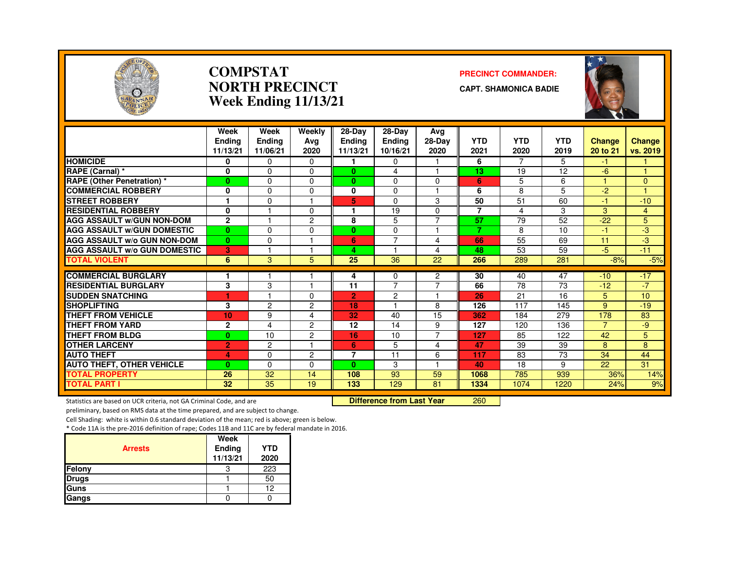

### **COMPSTATNORTH PRECINCTWeek Ending 11/13/21**

### **PRECINCT COMMANDER:**

**CAPT. SHAMONICA BADIE**



|                                     | Week<br><b>Endina</b><br>11/13/21 | Week<br><b>Ending</b><br>11/06/21 | Weekly<br>Ava<br>2020 | $28-Dav$<br>Endina<br>11/13/21 | 28-Dav<br><b>Ending</b><br>10/16/21 | Avg<br>$28-Dav$<br>2020  | <b>YTD</b><br>2021 | <b>YTD</b><br>2020 | <b>YTD</b><br>2019 | <b>Change</b><br>20 to 21 | <b>Change</b><br>vs. 2019 |
|-------------------------------------|-----------------------------------|-----------------------------------|-----------------------|--------------------------------|-------------------------------------|--------------------------|--------------------|--------------------|--------------------|---------------------------|---------------------------|
| <b>HOMICIDE</b>                     | 0                                 | $\Omega$                          | $\Omega$              |                                | $\Omega$                            |                          | 6                  | $\overline{7}$     | 5                  | $-1$                      |                           |
| RAPE (Carnal) *                     | 0                                 | $\Omega$                          | 0                     | $\mathbf{0}$                   | 4                                   |                          | 13                 | 19                 | 12                 | $-6$                      |                           |
| <b>RAPE (Other Penetration)</b> *   | $\bf{0}$                          | $\Omega$                          | 0                     | $\mathbf{0}$                   | $\Omega$                            | $\Omega$                 | 6                  | 5                  | 6                  |                           | $\Omega$                  |
| <b>COMMERCIAL ROBBERY</b>           | $\mathbf{0}$                      | $\Omega$                          | $\Omega$              | 0                              | 0                                   |                          | 6                  | 8                  | 5                  | $-2$                      |                           |
| <b>STREET ROBBERY</b>               | 1                                 | $\Omega$                          |                       | 5                              | $\Omega$                            | 3                        | 50                 | 51                 | 60                 | $-1$                      | $-10$                     |
| <b>RESIDENTIAL ROBBERY</b>          | 0                                 |                                   | 0                     |                                | 19                                  | $\Omega$                 | $\overline{7}$     | 4                  | 3                  | 3                         | $\overline{4}$            |
| <b>AGG ASSAULT w/GUN NON-DOM</b>    | $\mathbf{2}$                      |                                   | 2                     | 8                              | 5                                   | $\overline{7}$           | 57                 | 79                 | 52                 | $-22$                     | 5                         |
| <b>AGG ASSAULT w/GUN DOMESTIC</b>   | $\bf{0}$                          | $\Omega$                          | 0                     | 0                              | $\Omega$                            |                          | $\overline{7}$     | 8                  | 10                 | -1.                       | -3                        |
| <b>AGG ASSAULT w/o GUN NON-DOM</b>  | $\bf{0}$                          | $\Omega$                          |                       | 6                              | $\overline{7}$                      | 4                        | 66                 | 55                 | 69                 | 11                        | -3                        |
| <b>AGG ASSAULT w/o GUN DOMESTIC</b> | 3                                 |                                   |                       | 4                              |                                     | 4                        | 48                 | 53                 | 59                 | $-5$                      | $-11$                     |
| <b>TOTAL VIOLENT</b>                | 6                                 | 3                                 | 5                     | 25                             | 36                                  | 22                       | 266                | 289                | 281                | $-8%$                     | $-5%$                     |
| <b>COMMERCIAL BURGLARY</b>          |                                   |                                   |                       | 4                              | 0                                   | 2                        | 30                 | 40                 | 47                 | $-10$                     | $-17$                     |
| <b>RESIDENTIAL BURGLARY</b>         | 3                                 | 3                                 |                       | 11                             | $\overline{7}$                      | $\overline{7}$           | 66                 | 78                 | 73                 | $-12$                     | $-7$                      |
| <b>SUDDEN SNATCHING</b>             | ۴                                 |                                   | 0                     | $\overline{2}$                 | $\overline{2}$                      |                          | 26                 | 21                 | 16                 | 5                         | 10                        |
| <b>SHOPLIFTING</b>                  | 3                                 | $\overline{c}$                    | 2                     | 18                             | м                                   | 8                        | 126                | 117                | 145                | 9                         | $-19$                     |
| <b>THEFT FROM VEHICLE</b>           | 10                                | 9                                 | 4                     | 32                             | 40                                  | 15                       | 362                | 184                | 279                | 178                       | 83                        |
| <b>THEFT FROM YARD</b>              | $\mathbf{2}$                      | 4                                 | $\overline{c}$        | 12                             | 14                                  | 9                        | 127                | 120                | 136                | $\overline{7}$            | -9                        |
| <b>THEFT FROM BLDG</b>              | $\bf{0}$                          | 10                                | $\overline{c}$        | 16                             | 10                                  | $\overline{7}$           | 127                | 85                 | 122                | 42                        | 5                         |
| <b>OTHER LARCENY</b>                | $\overline{2}$                    | $\overline{c}$                    |                       | 6                              | 5                                   | 4                        | 47                 | 39                 | 39                 | 8                         | 8                         |
| <b>AUTO THEFT</b>                   | 4                                 | $\Omega$                          | 2                     | $\overline{7}$                 | 11                                  | 6                        | 117                | 83                 | 73                 | 34                        | 44                        |
| <b>AUTO THEFT, OTHER VEHICLE</b>    | $\bf{0}$                          | $\Omega$                          | 0                     | $\mathbf{0}$                   | 3                                   | $\overline{\phantom{0}}$ | 40                 | 18                 | 9                  | 22                        | 31                        |
| <b>TOTAL PROPERTY</b>               | 26                                | 32                                | 14                    | 108                            | 93                                  | 59                       | 1068               | 785                | 939                | 36%                       | 14%                       |
| TOTAL PART I                        | 32                                | 35                                | 19                    | 133                            | 129                                 | 81                       | 1334               | 1074               | 1220               | 24%                       | 9%                        |

Statistics are based on UCR criteria, not GA Criminal Code, and are **Difference from Last Year** 

<sup>260</sup>

preliminary, based on RMS data at the time prepared, and are subject to change.

Cell Shading: white is within 0.6 standard deviation of the mean; red is above; green is below.

|                | Week               |                    |
|----------------|--------------------|--------------------|
| <b>Arrests</b> | Ending<br>11/13/21 | <b>YTD</b><br>2020 |
| Felony         | د،                 | 223                |
| <b>Drugs</b>   |                    | 50                 |
| Guns           |                    | 12                 |
| Gangs          |                    |                    |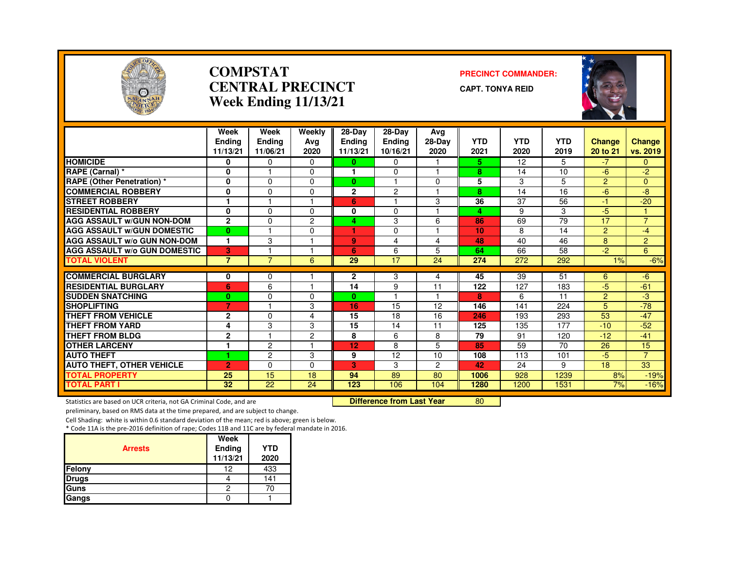

### **COMPSTATCENTRAL PRECINCTWeek Ending 11/13/21**

### **PRECINCT COMMANDER:**

**CAPT. TONYA REID**



|                                     | Week<br><b>Endina</b><br>11/13/21 | Week<br><b>Ending</b><br>11/06/21 | Weekly<br>Ava<br>2020 | 28-Day<br><b>Endina</b><br>11/13/21 | 28-Dav<br><b>Ending</b><br>10/16/21 | Avg<br>$28-Dav$<br>2020 | <b>YTD</b><br>2021 | <b>YTD</b><br>2020 | <b>YTD</b><br>2019 | <b>Change</b><br>20 to 21 | <b>Change</b><br>vs. 2019 |
|-------------------------------------|-----------------------------------|-----------------------------------|-----------------------|-------------------------------------|-------------------------------------|-------------------------|--------------------|--------------------|--------------------|---------------------------|---------------------------|
| <b>HOMICIDE</b>                     | 0                                 | 0                                 | 0                     | 0                                   | $\Omega$                            |                         | 5.                 | 12                 | 5.                 | $-7$                      | 0                         |
| RAPE (Carnal) *                     | 0                                 |                                   | $\Omega$              | 1                                   | $\Omega$                            |                         | 8                  | 14                 | 10                 | $-6$                      | $-2$                      |
| <b>RAPE (Other Penetration) *</b>   | 0                                 | $\Omega$                          | $\Omega$              | $\bf{0}$                            |                                     | $\Omega$                | 5                  | 3                  | 5                  | $\overline{2}$            | $\Omega$                  |
| <b>COMMERCIAL ROBBERY</b>           | $\mathbf{0}$                      | $\Omega$                          | $\Omega$              | $\mathbf{2}$                        | $\overline{2}$                      |                         | 8                  | 14                 | 16                 | $-6$                      | -8                        |
| <b>STREET ROBBERY</b>               | 1                                 |                                   |                       | 6                                   |                                     | 3                       | 36                 | 37                 | 56                 | $-1$                      | $-20$                     |
| <b>RESIDENTIAL ROBBERY</b>          | 0                                 | $\Omega$                          | $\Omega$              | 0                                   | $\Omega$                            |                         | 4                  | 9                  | 3                  | $-5$                      |                           |
| <b>AGG ASSAULT W/GUN NON-DOM</b>    | $\overline{2}$                    | $\Omega$                          | $\overline{c}$        | 4                                   | 3                                   | 6                       | 86                 | 69                 | 79                 | 17                        | $\overline{7}$            |
| <b>AGG ASSAULT W/GUN DOMESTIC</b>   | $\bf{0}$                          |                                   | $\Omega$              |                                     | $\Omega$                            |                         | 10                 | 8                  | 14                 | $\overline{2}$            | $-4$                      |
| <b>AGG ASSAULT W/o GUN NON-DOM</b>  | $\mathbf{1}$                      | 3                                 |                       | 9                                   | 4                                   | 4                       | 48                 | 40                 | 46                 | 8                         | $\overline{2}$            |
| <b>AGG ASSAULT W/o GUN DOMESTIC</b> | 3                                 |                                   |                       | 6                                   | 6                                   | 5                       | 64                 | 66                 | 58                 | $-2$                      | 6                         |
| <b>TOTAL VIOLENT</b>                | $\overline{7}$                    | $\overline{7}$                    | 6                     | 29                                  | 17                                  | 24                      | 274                | 272                | 292                | $1\%$                     | $-6%$                     |
| <b>COMMERCIAL BURGLARY</b>          | 0                                 | 0                                 |                       | $\mathbf{2}$                        | 3                                   | 4                       | 45                 | 39                 | 51                 | 6                         | $-6$                      |
| <b>RESIDENTIAL BURGLARY</b>         | 6                                 | 6                                 |                       | 14                                  | 9                                   | 11                      | 122                | 127                | 183                | $-5$                      | $-61$                     |
| <b>SUDDEN SNATCHING</b>             | $\bf{0}$                          | $\Omega$                          | $\Omega$              | $\mathbf{0}$                        | н                                   |                         | 8                  | 6                  | 11                 | $\overline{2}$            | -3                        |
| <b>SHOPLIFTING</b>                  | 7                                 |                                   | 3                     | 16                                  | 15                                  | 12                      | 146                | 141                | 224                | 5                         | $-78$                     |
| THEFT FROM VEHICLE                  | $\mathbf{2}$                      | $\Omega$                          | 4                     | 15                                  | 18                                  | 16                      | 246                | 193                | 293                | 53                        | $-47$                     |
| THEFT FROM YARD                     | 4                                 | 3                                 | 3                     | 15                                  | 14                                  | 11                      | 125                | 135                | 177                | $-10$                     | $-52$                     |
| THEFT FROM BLDG                     | $\mathbf{2}$                      | и                                 | $\overline{2}$        | 8                                   | 6                                   | 8                       | 79                 | 91                 | 120                | $-12$                     | $-41$                     |
| <b>OTHER LARCENY</b>                | 1                                 | $\overline{2}$                    |                       | 12                                  | 8                                   | 5                       | 85                 | 59                 | 70                 | 26                        | 15                        |
| <b>AUTO THEFT</b>                   |                                   | $\overline{c}$                    | 3                     | 9                                   | 12                                  | 10                      | 108                | 113                | 101                | $-5$                      | $\overline{7}$            |
| <b>AUTO THEFT, OTHER VEHICLE</b>    | $\overline{2}$                    | $\Omega$                          | $\Omega$              | 3                                   | 3                                   | $\overline{2}$          | 42                 | 24                 | 9                  | 18                        | 33                        |
| <b>TOTAL PROPERTY</b>               | 25                                | 15                                | 18                    | 94                                  | 89                                  | 80                      | 1006               | 928                | 1239               | 8%                        | $-19%$                    |
| <b>TOTAL PART I</b>                 | 32                                | 22                                | 24                    | 123                                 | 106                                 | 104                     | 1280               | 1200               | 1531               | 7%                        | $-16%$                    |

Statistics are based on UCR criteria, not GA Criminal Code, and are **Difference from Last Year** 

<sup>80</sup>

preliminary, based on RMS data at the time prepared, and are subject to change.

Cell Shading: white is within 0.6 standard deviation of the mean; red is above; green is below.

| <b>Arrests</b> | Week<br>Ending<br>11/13/21 | <b>YTD</b><br>2020 |
|----------------|----------------------------|--------------------|
| Felony         | 12                         | 433                |
| <b>Drugs</b>   |                            | 141                |
| Guns           |                            |                    |
| Gangs          |                            |                    |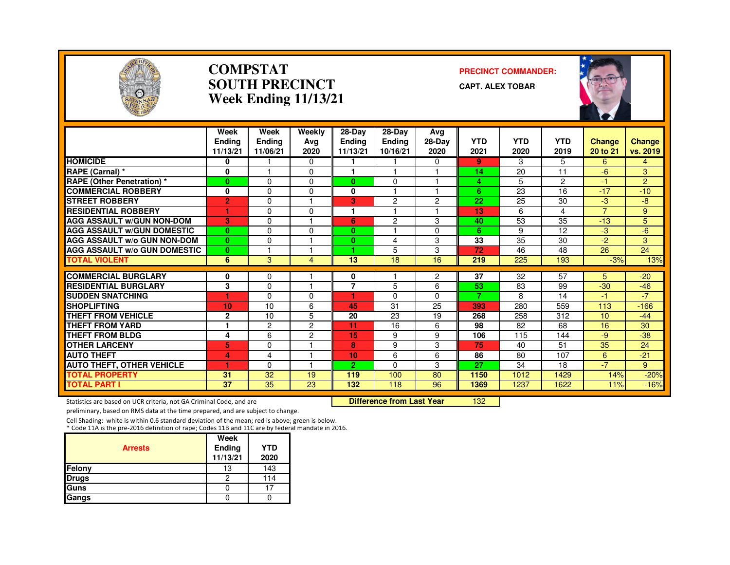

### **COMPSTATSOUTH PRECINCTWeek Ending 11/13/21**

### **PRECINCT COMMANDER:**

**CAPT. ALEX TOBAR**



|                                     | Week<br><b>Endina</b><br>11/13/21 | Week<br><b>Endina</b><br>11/06/21 | Weekly<br>Ava<br>2020 | 28-Day<br><b>Ending</b><br>11/13/21 | 28-Day<br><b>Ending</b><br>10/16/21 | Ava<br>28-Day<br>2020 | <b>YTD</b><br>2021 | <b>YTD</b><br>2020 | <b>YTD</b><br>2019 | <b>Change</b><br>20 to 21 | <b>Change</b><br>vs. 2019 |
|-------------------------------------|-----------------------------------|-----------------------------------|-----------------------|-------------------------------------|-------------------------------------|-----------------------|--------------------|--------------------|--------------------|---------------------------|---------------------------|
| <b>HOMICIDE</b>                     | 0                                 |                                   | 0                     | 1                                   |                                     | 0                     | 9                  | 3                  | 5                  | 6                         | 4                         |
| RAPE (Carnal) *                     | $\bf{0}$                          |                                   | 0                     |                                     |                                     |                       | 14                 | 20                 | 11                 | $-6$                      | 3                         |
| <b>RAPE (Other Penetration) *</b>   | $\bf{0}$                          | $\Omega$                          | $\Omega$              | $\bf{0}$                            | 0                                   | 1                     | 4                  | 5                  | $\overline{c}$     | -1                        | $\overline{2}$            |
| <b>COMMERCIAL ROBBERY</b>           | 0                                 | $\Omega$                          | 0                     | $\mathbf{0}$                        |                                     | 1                     | 6                  | 23                 | 16                 | $-17$                     | $-10$                     |
| <b>ISTREET ROBBERY</b>              | $\overline{2}$                    | 0                                 |                       | 3                                   | $\overline{c}$                      | $\overline{c}$        | 22                 | 25                 | 30                 | -3                        | -8                        |
| <b>RESIDENTIAL ROBBERY</b>          | 1                                 | $\Omega$                          | $\Omega$              |                                     |                                     | 1                     | 13                 | 6                  | 4                  | $\overline{7}$            | 9                         |
| <b>AGG ASSAULT w/GUN NON-DOM</b>    | 3                                 | $\Omega$                          |                       | 6                                   | $\overline{c}$                      | 3                     | 40                 | 53                 | 35                 | $-13$                     | 5                         |
| <b>AGG ASSAULT W/GUN DOMESTIC</b>   | $\bf{0}$                          | $\Omega$                          | 0                     | $\bf{0}$                            |                                     | 0                     | 6                  | 9                  | 12                 | -3                        | $-6$                      |
| <b>AGG ASSAULT w/o GUN NON-DOM</b>  | $\bf{0}$                          | $\Omega$                          |                       | $\mathbf{0}$                        | 4                                   | 3                     | 33                 | 35                 | 30                 | $-2$                      | 3                         |
| <b>AGG ASSAULT W/o GUN DOMESTIC</b> | $\bf{0}$                          |                                   |                       | 1.                                  | 5                                   | 3                     | 72                 | 46                 | 48                 | 26                        | 24                        |
| <b>TOTAL VIOLENT</b>                | 6                                 | 3                                 | 4                     | 13                                  | 18                                  | 16                    | 219                | 225                | 193                | $-3%$                     | 13%                       |
| <b>COMMERCIAL BURGLARY</b>          | 0                                 | 0                                 |                       | 0                                   |                                     | 2                     | 37                 | 32                 | 57                 | 5.                        | $-20$                     |
| <b>RESIDENTIAL BURGLARY</b>         | 3                                 | $\Omega$                          |                       | 7                                   | 5                                   | 6                     | 53                 | 83                 | 99                 | $-30$                     | $-46$                     |
| <b>SUDDEN SNATCHING</b>             | 1                                 | $\Omega$                          | 0                     | ٠                                   | $\Omega$                            | $\Omega$              | $\overline{7}$     | 8                  | 14                 | $-1$                      | $-7$                      |
| <b>SHOPLIFTING</b>                  | 10                                | 10                                | 6                     | 45                                  | 31                                  | 25                    | 393                | 280                | 559                | 113                       | $-166$                    |
| <b>THEFT FROM VEHICLE</b>           | $\mathbf{2}$                      | 10                                | 5                     | 20                                  | 23                                  | 19                    | 268                | 258                | 312                | 10                        | $-44$                     |
| <b>THEFT FROM YARD</b>              |                                   | 2                                 | 2                     | 11                                  | 16                                  | 6                     | 98                 | 82                 | 68                 | 16                        | 30                        |
| <b>THEFT FROM BLDG</b>              | 4                                 | 6                                 | $\overline{2}$        | 15                                  | 9                                   | 9                     | 106                | 115                | 144                | -9                        | $-38$                     |
| <b>OTHER LARCENY</b>                | 5                                 | 0                                 |                       | 8                                   | 9                                   | 3                     | 75                 | 40                 | 51                 | 35                        | 24                        |
| <b>AUTO THEFT</b>                   | 4                                 | 4                                 | н                     | 10                                  | 6                                   | 6                     | 86                 | 80                 | 107                | 6                         | $-21$                     |
| <b>AUTO THEFT, OTHER VEHICLE</b>    |                                   | $\Omega$                          | $\overline{1}$        | $\overline{2}$                      | $\Omega$                            | 3                     | 27                 | 34                 | 18                 | $-7$                      | 9                         |
| <b>TOTAL PROPERTY</b>               | 31                                | 32                                | 19                    | 119                                 | 100                                 | 80                    | 1150               | 1012               | 1429               | 14%                       | $-20%$                    |
| <b>TOTAL PART I</b>                 | 37                                | 35                                | 23                    | 132                                 | 118                                 | 96                    | 1369               | 1237               | 1622               | 11%                       | $-16%$                    |

Statistics are based on UCR criteria, not GA Criminal Code, and are **Difference from Last Year** 

<sup>132</sup>

preliminary, based on RMS data at the time prepared, and are subject to change.

Cell Shading: white is within 0.6 standard deviation of the mean; red is above; green is below. \* Code 11A is the pre-2016 definition of rape; Codes 11B and 11C are by federal mandate in 2016.

|                | Week               |                    |
|----------------|--------------------|--------------------|
| <b>Arrests</b> | Ending<br>11/13/21 | <b>YTD</b><br>2020 |
| Felony         | 13                 | 143                |
| Drugs          |                    | 114                |
| Guns           |                    |                    |
| Gangs          |                    |                    |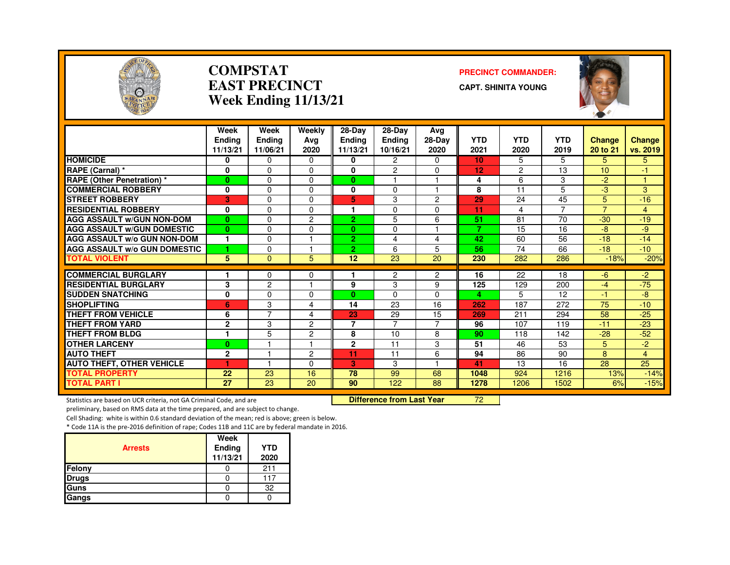

### **COMPSTATEAST PRECINCTWeek Ending 11/13/21**

### **PRECINCT COMMANDER:**

**CAPT. SHINITA YOUNG**



|                                     | Week<br><b>Ending</b><br>11/13/21 | Week<br><b>Endina</b><br>11/06/21 | Weekly<br>Ava<br>2020 | 28-Day<br>Ending<br>11/13/21 | 28-Day<br><b>Ending</b><br>10/16/21 | Avg<br>28-Day<br>2020 | <b>YTD</b><br>2021 | <b>YTD</b><br>2020 | <b>YTD</b><br>2019 | <b>Change</b><br>20 to 21 | <b>Change</b><br>vs. 2019 |
|-------------------------------------|-----------------------------------|-----------------------------------|-----------------------|------------------------------|-------------------------------------|-----------------------|--------------------|--------------------|--------------------|---------------------------|---------------------------|
| <b>HOMICIDE</b>                     | 0                                 | $\Omega$                          | 0                     | $\bf{0}$                     | $\overline{2}$                      | $\mathbf{0}$          | 10 <sup>1</sup>    | 5                  | 5.                 | 5                         | 5                         |
| RAPE (Carnal) *                     | 0                                 | $\Omega$                          | 0                     | $\bf{0}$                     | $\overline{c}$                      | $\Omega$              | 12                 | $\overline{c}$     | 13                 | 10                        | -1                        |
| <b>RAPE (Other Penetration) *</b>   | $\bf{0}$                          | $\Omega$                          | $\Omega$              | $\bf{0}$                     |                                     |                       | 4                  | 6                  | 3                  | -2                        | м                         |
| <b>COMMERCIAL ROBBERY</b>           | 0                                 | $\Omega$                          | $\Omega$              | $\bf{0}$                     | $\Omega$                            | 1                     | 8                  | 11                 | 5                  | -3                        | 3                         |
| <b>ISTREET ROBBERY</b>              | 3                                 | $\Omega$                          | $\Omega$              | 5                            | 3                                   | $\overline{2}$        | 29                 | 24                 | 45                 | 5                         | $-16$                     |
| <b>RESIDENTIAL ROBBERY</b>          | 0                                 | $\Omega$                          | 0                     | м                            | $\Omega$                            | $\Omega$              | 11                 | 4                  | 7                  | $\overline{7}$            | $\overline{4}$            |
| <b>AGG ASSAULT w/GUN NON-DOM</b>    | $\mathbf{0}$                      | $\Omega$                          | 2                     | $\overline{2}$               | 5                                   | 6                     | 51                 | 81                 | 70                 | $-30$                     | $-19$                     |
| <b>AGG ASSAULT W/GUN DOMESTIC</b>   | $\bf{0}$                          | $\Omega$                          | $\Omega$              | $\mathbf{0}$                 | $\Omega$                            |                       | $\overline{7}$     | 15                 | 16                 | -8                        | -9                        |
| <b>AGG ASSAULT w/o GUN NON-DOM</b>  | 1                                 | $\Omega$                          |                       | $\overline{2}$               | 4                                   | 4                     | 42                 | 60                 | 56                 | $-18$                     | $-14$                     |
| <b>AGG ASSAULT W/o GUN DOMESTIC</b> | 1                                 | $\Omega$                          |                       | $\overline{2}$               | 6                                   | 5                     | 56                 | $\overline{74}$    | 66                 | $-18$                     | $-10$                     |
| <b>TOTAL VIOLENT</b>                | 5                                 | $\Omega$                          | 5                     | 12                           | 23                                  | 20                    | 230                | 282                | 286                | $-18%$                    | $-20%$                    |
| <b>COMMERCIAL BURGLARY</b>          |                                   | 0                                 | 0                     |                              | 2                                   | 2                     | 16                 | 22                 | 18                 | -6                        | $-2$                      |
| <b>RESIDENTIAL BURGLARY</b>         | 3                                 | $\overline{c}$                    |                       | 9                            | 3                                   | 9                     | 125                | 129                | 200                | $-4$                      | $-75$                     |
| <b>SUDDEN SNATCHING</b>             | 0                                 | $\Omega$                          | $\Omega$              | $\mathbf{0}$                 | $\Omega$                            | $\Omega$              | 4                  | 5                  | 12                 | $-1$                      | -8                        |
| <b>SHOPLIFTING</b>                  | 6                                 | 3                                 | 4                     | 14                           | 23                                  | 16                    | 262                | 187                | 272                | 75                        | $-10$                     |
| <b>THEFT FROM VEHICLE</b>           | 6                                 | $\overline{7}$                    | 4                     | 23                           | 29                                  | 15                    | 269                | 211                | 294                | 58                        | $-25$                     |
| <b>THEFT FROM YARD</b>              | $\mathbf 2$                       | 3                                 | 2                     | $\overline{7}$               | $\overline{7}$                      | 7                     | 96                 | 107                | 119                | $-11$                     | $-23$                     |
| <b>THEFT FROM BLDG</b>              | $\blacktriangleleft$              | 5                                 | $\overline{2}$        | 8                            | 10                                  | 8                     | 90                 | 118                | 142                | $-28$                     | $-52$                     |
| <b>OTHER LARCENY</b>                | $\bf{0}$                          |                                   |                       | $\mathbf{2}$                 | 11                                  | 3                     | 51                 | 46                 | 53                 | 5                         | $-2$                      |
| <b>AUTO THEFT</b>                   | $\mathbf{2}$                      |                                   | 2                     | 11                           | 11                                  | 6                     | 94                 | 86                 | 90                 | 8                         | $\overline{4}$            |
| <b>AUTO THEFT, OTHER VEHICLE</b>    | ٠                                 |                                   | $\Omega$              | 3                            | 3                                   | н                     | 41                 | 13                 | 16                 | 28                        | 25                        |
| <b>TOTAL PROPERTY</b>               | 22                                | 23                                | 16                    | 78                           | 99                                  | 68                    | 1048               | 924                | 1216               | 13%                       | $-14%$                    |
| <b>TOTAL PART I</b>                 | 27                                | 23                                | 20                    | 90                           | 122                                 | 88                    | 1278               | 1206               | 1502               | 6%                        | $-15%$                    |

Statistics are based on UCR criteria, not GA Criminal Code, and are **Difference from Last Year** 

<sup>72</sup>

preliminary, based on RMS data at the time prepared, and are subject to change.

Cell Shading: white is within 0.6 standard deviation of the mean; red is above; green is below.

|                | Week               |                    |
|----------------|--------------------|--------------------|
| <b>Arrests</b> | Ending<br>11/13/21 | <b>YTD</b><br>2020 |
| Felony         |                    | 211                |
| Drugs          |                    | 117                |
| Guns           |                    | 32                 |
| Gangs          |                    |                    |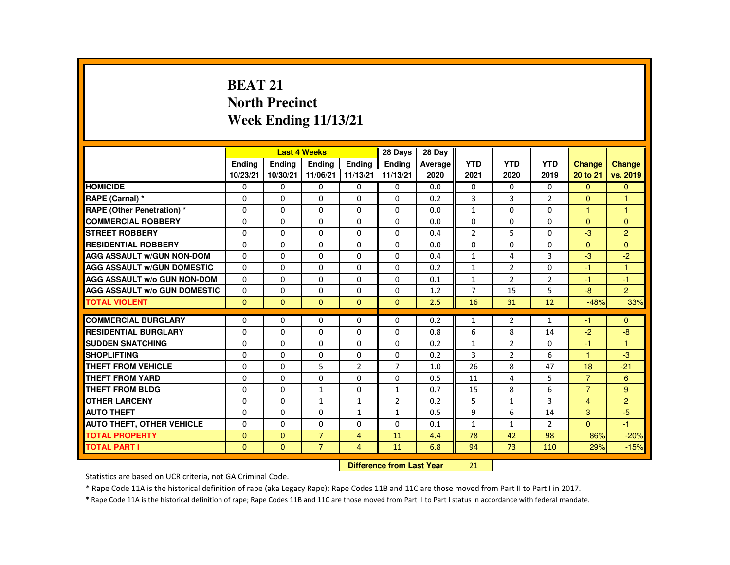# **BEAT 21 North PrecinctWeek Ending 11/13/21**

|                                     |               |               | <b>Last 4 Weeks</b> |                | 28 Days        | 28 Day  |                |                |                |                |                |
|-------------------------------------|---------------|---------------|---------------------|----------------|----------------|---------|----------------|----------------|----------------|----------------|----------------|
|                                     | <b>Endina</b> | <b>Endina</b> | <b>Endina</b>       | <b>Endina</b>  | <b>Endina</b>  | Average | <b>YTD</b>     | <b>YTD</b>     | <b>YTD</b>     | <b>Change</b>  | <b>Change</b>  |
|                                     | 10/23/21      | 10/30/21      | 11/06/21 11/13/21   |                | 11/13/21       | 2020    | 2021           | 2020           | 2019           | 20 to 21       | vs. 2019       |
| <b>HOMICIDE</b>                     | 0             | 0             | 0                   | 0              | 0              | 0.0     | 0              | 0              | $\Omega$       | $\Omega$       | $\Omega$       |
| RAPE (Carnal) *                     | $\Omega$      | $\Omega$      | $\Omega$            | $\Omega$       | $\Omega$       | 0.2     | 3              | 3              | $\overline{2}$ | $\mathbf{0}$   | $\overline{1}$ |
| RAPE (Other Penetration) *          | $\Omega$      | $\Omega$      | $\Omega$            | $\Omega$       | $\Omega$       | 0.0     | $\mathbf{1}$   | $\Omega$       | $\Omega$       | $\overline{1}$ | $\mathbf{1}$   |
| <b>COMMERCIAL ROBBERY</b>           | 0             | 0             | 0                   | 0              | 0              | 0.0     | $\Omega$       | 0              | $\Omega$       | $\Omega$       | $\mathbf{0}$   |
| <b>STREET ROBBERY</b>               | $\Omega$      | $\Omega$      | $\Omega$            | $\Omega$       | $\Omega$       | 0.4     | $\overline{2}$ | 5              | $\Omega$       | -3             | 2              |
| <b>RESIDENTIAL ROBBERY</b>          | $\Omega$      | $\Omega$      | $\Omega$            | $\Omega$       | $\Omega$       | 0.0     | $\Omega$       | $\Omega$       | $\Omega$       | $\Omega$       | $\Omega$       |
| <b>AGG ASSAULT W/GUN NON-DOM</b>    | $\Omega$      | $\Omega$      | $\Omega$            | $\Omega$       | $\Omega$       | 0.4     | $\mathbf{1}$   | 4              | 3              | $-3$           | $-2$           |
| <b>AGG ASSAULT W/GUN DOMESTIC</b>   | $\Omega$      | $\Omega$      | $\Omega$            | $\Omega$       | $\Omega$       | 0.2     | $\mathbf{1}$   | 2              | $\Omega$       | -1             | $\overline{1}$ |
| <b>AGG ASSAULT W/o GUN NON-DOM</b>  | $\Omega$      | $\Omega$      | $\Omega$            | $\Omega$       | $\Omega$       | 0.1     | $\mathbf{1}$   | $\overline{2}$ | $\overline{2}$ | $-1$           | $-1$           |
| <b>AGG ASSAULT W/o GUN DOMESTIC</b> | $\Omega$      | $\Omega$      | $\Omega$            | $\Omega$       | $\Omega$       | 1.2     | $\overline{7}$ | 15             | 5              | $-8$           | $\overline{2}$ |
| <b>TOTAL VIOLENT</b>                | $\Omega$      | $\Omega$      | $\Omega$            | $\Omega$       | $\Omega$       | 2.5     | 16             | 31             | 12             | $-48%$         | 33%            |
|                                     |               |               |                     |                |                |         |                |                |                |                |                |
| <b>COMMERCIAL BURGLARY</b>          | $\Omega$      | $\Omega$      | $\Omega$            | $\Omega$       | $\Omega$       | 0.2     | $\mathbf{1}$   | 2              | $\mathbf{1}$   | -1             | $\Omega$       |
| <b>RESIDENTIAL BURGLARY</b>         | $\Omega$      | $\Omega$      | $\Omega$            | $\Omega$       | $\Omega$       | 0.8     | 6              | 8              | 14             | $-2$           | -8             |
| <b>SUDDEN SNATCHING</b>             | $\Omega$      | $\Omega$      | $\Omega$            | $\Omega$       | $\Omega$       | 0.2     | $\mathbf{1}$   | $\overline{2}$ | $\Omega$       | $-1$           | $\mathbf{1}$   |
| <b>SHOPLIFTING</b>                  | $\Omega$      | $\Omega$      | $\Omega$            | $\Omega$       | $\Omega$       | 0.2     | 3              | $\overline{2}$ | 6              | $\mathbf{1}$   | $-3$           |
| <b>THEFT FROM VEHICLE</b>           | $\Omega$      | $\Omega$      | 5                   | $\overline{2}$ | $\overline{7}$ | 1.0     | 26             | 8              | 47             | 18             | $-21$          |
| <b>THEFT FROM YARD</b>              | $\Omega$      | $\Omega$      | $\Omega$            | $\Omega$       | $\Omega$       | 0.5     | 11             | 4              | 5              | $\overline{7}$ | 6              |
| <b>THEFT FROM BLDG</b>              | $\Omega$      | $\Omega$      | $\mathbf{1}$        | $\Omega$       | $\mathbf{1}$   | 0.7     | 15             | 8              | 6              | $\overline{7}$ | 9              |
| <b>OTHER LARCENY</b>                | $\Omega$      | $\Omega$      | $\mathbf{1}$        | $\mathbf{1}$   | $\overline{2}$ | 0.2     | 5              | $\mathbf{1}$   | 3              | $\overline{4}$ | $\overline{2}$ |
| <b>AUTO THEFT</b>                   | $\Omega$      | $\Omega$      | $\Omega$            | $\mathbf{1}$   | $\mathbf{1}$   | 0.5     | 9              | 6              | 14             | 3              | $-5$           |
| <b>AUTO THEFT, OTHER VEHICLE</b>    | $\Omega$      | $\Omega$      | $\Omega$            | $\Omega$       | $\Omega$       | 0.1     | $\mathbf{1}$   | $\mathbf{1}$   | $\overline{2}$ | $\mathbf{0}$   | $-1$           |
| <b>TOTAL PROPERTY</b>               | $\Omega$      | $\Omega$      | $\overline{7}$      | $\overline{4}$ | 11             | 4.4     | 78             | 42             | 98             | 86%            | $-20%$         |
| <b>TOTAL PART I</b>                 | $\mathbf{0}$  | $\mathbf{0}$  | $\overline{7}$      | $\overline{4}$ | 11             | 6.8     | 94             | 73             | 110            | 29%            | $-15%$         |
|                                     |               |               |                     |                |                |         |                |                |                |                |                |

#### **Difference from Last Year**<sup>21</sup>

Statistics are based on UCR criteria, not GA Criminal Code.

\* Rape Code 11A is the historical definition of rape (aka Legacy Rape); Rape Codes 11B and 11C are those moved from Part II to Part I in 2017.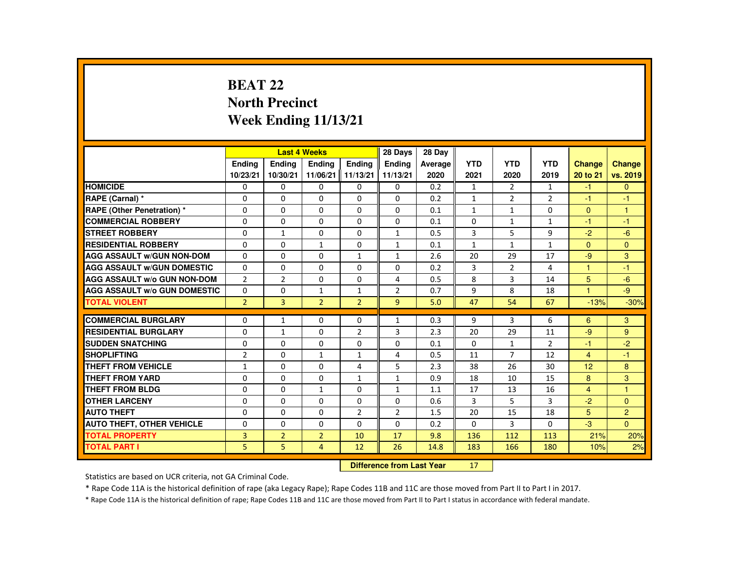# **BEAT 22 North PrecinctWeek Ending 11/13/21**

|                                     |                |                | <b>Last 4 Weeks</b> |                | 28 Days        | 28 Dav  |              |                |                |                |                |
|-------------------------------------|----------------|----------------|---------------------|----------------|----------------|---------|--------------|----------------|----------------|----------------|----------------|
|                                     | <b>Endina</b>  | <b>Endina</b>  | <b>Endina</b>       | <b>Endina</b>  | <b>Endina</b>  | Average | <b>YTD</b>   | <b>YTD</b>     | <b>YTD</b>     | <b>Change</b>  | <b>Change</b>  |
|                                     | 10/23/21       | 10/30/21       | 11/06/21            | 11/13/21       | 11/13/21       | 2020    | 2021         | 2020           | 2019           | 20 to 21       | vs. 2019       |
| <b>HOMICIDE</b>                     | 0              | 0              | 0                   | 0              | $\Omega$       | 0.2     | 1            | 2              | $\mathbf{1}$   | $-1$           | $\Omega$       |
| RAPE (Carnal) *                     | $\Omega$       | $\Omega$       | $\Omega$            | $\Omega$       | $\Omega$       | 0.2     | $\mathbf{1}$ | $\overline{2}$ | $\overline{2}$ | $-1$           | $-1$           |
| <b>RAPE (Other Penetration) *</b>   | $\Omega$       | $\Omega$       | $\Omega$            | $\Omega$       | $\Omega$       | 0.1     | $\mathbf{1}$ | $\mathbf{1}$   | $\Omega$       | $\Omega$       | $\mathbf{1}$   |
| <b>COMMERCIAL ROBBERY</b>           | 0              | $\mathbf{0}$   | 0                   | 0              | $\Omega$       | 0.1     | 0            | $\mathbf{1}$   | 1              | $-1$           | $-1$           |
| <b>STREET ROBBERY</b>               | $\Omega$       | $\mathbf{1}$   | $\Omega$            | $\Omega$       | $\mathbf{1}$   | 0.5     | 3            | 5              | 9              | $-2$           | $-6$           |
| <b>RESIDENTIAL ROBBERY</b>          | $\Omega$       | $\Omega$       | $\mathbf{1}$        | $\Omega$       | $\mathbf{1}$   | 0.1     | $\mathbf{1}$ | $\mathbf{1}$   | $\mathbf{1}$   | $\Omega$       | $\Omega$       |
| <b>AGG ASSAULT W/GUN NON-DOM</b>    | $\Omega$       | $\mathbf{0}$   | 0                   | 1              | $\mathbf{1}$   | 2.6     | 20           | 29             | 17             | $-9$           | 3              |
| <b>AGG ASSAULT W/GUN DOMESTIC</b>   | $\Omega$       | $\Omega$       | $\Omega$            | $\Omega$       | $\Omega$       | 0.2     | 3            | $\overline{2}$ | 4              | $\overline{1}$ | $-1$           |
| <b>AGG ASSAULT W/o GUN NON-DOM</b>  | $\overline{2}$ | $\overline{2}$ | $\Omega$            | $\Omega$       | 4              | 0.5     | 8            | 3              | 14             | 5              | $-6$           |
| <b>AGG ASSAULT W/o GUN DOMESTIC</b> | $\Omega$       | $\Omega$       | $\mathbf{1}$        | $\mathbf{1}$   | $\overline{2}$ | 0.7     | 9            | 8              | 18             | 1              | -9             |
| <b>TOTAL VIOLENT</b>                | $\overline{2}$ | $\overline{3}$ | $\overline{2}$      | $\overline{2}$ | $\overline{9}$ | 5.0     | 47           | 54             | 67             | $-13%$         | $-30%$         |
|                                     |                |                |                     |                |                |         |              |                |                |                |                |
| <b>COMMERCIAL BURGLARY</b>          | 0              | $\mathbf{1}$   | 0                   | 0              | $\mathbf{1}$   | 0.3     | 9            | 3              | 6              | 6              | 3              |
| <b>RESIDENTIAL BURGLARY</b>         | $\Omega$       | $\mathbf{1}$   | $\Omega$            | $\overline{2}$ | 3              | 2.3     | 20           | 29             | 11             | $-9$           | 9              |
| <b>SUDDEN SNATCHING</b>             | $\Omega$       | $\Omega$       | $\Omega$            | $\Omega$       | $\Omega$       | 0.1     | $\Omega$     | $\mathbf{1}$   | $\overline{2}$ | $-1$           | $-2$           |
| <b>SHOPLIFTING</b>                  | $\overline{2}$ | $\Omega$       | $\mathbf{1}$        | $\mathbf{1}$   | 4              | 0.5     | 11           | $\overline{7}$ | 12             | $\overline{4}$ | $-1$           |
| THEFT FROM VEHICLE                  | $\mathbf{1}$   | $\Omega$       | $\Omega$            | 4              | 5              | 2.3     | 38           | 26             | 30             | 12             | 8              |
| <b>THEFT FROM YARD</b>              | 0              | $\Omega$       | $\Omega$            | $\mathbf{1}$   | $\mathbf{1}$   | 0.9     | 18           | 10             | 15             | 8              | 3              |
| <b>THEFT FROM BLDG</b>              | $\Omega$       | $\Omega$       | $\mathbf{1}$        | $\Omega$       | $\mathbf{1}$   | 1.1     | 17           | 13             | 16             | $\overline{4}$ | $\mathbf{1}$   |
| <b>OTHER LARCENY</b>                | $\Omega$       | $\mathbf{0}$   | 0                   | $\Omega$       | 0              | 0.6     | 3            | 5              | 3              | $-2$           | $\Omega$       |
| <b>AUTO THEFT</b>                   | $\Omega$       | $\Omega$       | $\Omega$            | $\overline{2}$ | $\overline{2}$ | 1.5     | 20           | 15             | 18             | 5              | $\overline{c}$ |
| <b>AUTO THEFT, OTHER VEHICLE</b>    | $\Omega$       | $\Omega$       | $\Omega$            | $\Omega$       | $\Omega$       | 0.2     | $\Omega$     | 3              | $\Omega$       | $-3$           | $\Omega$       |
| <b>TOTAL PROPERTY</b>               | 3              | $\overline{2}$ | $\overline{2}$      | 10             | 17             | 9.8     | 136          | 112            | 113            | 21%            | 20%            |
| <b>TOTAL PART I</b>                 | 5              | 5              | $\overline{4}$      | 12             | 26             | 14.8    | 183          | 166            | 180            | 10%            | 2%             |
|                                     |                |                |                     |                |                |         |              |                |                |                |                |

#### **Difference from Last Year**<sup>17</sup>

Statistics are based on UCR criteria, not GA Criminal Code.

\* Rape Code 11A is the historical definition of rape (aka Legacy Rape); Rape Codes 11B and 11C are those moved from Part II to Part I in 2017.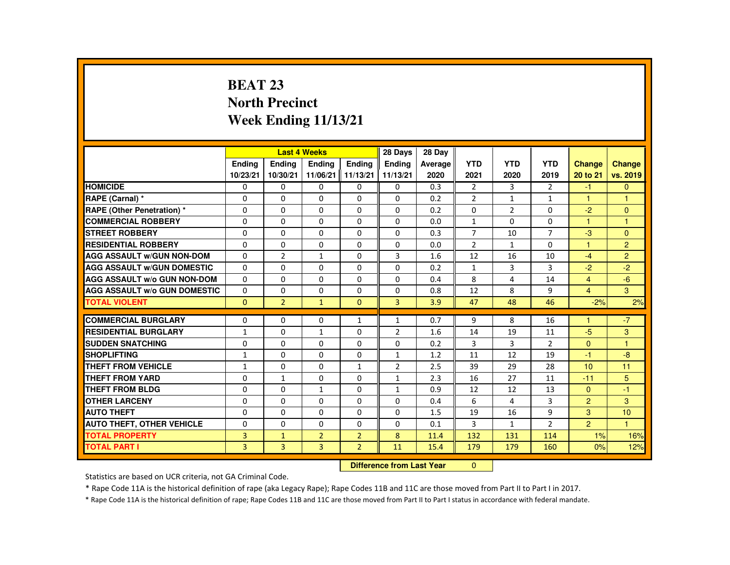# **BEAT 23 North PrecinctWeek Ending 11/13/21**

|                                     |                |                | <b>Last 4 Weeks</b> |                | 28 Days        | 28 Day  |                |                |                |                |                |
|-------------------------------------|----------------|----------------|---------------------|----------------|----------------|---------|----------------|----------------|----------------|----------------|----------------|
|                                     | <b>Endina</b>  | <b>Endina</b>  | <b>Endina</b>       | <b>Endina</b>  | <b>Endina</b>  | Average | <b>YTD</b>     | <b>YTD</b>     | <b>YTD</b>     | <b>Change</b>  | <b>Change</b>  |
|                                     | 10/23/21       | 10/30/21       | 11/06/21   11/13/21 |                | 11/13/21       | 2020    | 2021           | 2020           | 2019           | 20 to 21       | vs. 2019       |
| <b>HOMICIDE</b>                     | 0              | $\mathbf{0}$   | 0                   | $\mathbf{0}$   | 0              | 0.3     | $\overline{2}$ | 3              | $\overline{2}$ | $-1$           | $\mathbf{0}$   |
| RAPE (Carnal) *                     | $\Omega$       | $\Omega$       | $\Omega$            | $\Omega$       | $\Omega$       | 0.2     | $\overline{2}$ | $\mathbf{1}$   | $\mathbf{1}$   | $\mathbf{1}$   | 1              |
| <b>RAPE (Other Penetration) *</b>   | $\Omega$       | $\Omega$       | $\Omega$            | $\Omega$       | $\Omega$       | 0.2     | $\Omega$       | $\overline{2}$ | $\Omega$       | $-2$           | $\mathbf{0}$   |
| <b>COMMERCIAL ROBBERY</b>           | $\Omega$       | $\Omega$       | $\Omega$            | $\Omega$       | $\Omega$       | 0.0     | $\mathbf{1}$   | $\Omega$       | $\Omega$       | 1              | $\mathbf{1}$   |
| <b>STREET ROBBERY</b>               | $\Omega$       | $\Omega$       | $\Omega$            | $\Omega$       | $\Omega$       | 0.3     | $\overline{7}$ | 10             | $\overline{7}$ | $-3$           | $\Omega$       |
| <b>RESIDENTIAL ROBBERY</b>          | $\Omega$       | $\Omega$       | $\Omega$            | $\Omega$       | $\Omega$       | 0.0     | $\overline{2}$ | $\mathbf{1}$   | $\Omega$       | $\mathbf{1}$   | $\overline{c}$ |
| <b>AGG ASSAULT W/GUN NON-DOM</b>    | $\Omega$       | $\overline{2}$ | $\mathbf{1}$        | $\Omega$       | 3              | 1.6     | 12             | 16             | 10             | $-4$           | $\overline{2}$ |
| <b>AGG ASSAULT W/GUN DOMESTIC</b>   | $\Omega$       | $\Omega$       | $\Omega$            | $\Omega$       | $\Omega$       | 0.2     | $\mathbf{1}$   | 3              | 3              | $-2$           | $-2$           |
| <b>AGG ASSAULT W/o GUN NON-DOM</b>  | $\Omega$       | $\Omega$       | $\Omega$            | $\Omega$       | 0              | 0.4     | 8              | 4              | 14             | $\overline{4}$ | $-6$           |
| <b>AGG ASSAULT W/o GUN DOMESTIC</b> | $\Omega$       | $\Omega$       | $\Omega$            | $\Omega$       | $\Omega$       | 0.8     | 12             | 8              | 9              | $\overline{4}$ | 3              |
| <b>TOTAL VIOLENT</b>                | $\Omega$       | $\overline{2}$ | $\mathbf{1}$        | $\mathbf{0}$   | $\overline{3}$ | 3.9     | 47             | 48             | 46             | $-2%$          | 2%             |
| <b>COMMERCIAL BURGLARY</b>          |                |                |                     |                |                |         |                |                |                |                |                |
|                                     | $\Omega$       | $\Omega$       | $\Omega$            | $\mathbf{1}$   | $\mathbf{1}$   | 0.7     | 9              | 8              | 16             | $\overline{1}$ | $-7$           |
| <b>RESIDENTIAL BURGLARY</b>         | $\mathbf{1}$   | $\mathbf{0}$   | $\mathbf{1}$        | $\Omega$       | $\overline{2}$ | 1.6     | 14             | 19             | 11             | $-5$           | 3              |
| <b>SUDDEN SNATCHING</b>             | $\Omega$       | $\Omega$       | $\Omega$            | $\Omega$       | $\Omega$       | 0.2     | 3              | 3              | $\overline{2}$ | $\Omega$       | $\mathbf{1}$   |
| <b>SHOPLIFTING</b>                  | $\mathbf{1}$   | $\Omega$       | $\Omega$            | $\Omega$       | $\mathbf{1}$   | 1.2     | 11             | 12             | 19             | $-1$           | $-8$           |
| THEFT FROM VEHICLE                  | $\mathbf{1}$   | $\mathbf{0}$   | 0                   | $\mathbf{1}$   | $\overline{2}$ | 2.5     | 39             | 29             | 28             | 10             | 11             |
| <b>THEFT FROM YARD</b>              | $\Omega$       | $\mathbf{1}$   | $\Omega$            | $\Omega$       | $\mathbf{1}$   | 2.3     | 16             | 27             | 11             | $-11$          | 5              |
| <b>THEFT FROM BLDG</b>              | $\Omega$       | $\Omega$       | $\mathbf{1}$        | $\Omega$       | $\mathbf{1}$   | 0.9     | 12             | 12             | 13             | $\Omega$       | $-1$           |
| <b>OTHER LARCENY</b>                | $\Omega$       | $\Omega$       | $\Omega$            | $\Omega$       | $\Omega$       | 0.4     | 6              | 4              | 3              | $\overline{2}$ | 3              |
| <b>AUTO THEFT</b>                   | $\Omega$       | $\Omega$       | $\Omega$            | $\Omega$       | $\Omega$       | 1.5     | 19             | 16             | 9              | 3              | 10             |
| <b>AUTO THEFT, OTHER VEHICLE</b>    | 0              | $\mathbf{0}$   | $\Omega$            | 0              | $\Omega$       | 0.1     | 3              | $\mathbf{1}$   | $\overline{2}$ | $\overline{2}$ | $\mathbf{1}$   |
| <b>TOTAL PROPERTY</b>               | 3              | $\mathbf{1}$   | $\overline{2}$      | $\overline{2}$ | 8              | 11.4    | 132            | 131            | 114            | 1%             | 16%            |
| <b>TOTAL PART I</b>                 | $\overline{3}$ | 3              | $\overline{3}$      | $\overline{2}$ | 11             | 15.4    | 179            | 179            | 160            | 0%             | 12%            |

### **Difference from Last Year** 0

Statistics are based on UCR criteria, not GA Criminal Code.

\* Rape Code 11A is the historical definition of rape (aka Legacy Rape); Rape Codes 11B and 11C are those moved from Part II to Part I in 2017.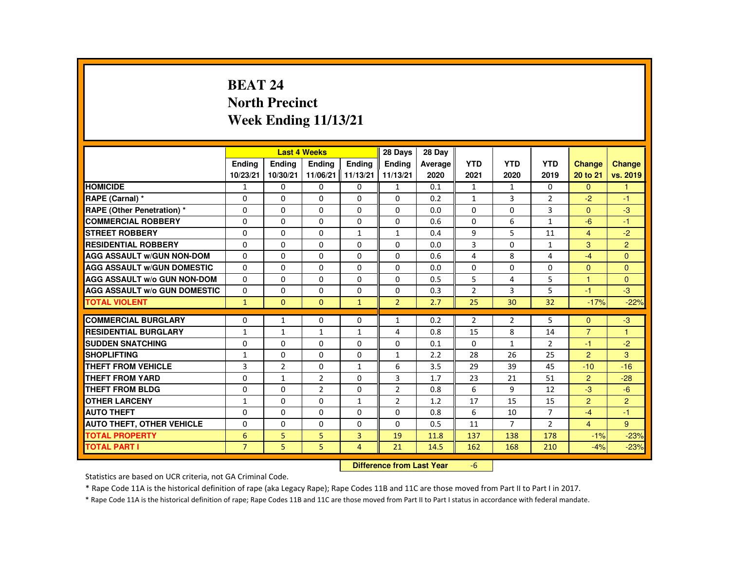# **BEAT 24 North PrecinctWeek Ending 11/13/21**

|                                     |                |                | <b>Last 4 Weeks</b> |                | 28 Days        | 28 Day  |                |                |                |                |                |
|-------------------------------------|----------------|----------------|---------------------|----------------|----------------|---------|----------------|----------------|----------------|----------------|----------------|
|                                     | <b>Endina</b>  | <b>Endina</b>  | <b>Endina</b>       | <b>Endina</b>  | <b>Endina</b>  | Average | <b>YTD</b>     | <b>YTD</b>     | <b>YTD</b>     | <b>Change</b>  | <b>Change</b>  |
|                                     | 10/23/21       | 10/30/21       | 11/06/21 11/13/21   |                | 11/13/21       | 2020    | 2021           | 2020           | 2019           | 20 to 21       | vs. 2019       |
| <b>HOMICIDE</b>                     | $\mathbf{1}$   | $\mathbf{0}$   | 0                   | 0              | $\mathbf{1}$   | 0.1     | $\mathbf{1}$   | $\mathbf{1}$   | $\mathbf{0}$   | $\mathbf{0}$   | $\mathbf{1}$   |
| RAPE (Carnal) *                     | $\Omega$       | $\Omega$       | $\Omega$            | $\Omega$       | $\Omega$       | 0.2     | $\mathbf{1}$   | 3              | $\overline{2}$ | $-2$           | $-1$           |
| <b>RAPE (Other Penetration) *</b>   | $\Omega$       | $\Omega$       | $\Omega$            | $\Omega$       | $\Omega$       | 0.0     | $\Omega$       | $\Omega$       | 3              | $\Omega$       | $-3$           |
| <b>COMMERCIAL ROBBERY</b>           | $\Omega$       | $\Omega$       | $\Omega$            | $\Omega$       | $\Omega$       | 0.6     | $\Omega$       | 6              | $\mathbf{1}$   | $-6$           | $-1$           |
| <b>STREET ROBBERY</b>               | $\Omega$       | $\Omega$       | $\Omega$            | $\mathbf{1}$   | 1              | 0.4     | 9              | 5              | 11             | $\overline{4}$ | $-2$           |
| <b>RESIDENTIAL ROBBERY</b>          | $\Omega$       | $\Omega$       | $\Omega$            | $\Omega$       | $\Omega$       | 0.0     | $\overline{3}$ | $\Omega$       | $\mathbf{1}$   | 3              | $\overline{2}$ |
| <b>AGG ASSAULT W/GUN NON-DOM</b>    | $\Omega$       | $\Omega$       | $\Omega$            | $\Omega$       | $\Omega$       | 0.6     | 4              | 8              | 4              | $-4$           | $\Omega$       |
| <b>AGG ASSAULT W/GUN DOMESTIC</b>   | $\Omega$       | $\Omega$       | $\Omega$            | $\Omega$       | $\Omega$       | 0.0     | $\Omega$       | $\Omega$       | $\Omega$       | $\Omega$       | $\Omega$       |
| <b>AGG ASSAULT W/o GUN NON-DOM</b>  | $\Omega$       | $\Omega$       | $\Omega$            | $\Omega$       | $\Omega$       | 0.5     | 5              | 4              | 5              | 1              | $\mathbf{0}$   |
| <b>AGG ASSAULT W/o GUN DOMESTIC</b> | $\Omega$       | $\mathbf{0}$   | $\Omega$            | 0              | $\Omega$       | 0.3     | $\overline{2}$ | 3              | 5              | $-1$           | $-3$           |
| <b>TOTAL VIOLENT</b>                | $\mathbf{1}$   | $\mathbf{0}$   | $\Omega$            | $\mathbf{1}$   | $\overline{2}$ | 2.7     | 25             | 30             | 32             | $-17%$         | $-22%$         |
|                                     |                |                |                     |                |                |         |                |                |                |                |                |
| <b>COMMERCIAL BURGLARY</b>          | $\Omega$       | $\mathbf{1}$   | $\Omega$            | 0              | $\mathbf{1}$   | 0.2     | $\overline{2}$ | 2              | 5              | $\Omega$       | $-3$           |
| <b>RESIDENTIAL BURGLARY</b>         | $\mathbf{1}$   | 1              | 1                   | $\mathbf{1}$   | 4              | 0.8     | 15             | 8              | 14             | $\overline{7}$ | 1              |
| <b>SUDDEN SNATCHING</b>             | $\Omega$       | $\Omega$       | $\Omega$            | $\Omega$       | $\Omega$       | 0.1     | $\Omega$       | $\mathbf{1}$   | $\overline{2}$ | $-1$           | $-2$           |
| <b>SHOPLIFTING</b>                  | $\mathbf{1}$   | $\Omega$       | $\Omega$            | $\Omega$       | $\mathbf{1}$   | 2.2     | 28             | 26             | 25             | $\overline{2}$ | 3              |
| <b>THEFT FROM VEHICLE</b>           | 3              | $\overline{2}$ | 0                   | $\mathbf{1}$   | 6              | 3.5     | 29             | 39             | 45             | $-10$          | $-16$          |
| <b>THEFT FROM YARD</b>              | $\Omega$       | $\mathbf{1}$   | $\overline{2}$      | $\Omega$       | 3              | 1.7     | 23             | 21             | 51             | $\overline{2}$ | $-28$          |
| <b>THEFT FROM BLDG</b>              | $\Omega$       | $\Omega$       | $\overline{2}$      | $\Omega$       | $\overline{2}$ | 0.8     | 6              | 9              | 12             | $-3$           | $-6$           |
| <b>OTHER LARCENY</b>                | $\mathbf{1}$   | $\mathbf{0}$   | $\Omega$            | $\mathbf{1}$   | 2              | 1.2     | 17             | 15             | 15             | $\overline{2}$ | 2              |
| <b>AUTO THEFT</b>                   | $\Omega$       | $\Omega$       | $\Omega$            | $\Omega$       | $\Omega$       | 0.8     | 6              | 10             | $\overline{7}$ | $-4$           | $-1$           |
| <b>AUTO THEFT, OTHER VEHICLE</b>    | $\Omega$       | $\Omega$       | $\Omega$            | $\Omega$       | $\Omega$       | 0.5     | 11             | $\overline{7}$ | $\overline{2}$ | $\overline{4}$ | 9              |
| <b>TOTAL PROPERTY</b>               | 6              | 5              | 5                   | $\overline{3}$ | 19             | 11.8    | 137            | 138            | 178            | $-1%$          | $-23%$         |
| <b>TOTAL PART I</b>                 | $\overline{7}$ | 5              | 5 <sup>1</sup>      | $\overline{4}$ | 21             | 14.5    | 162            | 168            | 210            | $-4%$          | $-23%$         |

#### **Difference from Last Year**-6

Statistics are based on UCR criteria, not GA Criminal Code.

\* Rape Code 11A is the historical definition of rape (aka Legacy Rape); Rape Codes 11B and 11C are those moved from Part II to Part I in 2017.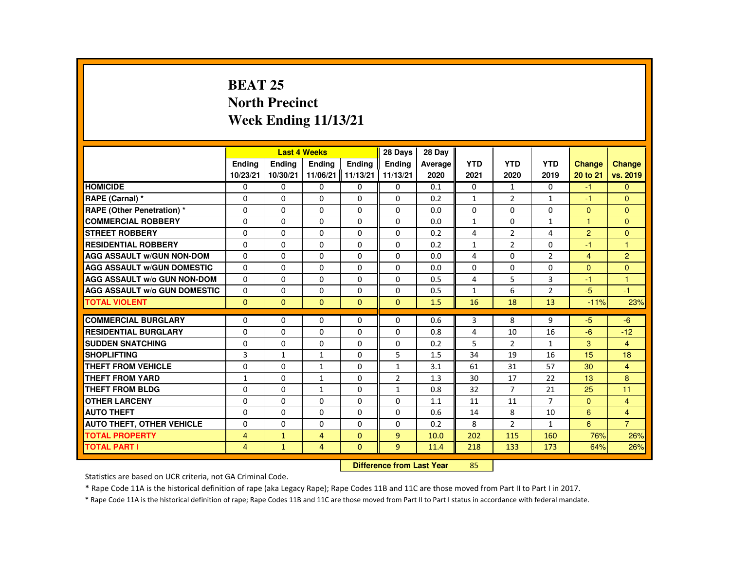# **BEAT 25 North PrecinctWeek Ending 11/13/21**

|                                     |                |               | <b>Last 4 Weeks</b> |                      | 28 Days        | 28 Dav  |              |                |                |                |                |
|-------------------------------------|----------------|---------------|---------------------|----------------------|----------------|---------|--------------|----------------|----------------|----------------|----------------|
|                                     | <b>Endina</b>  | <b>Endina</b> | <b>Endina</b>       | <b>Endina</b>        | <b>Endina</b>  | Average | <b>YTD</b>   | <b>YTD</b>     | <b>YTD</b>     | <b>Change</b>  | Change         |
|                                     | 10/23/21       | 10/30/21      | 11/06/21            | $\parallel$ 11/13/21 | 11/13/21       | 2020    | 2021         | 2020           | 2019           | 20 to 21       | vs. 2019       |
| <b>HOMICIDE</b>                     | 0              | 0             | 0                   | 0                    | 0              | 0.1     | 0            | 1              | $\mathbf{0}$   | $-1$           | $\Omega$       |
| RAPE (Carnal) *                     | $\Omega$       | $\Omega$      | $\Omega$            | $\Omega$             | $\Omega$       | 0.2     | $\mathbf{1}$ | 2              | $\mathbf{1}$   | -1             | $\mathbf{0}$   |
| RAPE (Other Penetration) *          | $\Omega$       | $\Omega$      | $\Omega$            | $\Omega$             | $\Omega$       | 0.0     | $\Omega$     | $\Omega$       | $\Omega$       | $\Omega$       | $\Omega$       |
| <b>COMMERCIAL ROBBERY</b>           | 0              | 0             | 0                   | 0                    | 0              | 0.0     | $\mathbf{1}$ | 0              | $\mathbf{1}$   | $\mathbf{1}$   | $\Omega$       |
| <b>STREET ROBBERY</b>               | $\Omega$       | $\Omega$      | $\Omega$            | $\Omega$             | $\Omega$       | 0.2     | 4            | 2              | 4              | 2              | $\Omega$       |
| <b>RESIDENTIAL ROBBERY</b>          | $\Omega$       | $\Omega$      | $\Omega$            | $\Omega$             | $\Omega$       | 0.2     | $\mathbf{1}$ | $\overline{2}$ | $\Omega$       | $-1$           | $\overline{1}$ |
| <b>AGG ASSAULT W/GUN NON-DOM</b>    | 0              | 0             | $\Omega$            | 0                    | 0              | 0.0     | 4            | 0              | $\overline{2}$ | $\overline{4}$ | $\overline{2}$ |
| <b>AGG ASSAULT W/GUN DOMESTIC</b>   | $\Omega$       | $\Omega$      | $\Omega$            | $\Omega$             | $\Omega$       | 0.0     | $\Omega$     | $\Omega$       | $\Omega$       | $\Omega$       | $\Omega$       |
| <b>AGG ASSAULT w/o GUN NON-DOM</b>  | $\Omega$       | $\Omega$      | $\Omega$            | $\Omega$             | $\Omega$       | 0.5     | 4            | 5              | 3              | $-1$           | $\overline{1}$ |
| <b>AGG ASSAULT W/o GUN DOMESTIC</b> | $\Omega$       | 0             | $\Omega$            | $\Omega$             | $\Omega$       | 0.5     | $\mathbf{1}$ | 6              | $\overline{2}$ | $-5$           | $-1$           |
| <b>TOTAL VIOLENT</b>                | $\Omega$       | $\mathbf{0}$  | $\mathbf{0}$        | $\Omega$             | $\mathbf{0}$   | 1.5     | 16           | 18             | 13             | $-11%$         | 23%            |
|                                     |                |               |                     |                      |                |         |              |                |                |                |                |
| <b>COMMERCIAL BURGLARY</b>          | 0              | 0             | 0                   | 0                    | 0              | 0.6     | 3            | 8              | 9              | $-5$           | $-6$           |
| <b>RESIDENTIAL BURGLARY</b>         | $\Omega$       | $\Omega$      | $\Omega$            | $\Omega$             | $\Omega$       | 0.8     | 4            | 10             | 16             | $-6$           | $-12$          |
| <b>SUDDEN SNATCHING</b>             | $\Omega$       | $\Omega$      | $\Omega$            | $\Omega$             | $\Omega$       | 0.2     | 5            | 2              | $\mathbf{1}$   | 3              | $\overline{4}$ |
| <b>SHOPLIFTING</b>                  | 3              | $\mathbf{1}$  | $\mathbf{1}$        | $\Omega$             | 5              | 1.5     | 34           | 19             | 16             | 15             | 18             |
| THEFT FROM VEHICLE                  | $\Omega$       | $\Omega$      | $\mathbf{1}$        | $\Omega$             | $\mathbf{1}$   | 3.1     | 61           | 31             | 57             | 30             | $\overline{4}$ |
| <b>THEFT FROM YARD</b>              | $\mathbf{1}$   | $\Omega$      | $\mathbf{1}$        | $\Omega$             | $\overline{2}$ | 1.3     | 30           | 17             | 22             | 13             | 8              |
| <b>THEFT FROM BLDG</b>              | $\Omega$       | $\Omega$      | $\mathbf{1}$        | $\Omega$             | $\mathbf{1}$   | 0.8     | 32           | $\overline{7}$ | 21             | 25             | 11             |
| <b>OTHER LARCENY</b>                | 0              | 0             | 0                   | 0                    | 0              | 1.1     | 11           | 11             | 7              | $\mathbf{0}$   | $\overline{4}$ |
| <b>AUTO THEFT</b>                   | $\Omega$       | $\Omega$      | $\Omega$            | $\Omega$             | $\Omega$       | 0.6     | 14           | 8              | 10             | 6              | $\overline{4}$ |
| <b>AUTO THEFT, OTHER VEHICLE</b>    | $\Omega$       | $\Omega$      | $\Omega$            | $\Omega$             | $\Omega$       | 0.2     | 8            | $\overline{2}$ | $\mathbf{1}$   | 6              | $\overline{7}$ |
| <b>TOTAL PROPERTY</b>               | 4              | $\mathbf{1}$  | $\overline{4}$      | $\mathbf{0}$         | 9              | 10.0    | 202          | 115            | 160            | 76%            | 26%            |
| <b>TOTAL PART I</b>                 | $\overline{4}$ | $\mathbf{1}$  | $\overline{4}$      | $\mathbf{0}$         | 9              | 11.4    | 218          | 133            | 173            | 64%            | 26%            |
|                                     |                |               |                     |                      |                |         |              |                |                |                |                |

#### **Difference from Last Year**<sup>85</sup>

Statistics are based on UCR criteria, not GA Criminal Code.

\* Rape Code 11A is the historical definition of rape (aka Legacy Rape); Rape Codes 11B and 11C are those moved from Part II to Part I in 2017.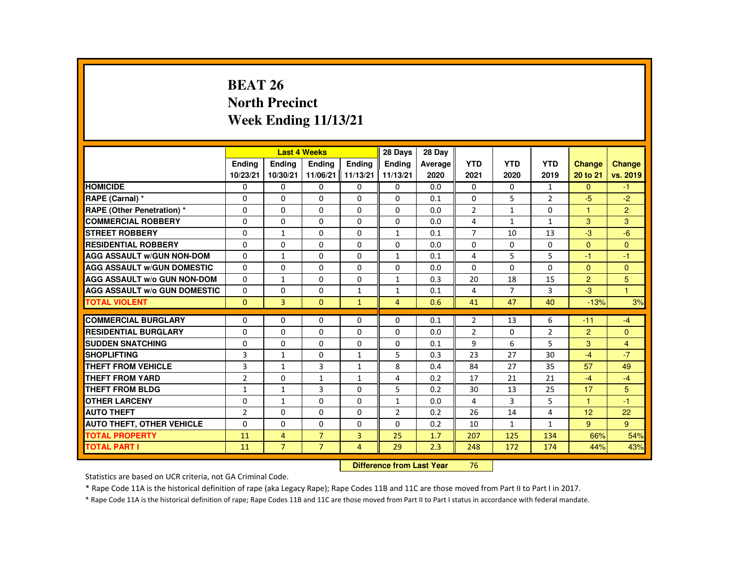## **BEAT 26 North PrecinctWeek Ending 11/13/21**

|                                     |                |                | <b>Last 4 Weeks</b> |                | 28 Days        | 28 Dav  |                |                |                |                |                |
|-------------------------------------|----------------|----------------|---------------------|----------------|----------------|---------|----------------|----------------|----------------|----------------|----------------|
|                                     | <b>Ending</b>  | <b>Ending</b>  | Ending              | Ending         | Ending         | Average | <b>YTD</b>     | <b>YTD</b>     | <b>YTD</b>     | Change         | <b>Change</b>  |
|                                     | 10/23/21       | 10/30/21       | 11/06/21 11/13/21   |                | 11/13/21       | 2020    | 2021           | 2020           | 2019           | 20 to 21       | vs. 2019       |
| <b>HOMICIDE</b>                     | $\Omega$       | $\mathbf{0}$   | 0                   | 0              | 0              | 0.0     | $\mathbf{0}$   | 0              | $\mathbf{1}$   | $\mathbf{0}$   | $-1$           |
| RAPE (Carnal) *                     | $\Omega$       | $\Omega$       | $\Omega$            | $\Omega$       | $\Omega$       | 0.1     | $\Omega$       | 5              | $\overline{2}$ | $-5$           | $-2$           |
| <b>RAPE (Other Penetration) *</b>   | $\Omega$       | $\Omega$       | $\Omega$            | $\Omega$       | $\Omega$       | 0.0     | $\overline{2}$ | $\mathbf{1}$   | $\Omega$       | $\mathbf{1}$   | $\overline{2}$ |
| <b>COMMERCIAL ROBBERY</b>           | 0              | $\mathbf{0}$   | 0                   | 0              | 0              | 0.0     | 4              | $\mathbf{1}$   | $\mathbf{1}$   | 3              | 3              |
| <b>STREET ROBBERY</b>               | $\Omega$       | $\mathbf{1}$   | $\Omega$            | $\Omega$       | $\mathbf{1}$   | 0.1     | $\overline{7}$ | 10             | 13             | $-3$           | $-6$           |
| <b>RESIDENTIAL ROBBERY</b>          | $\Omega$       | $\Omega$       | $\Omega$            | $\Omega$       | $\Omega$       | 0.0     | $\Omega$       | $\Omega$       | $\Omega$       | $\Omega$       | $\Omega$       |
| <b>AGG ASSAULT W/GUN NON-DOM</b>    | $\Omega$       | $\mathbf{1}$   | $\Omega$            | $\Omega$       | $\mathbf{1}$   | 0.1     | 4              | 5              | 5              | $-1$           | $-1$           |
| <b>AGG ASSAULT W/GUN DOMESTIC</b>   | $\Omega$       | $\Omega$       | $\Omega$            | $\Omega$       | $\Omega$       | 0.0     | $\Omega$       | $\Omega$       | $\Omega$       | $\Omega$       | $\mathbf{0}$   |
| <b>AGG ASSAULT W/o GUN NON-DOM</b>  | $\Omega$       | $\mathbf{1}$   | $\Omega$            | $\Omega$       | $\mathbf{1}$   | 0.3     | 20             | 18             | 15             | $\overline{2}$ | 5              |
| <b>AGG ASSAULT W/o GUN DOMESTIC</b> | $\Omega$       | $\Omega$       | $\Omega$            | $\mathbf{1}$   | 1              | 0.1     | 4              | $\overline{7}$ | 3              | $-3$           | $\mathbf{1}$   |
| <b>TOTAL VIOLENT</b>                | $\Omega$       | 3              | $\mathbf{0}$        | $\mathbf{1}$   | $\overline{4}$ | 0.6     | 41             | 47             | 40             | $-13%$         | 3%             |
|                                     |                |                |                     |                |                |         |                |                |                |                |                |
| <b>COMMERCIAL BURGLARY</b>          | $\Omega$       | $\Omega$       | $\Omega$            | $\Omega$       | $\Omega$       | 0.1     | $\overline{2}$ | 13             | 6              | $-11$          | $-4$           |
| <b>RESIDENTIAL BURGLARY</b>         | $\Omega$       | $\Omega$       | $\Omega$            | $\Omega$       | $\Omega$       | 0.0     | $\overline{2}$ | 0              | $\overline{2}$ | $\overline{2}$ | $\mathbf{0}$   |
| <b>SUDDEN SNATCHING</b>             | $\Omega$       | $\Omega$       | $\Omega$            | $\Omega$       | $\Omega$       | 0.1     | 9              | 6              | 5              | 3              | $\overline{4}$ |
| <b>SHOPLIFTING</b>                  | 3              | $\mathbf{1}$   | $\Omega$            | $\mathbf{1}$   | 5              | 0.3     | 23             | 27             | 30             | $-4$           | $-7$           |
| <b>THEFT FROM VEHICLE</b>           | 3              | $\mathbf{1}$   | 3                   | $\mathbf{1}$   | 8              | 0.4     | 84             | 27             | 35             | 57             | 49             |
| <b>THEFT FROM YARD</b>              | $\overline{2}$ | $\Omega$       | $\mathbf{1}$        | $\mathbf{1}$   | 4              | 0.2     | 17             | 21             | 21             | $-4$           | $-4$           |
| <b>THEFT FROM BLDG</b>              | $\mathbf{1}$   | $\mathbf{1}$   | 3                   | $\Omega$       | 5              | 0.2     | 30             | 13             | 25             | 17             | 5              |
| <b>OTHER LARCENY</b>                | 0              | $\mathbf{1}$   | 0                   | 0              | 1              | 0.0     | 4              | 3              | 5              | 1              | $-1$           |
| <b>AUTO THEFT</b>                   | $\overline{2}$ | $\Omega$       | $\Omega$            | $\Omega$       | $\overline{2}$ | 0.2     | 26             | 14             | 4              | 12             | 22             |
| <b>AUTO THEFT, OTHER VEHICLE</b>    | $\Omega$       | $\Omega$       | $\Omega$            | $\Omega$       | $\Omega$       | 0.2     | 10             | $\mathbf{1}$   | $\mathbf{1}$   | 9              | 9              |
| <b>TOTAL PROPERTY</b>               | 11             | $\overline{4}$ | $\overline{7}$      | $\overline{3}$ | 25             | 1.7     | 207            | 125            | 134            | 66%            | 54%            |
| <b>TOTAL PART I</b>                 | 11             | $\overline{7}$ | $\overline{7}$      | $\overline{4}$ | 29             | 2.3     | 248            | 172            | 174            | 44%            | 43%            |

#### **Difference from Last Year**<sup>76</sup>

Statistics are based on UCR criteria, not GA Criminal Code.

\* Rape Code 11A is the historical definition of rape (aka Legacy Rape); Rape Codes 11B and 11C are those moved from Part II to Part I in 2017.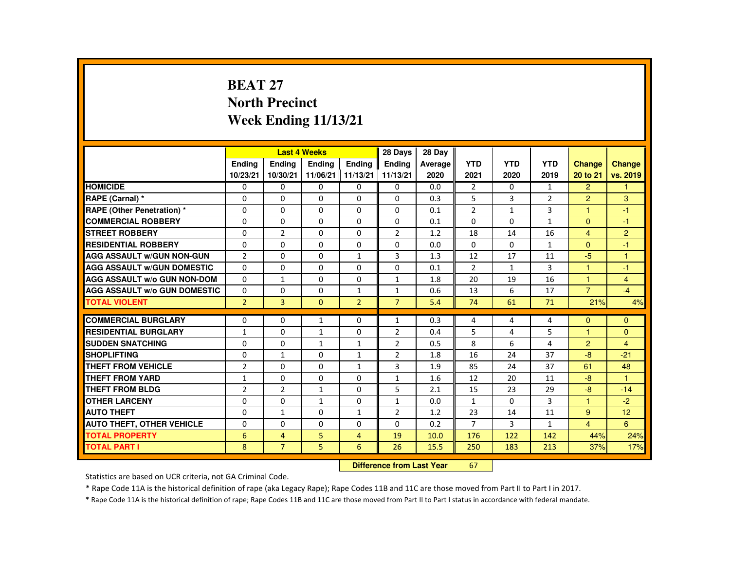# **BEAT 27 North PrecinctWeek Ending 11/13/21**

|                                     |                |                | <b>Last 4 Weeks</b> |                | 28 Days        | 28 Day  |                |              |                |                      |                |
|-------------------------------------|----------------|----------------|---------------------|----------------|----------------|---------|----------------|--------------|----------------|----------------------|----------------|
|                                     | <b>Endina</b>  | <b>Endina</b>  | <b>Endina</b>       | <b>Endina</b>  | <b>Endina</b>  | Average | <b>YTD</b>     | <b>YTD</b>   | <b>YTD</b>     | <b>Change</b>        | Change         |
|                                     | 10/23/21       | 10/30/21       | 11/06/21 11/13/21   |                | 11/13/21       | 2020    | 2021           | 2020         | 2019           | 20 to 21             | vs. 2019       |
| <b>HOMICIDE</b>                     | 0              | 0              | 0                   | 0              | 0              | 0.0     | $\overline{2}$ | 0            | $\mathbf{1}$   | $\overline{2}$       | 1              |
| RAPE (Carnal) *                     | $\Omega$       | $\Omega$       | $\Omega$            | $\Omega$       | $\Omega$       | 0.3     | 5              | 3            | $\overline{2}$ | $\overline{2}$       | 3              |
| RAPE (Other Penetration) *          | $\Omega$       | $\Omega$       | $\Omega$            | $\Omega$       | $\Omega$       | 0.1     | $\overline{2}$ | $\mathbf{1}$ | 3              | $\overline{1}$       | $-1$           |
| <b>COMMERCIAL ROBBERY</b>           | 0              | 0              | 0                   | 0              | 0              | 0.1     | $\Omega$       | 0            | $\mathbf{1}$   | $\Omega$             | $-1$           |
| <b>STREET ROBBERY</b>               | $\Omega$       | $\overline{2}$ | $\Omega$            | $\Omega$       | $\overline{2}$ | 1.2     | 18             | 14           | 16             | 4                    | $\overline{2}$ |
| <b>RESIDENTIAL ROBBERY</b>          | $\Omega$       | $\Omega$       | $\Omega$            | $\Omega$       | $\Omega$       | 0.0     | $\Omega$       | $\Omega$     | $\mathbf{1}$   | $\Omega$             | $-1$           |
| <b>AGG ASSAULT W/GUN NON-GUN</b>    | $\overline{2}$ | $\Omega$       | $\Omega$            | $\mathbf{1}$   | 3              | 1.3     | 12             | 17           | 11             | -5                   | $\mathbf{1}$   |
| <b>AGG ASSAULT W/GUN DOMESTIC</b>   | $\Omega$       | $\Omega$       | $\Omega$            | $\Omega$       | $\Omega$       | 0.1     | $\overline{2}$ | $\mathbf{1}$ | 3              | 1                    | $-1$           |
| <b>AGG ASSAULT W/o GUN NON-DOM</b>  | $\Omega$       | $\mathbf{1}$   | $\Omega$            | $\Omega$       | $\mathbf{1}$   | 1.8     | 20             | 19           | 16             | $\mathbf{1}$         | $\overline{4}$ |
| <b>AGG ASSAULT W/o GUN DOMESTIC</b> | $\Omega$       | $\Omega$       | $\Omega$            | $\mathbf{1}$   | $\mathbf{1}$   | 0.6     | 13             | 6            | 17             | $\overline{7}$       | $-4$           |
| <b>TOTAL VIOLENT</b>                | $\overline{2}$ | $\overline{3}$ | $\Omega$            | $\overline{2}$ | $\overline{7}$ | 5.4     | 74             | 61           | 71             | 21%                  | 4%             |
|                                     |                |                |                     |                |                |         |                |              |                |                      |                |
| <b>COMMERCIAL BURGLARY</b>          | $\Omega$       | $\Omega$       | $\mathbf{1}$        | $\Omega$       | $\mathbf{1}$   | 0.3     | 4              | 4            | 4              | $\Omega$             | $\Omega$       |
| <b>RESIDENTIAL BURGLARY</b>         | $\mathbf{1}$   | 0              | $\mathbf{1}$        | 0              | 2              | 0.4     | 5              | 4            | 5              | 1                    | $\Omega$       |
| <b>SUDDEN SNATCHING</b>             | $\Omega$       | $\Omega$       | $\mathbf{1}$        | $\mathbf{1}$   | $\overline{2}$ | 0.5     | 8              | 6            | 4              | $\overline{2}$       | $\overline{4}$ |
| <b>SHOPLIFTING</b>                  | $\Omega$       | $\mathbf{1}$   | $\Omega$            | $\mathbf{1}$   | $\overline{2}$ | 1.8     | 16             | 24           | 37             | -8                   | $-21$          |
| <b>THEFT FROM VEHICLE</b>           | $\overline{2}$ | 0              | $\Omega$            | $\mathbf{1}$   | 3              | 1.9     | 85             | 24           | 37             | 61                   | 48             |
| <b>THEFT FROM YARD</b>              | $\mathbf{1}$   | $\Omega$       | $\Omega$            | $\Omega$       | $\mathbf{1}$   | 1.6     | 12             | 20           | 11             | $-8$                 | $\overline{1}$ |
| <b>THEFT FROM BLDG</b>              | $\overline{2}$ | $\overline{2}$ | $\mathbf{1}$        | $\Omega$       | 5              | 2.1     | 15             | 23           | 29             | $-8$                 | $-14$          |
| <b>OTHER LARCENY</b>                | $\Omega$       | $\Omega$       | $\mathbf{1}$        | $\Omega$       | $\mathbf{1}$   | 0.0     | $\mathbf{1}$   | 0            | 3              | $\blacktriangleleft$ | $-2$           |
| <b>AUTO THEFT</b>                   | $\Omega$       | $\mathbf{1}$   | $\Omega$            | $\mathbf{1}$   | 2              | 1.2     | 23             | 14           | 11             | 9                    | 12             |
| <b>AUTO THEFT, OTHER VEHICLE</b>    | $\Omega$       | $\Omega$       | $\Omega$            | $\Omega$       | $\Omega$       | 0.2     | $\overline{7}$ | $\mathbf{3}$ | $\mathbf{1}$   | $\overline{4}$       | 6              |
| <b>TOTAL PROPERTY</b>               | 6              | $\overline{4}$ | 5                   | $\overline{4}$ | 19             | 10.0    | 176            | 122          | 142            | 44%                  | 24%            |
| <b>TOTAL PART I</b>                 | 8              | $\overline{7}$ | 5 <sup>1</sup>      | 6              | 26             | 15.5    | 250            | 183          | 213            | 37%                  | 17%            |

#### **Difference from Last Year**<sup>67</sup>

Statistics are based on UCR criteria, not GA Criminal Code.

\* Rape Code 11A is the historical definition of rape (aka Legacy Rape); Rape Codes 11B and 11C are those moved from Part II to Part I in 2017.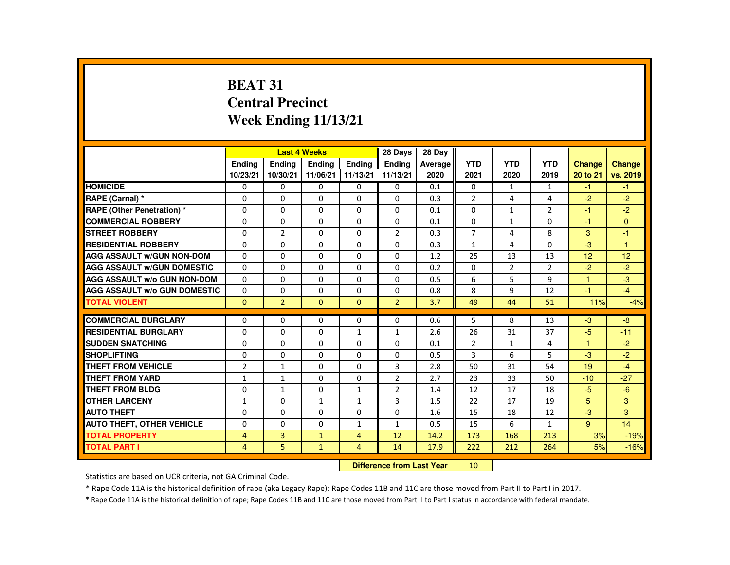# **BEAT 31 Central PrecinctWeek Ending 11/13/21**

|                                     |                |                | <b>Last 4 Weeks</b> |                | 28 Days        | 28 Day  |                |                |                |                      |              |
|-------------------------------------|----------------|----------------|---------------------|----------------|----------------|---------|----------------|----------------|----------------|----------------------|--------------|
|                                     | <b>Endina</b>  | <b>Endina</b>  | <b>Endina</b>       | <b>Endina</b>  | <b>Endina</b>  | Average | <b>YTD</b>     | <b>YTD</b>     | <b>YTD</b>     | <b>Change</b>        | Change       |
|                                     | 10/23/21       | 10/30/21       | 11/06/21 11/13/21   |                | 11/13/21       | 2020    | 2021           | 2020           | 2019           | 20 to 21             | vs. 2019     |
| <b>HOMICIDE</b>                     | 0              | 0              | 0                   | 0              | 0              | 0.1     | 0              | $\mathbf{1}$   | $\mathbf{1}$   | $-1$                 | $-1$         |
| RAPE (Carnal) *                     | $\Omega$       | $\Omega$       | $\Omega$            | $\Omega$       | $\Omega$       | 0.3     | $\overline{2}$ | 4              | 4              | $-2$                 | $-2$         |
| RAPE (Other Penetration) *          | $\Omega$       | $\Omega$       | $\Omega$            | $\Omega$       | $\Omega$       | 0.1     | $\Omega$       | $\mathbf{1}$   | $\overline{2}$ | $-1$                 | $-2$         |
| <b>COMMERCIAL ROBBERY</b>           | 0              | 0              | 0                   | 0              | 0              | 0.1     | 0              | $\mathbf{1}$   | 0              | $-1$                 | $\mathbf{0}$ |
| <b>STREET ROBBERY</b>               | $\Omega$       | $\overline{2}$ | $\Omega$            | $\Omega$       | $\overline{2}$ | 0.3     | $\overline{7}$ | 4              | 8              | 3                    | $-1$         |
| <b>RESIDENTIAL ROBBERY</b>          | $\Omega$       | $\Omega$       | $\Omega$            | $\Omega$       | $\Omega$       | 0.3     | $\mathbf{1}$   | 4              | $\Omega$       | $-3$                 | $\mathbf{1}$ |
| <b>AGG ASSAULT W/GUN NON-DOM</b>    | $\Omega$       | $\Omega$       | $\Omega$            | 0              | $\Omega$       | 1.2     | 25             | 13             | 13             | 12                   | 12           |
| <b>AGG ASSAULT W/GUN DOMESTIC</b>   | $\Omega$       | $\Omega$       | $\Omega$            | $\Omega$       | $\Omega$       | 0.2     | $\Omega$       | $\overline{2}$ | 2              | $-2$                 | $-2$         |
| <b>AGG ASSAULT W/o GUN NON-DOM</b>  | $\Omega$       | $\Omega$       | $\Omega$            | $\Omega$       | $\Omega$       | 0.5     | 6              | 5              | 9              | $\mathbf{1}$         | $-3$         |
| <b>AGG ASSAULT W/o GUN DOMESTIC</b> | $\Omega$       | $\Omega$       | $\Omega$            | $\Omega$       | $\Omega$       | 0.8     | 8              | 9              | 12             | $-1$                 | $-4$         |
| <b>TOTAL VIOLENT</b>                | $\mathbf{0}$   | $\overline{2}$ | $\Omega$            | $\Omega$       | $\overline{2}$ | 3.7     | 49             | 44             | 51             | 11%                  | $-4%$        |
|                                     |                |                |                     |                |                |         |                |                |                |                      |              |
| <b>COMMERCIAL BURGLARY</b>          | $\Omega$       | $\Omega$       | $\Omega$            | $\Omega$       | $\Omega$       | 0.6     | 5              | 8              | 13             | $-3$                 | $-8$         |
| <b>RESIDENTIAL BURGLARY</b>         | $\Omega$       | 0              | $\Omega$            | $\mathbf{1}$   | $\mathbf{1}$   | 2.6     | 26             | 31             | 37             | $-5$                 | $-11$        |
| <b>SUDDEN SNATCHING</b>             | $\Omega$       | $\Omega$       | $\Omega$            | $\Omega$       | $\Omega$       | 0.1     | $\overline{2}$ | $\mathbf{1}$   | 4              | $\blacktriangleleft$ | $-2$         |
| <b>SHOPLIFTING</b>                  | $\Omega$       | $\Omega$       | $\Omega$            | $\Omega$       | $\Omega$       | 0.5     | 3              | 6              | 5              | $-3$                 | $-2$         |
| <b>THEFT FROM VEHICLE</b>           | $\overline{2}$ | $\mathbf{1}$   | $\Omega$            | 0              | 3              | 2.8     | 50             | 31             | 54             | 19                   | $-4$         |
| <b>THEFT FROM YARD</b>              | $\mathbf{1}$   | $\mathbf{1}$   | $\Omega$            | $\Omega$       | $\overline{2}$ | 2.7     | 23             | 33             | 50             | $-10$                | $-27$        |
| <b>THEFT FROM BLDG</b>              | $\Omega$       | $\mathbf{1}$   | $\Omega$            | $\mathbf{1}$   | $\overline{2}$ | 1.4     | 12             | 17             | 18             | $-5$                 | $-6$         |
| <b>OTHER LARCENY</b>                | $\mathbf{1}$   | $\Omega$       | $\mathbf{1}$        | $\mathbf{1}$   | 3              | 1.5     | 22             | 17             | 19             | 5                    | 3            |
| <b>AUTO THEFT</b>                   | $\Omega$       | $\Omega$       | $\Omega$            | $\Omega$       | $\Omega$       | 1.6     | 15             | 18             | 12             | $-3$                 | 3            |
| <b>AUTO THEFT, OTHER VEHICLE</b>    | $\Omega$       | $\Omega$       | $\Omega$            | $\mathbf{1}$   | $\mathbf{1}$   | 0.5     | 15             | 6              | $\mathbf{1}$   | 9                    | 14           |
| <b>TOTAL PROPERTY</b>               | 4              | 3              | $\mathbf{1}$        | $\overline{4}$ | 12             | 14.2    | 173            | 168            | 213            | 3%                   | $-19%$       |
| <b>TOTAL PART I</b>                 | $\overline{4}$ | 5              | $\mathbf{1}$        | $\overline{4}$ | 14             | 17.9    | 222            | 212            | 264            | 5%                   | $-16%$       |

#### **Difference from Last Year**<sup>10</sup>

Statistics are based on UCR criteria, not GA Criminal Code.

\* Rape Code 11A is the historical definition of rape (aka Legacy Rape); Rape Codes 11B and 11C are those moved from Part II to Part I in 2017.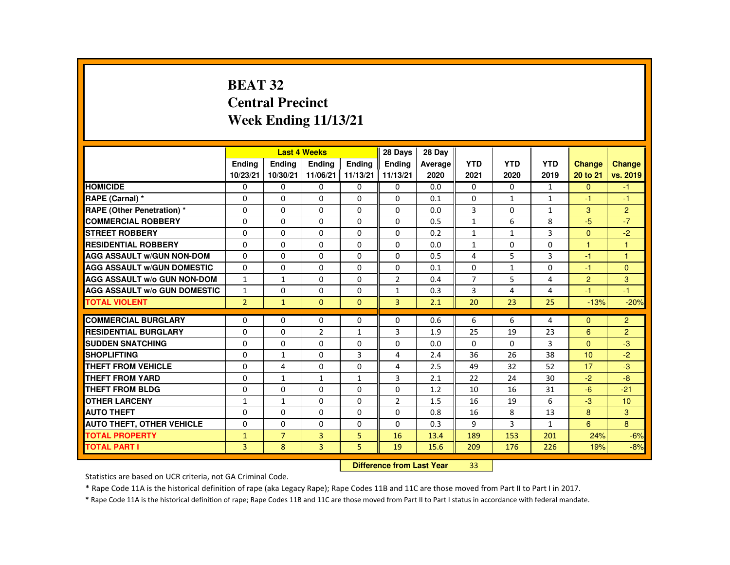# **BEAT 32 Central PrecinctWeek Ending 11/13/21**

|                                     |                |                | <b>Last 4 Weeks</b> |              | 28 Days        | 28 Dav  |                |              |                |                |                 |
|-------------------------------------|----------------|----------------|---------------------|--------------|----------------|---------|----------------|--------------|----------------|----------------|-----------------|
|                                     | <b>Ending</b>  | <b>Ending</b>  | Ending              | Ending       | Ending         | Average | <b>YTD</b>     | <b>YTD</b>   | <b>YTD</b>     | Change         | <b>Change</b>   |
|                                     | 10/23/21       | 10/30/21       | 11/06/21 11/13/21   |              | 11/13/21       | 2020    | 2021           | 2020         | 2019           | 20 to 21       | vs. 2019        |
| <b>HOMICIDE</b>                     | $\Omega$       | $\mathbf{0}$   | 0                   | 0            | 0              | 0.0     | $\mathbf{0}$   | 0            | $\mathbf{1}$   | $\mathbf{0}$   | $-1$            |
| RAPE (Carnal) *                     | $\Omega$       | $\Omega$       | $\Omega$            | $\Omega$     | $\Omega$       | 0.1     | $\Omega$       | $\mathbf{1}$ | $\mathbf{1}$   | $-1$           | $-1$            |
| <b>RAPE (Other Penetration) *</b>   | $\Omega$       | $\Omega$       | $\Omega$            | $\Omega$     | $\Omega$       | 0.0     | 3              | $\Omega$     | $\mathbf{1}$   | 3              | $\overline{2}$  |
| <b>COMMERCIAL ROBBERY</b>           | 0              | $\mathbf{0}$   | 0                   | 0            | 0              | 0.5     | $\mathbf{1}$   | 6            | 8              | $-5$           | $-7$            |
| <b>STREET ROBBERY</b>               | $\Omega$       | $\Omega$       | $\Omega$            | $\Omega$     | $\Omega$       | 0.2     | $\mathbf{1}$   | $\mathbf{1}$ | 3              | $\Omega$       | $-2$            |
| <b>RESIDENTIAL ROBBERY</b>          | $\Omega$       | $\Omega$       | $\Omega$            | $\Omega$     | $\Omega$       | 0.0     | $\mathbf{1}$   | $\Omega$     | $\Omega$       | $\overline{1}$ | $\mathbf{1}$    |
| <b>AGG ASSAULT W/GUN NON-DOM</b>    | $\Omega$       | $\Omega$       | $\Omega$            | $\Omega$     | $\Omega$       | 0.5     | 4              | 5            | 3              | $-1$           | $\mathbf{1}$    |
| <b>AGG ASSAULT W/GUN DOMESTIC</b>   | $\Omega$       | $\Omega$       | $\Omega$            | $\Omega$     | $\Omega$       | 0.1     | $\Omega$       | $\mathbf{1}$ | $\Omega$       | $-1$           | $\mathbf{0}$    |
| <b>AGG ASSAULT W/o GUN NON-DOM</b>  | $\mathbf{1}$   | $\mathbf{1}$   | $\Omega$            | $\Omega$     | $\overline{2}$ | 0.4     | $\overline{7}$ | 5            | 4              | $\overline{2}$ | 3               |
| <b>AGG ASSAULT W/o GUN DOMESTIC</b> | $\mathbf{1}$   | $\Omega$       | $\Omega$            | $\Omega$     | $\mathbf{1}$   | 0.3     | 3              | 4            | $\overline{4}$ | $-1$           | $-1$            |
| <b>TOTAL VIOLENT</b>                | $\overline{2}$ | $\mathbf{1}$   | $\mathbf{0}$        | $\mathbf{0}$ | $\overline{3}$ | 2.1     | 20             | 23           | 25             | $-13%$         | $-20%$          |
|                                     |                |                |                     |              |                |         |                |              |                |                |                 |
| <b>COMMERCIAL BURGLARY</b>          | $\Omega$       | $\Omega$       | $\Omega$            | $\Omega$     | $\Omega$       | 0.6     | 6              | 6            | 4              | $\Omega$       | $\overline{2}$  |
| <b>RESIDENTIAL BURGLARY</b>         | $\Omega$       | $\Omega$       | $\overline{2}$      | $\mathbf{1}$ | 3              | 1.9     | 25             | 19           | 23             | 6              | $\overline{2}$  |
| <b>SUDDEN SNATCHING</b>             | $\Omega$       | $\Omega$       | $\Omega$            | $\Omega$     | $\Omega$       | 0.0     | $\Omega$       | $\Omega$     | 3              | $\Omega$       | $-3$            |
| <b>SHOPLIFTING</b>                  | $\Omega$       | $\mathbf{1}$   | $\Omega$            | $\mathbf{3}$ | 4              | 2.4     | 36             | 26           | 38             | 10             | $-2$            |
| <b>THEFT FROM VEHICLE</b>           | $\Omega$       | 4              | $\Omega$            | $\Omega$     | 4              | 2.5     | 49             | 32           | 52             | 17             | $-3$            |
| <b>THEFT FROM YARD</b>              | 0              | $\mathbf{1}$   | $\mathbf{1}$        | $\mathbf{1}$ | 3              | 2.1     | 22             | 24           | 30             | $-2$           | -8              |
| <b>THEFT FROM BLDG</b>              | $\Omega$       | $\Omega$       | $\Omega$            | $\Omega$     | $\Omega$       | 1.2     | 10             | 16           | 31             | $-6$           | $-21$           |
| <b>OTHER LARCENY</b>                | $\mathbf{1}$   | 1              | 0                   | $\Omega$     | $\overline{2}$ | 1.5     | 16             | 19           | 6              | $-3$           | 10 <sup>1</sup> |
| <b>AUTO THEFT</b>                   | $\Omega$       | $\Omega$       | $\Omega$            | $\Omega$     | $\Omega$       | 0.8     | 16             | 8            | 13             | 8              | 3               |
| <b>AUTO THEFT, OTHER VEHICLE</b>    | $\Omega$       | $\Omega$       | $\Omega$            | $\Omega$     | $\Omega$       | 0.3     | 9              | 3            | $\mathbf{1}$   | 6              | 8               |
| <b>TOTAL PROPERTY</b>               | $\mathbf{1}$   | $\overline{7}$ | 3                   | 5            | 16             | 13.4    | 189            | 153          | 201            | 24%            | $-6%$           |
| <b>TOTAL PART I</b>                 | $\overline{3}$ | 8              | $\overline{3}$      | 5            | 19             | 15.6    | 209            | 176          | 226            | 19%            | $-8%$           |

#### **Difference from Last Year**<sup>33</sup>

Statistics are based on UCR criteria, not GA Criminal Code.

\* Rape Code 11A is the historical definition of rape (aka Legacy Rape); Rape Codes 11B and 11C are those moved from Part II to Part I in 2017.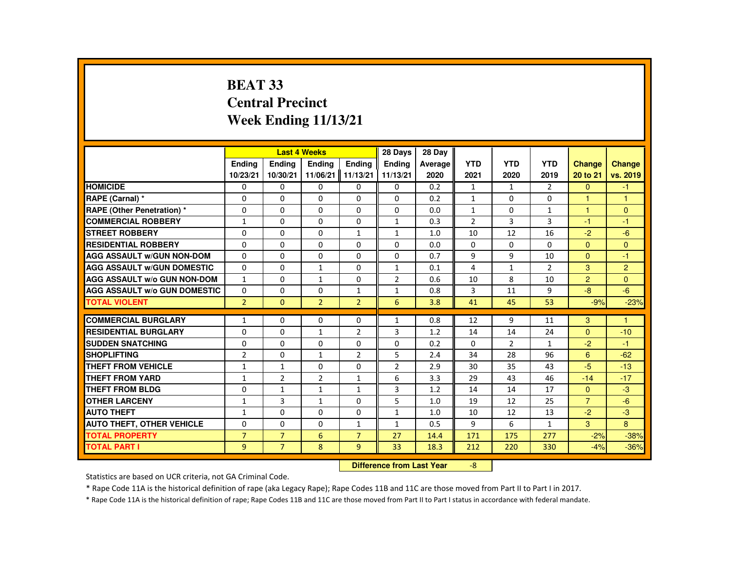## **BEAT 33 Central PrecinctWeek Ending 11/13/21**

|                                     |                | <b>Last 4 Weeks</b> |                |                | 28 Days        | 28 Day  |                |                |                |                      |                |
|-------------------------------------|----------------|---------------------|----------------|----------------|----------------|---------|----------------|----------------|----------------|----------------------|----------------|
|                                     | <b>Endina</b>  | <b>Endina</b>       | <b>Ending</b>  | <b>Endina</b>  | <b>Endina</b>  | Average | <b>YTD</b>     | <b>YTD</b>     | <b>YTD</b>     | <b>Change</b>        | <b>Change</b>  |
|                                     | 10/23/21       | 10/30/21            | 11/06/21       | 11/13/21       | 11/13/21       | 2020    | 2021           | 2020           | 2019           | 20 to 21             | vs. 2019       |
| <b>HOMICIDE</b>                     | 0              | 0                   | 0              | 0              | 0              | 0.2     | $\mathbf{1}$   | $\mathbf{1}$   | $\overline{2}$ | $\mathbf{0}$         | $-1$           |
| <b>RAPE (Carnal) *</b>              | 0              | $\Omega$            | $\Omega$       | $\Omega$       | $\Omega$       | 0.2     | $\mathbf{1}$   | $\Omega$       | $\Omega$       | $\blacktriangleleft$ | $\mathbf{1}$   |
| RAPE (Other Penetration) *          | $\Omega$       | $\Omega$            | $\Omega$       | $\Omega$       | $\Omega$       | 0.0     | $\mathbf{1}$   | $\Omega$       | $\mathbf{1}$   | $\mathbf{1}$         | $\mathbf{0}$   |
| <b>COMMERCIAL ROBBERY</b>           | $\mathbf{1}$   | 0                   | $\Omega$       | 0              | $\mathbf{1}$   | 0.3     | $\overline{2}$ | 3              | 3              | $-1$                 | $-1$           |
| <b>STREET ROBBERY</b>               | $\Omega$       | $\Omega$            | $\Omega$       | $\mathbf{1}$   | $\mathbf{1}$   | 1.0     | 10             | 12             | 16             | $-2$                 | $-6$           |
| <b>RESIDENTIAL ROBBERY</b>          | $\Omega$       | $\Omega$            | $\Omega$       | $\Omega$       | $\Omega$       | 0.0     | $\Omega$       | $\Omega$       | $\Omega$       | $\Omega$             | $\Omega$       |
| <b>AGG ASSAULT W/GUN NON-DOM</b>    | $\Omega$       | 0                   | $\Omega$       | 0              | $\Omega$       | 0.7     | 9              | 9              | 10             | $\Omega$             | $-1$           |
| <b>AGG ASSAULT W/GUN DOMESTIC</b>   | 0              | $\Omega$            | $\mathbf{1}$   | $\Omega$       | $\mathbf{1}$   | 0.1     | 4              | 1              | $\overline{2}$ | 3                    | $\overline{2}$ |
| <b>AGG ASSAULT W/o GUN NON-DOM</b>  | $\mathbf{1}$   | $\Omega$            | 1              | $\Omega$       | $\overline{2}$ | 0.6     | 10             | 8              | 10             | $\overline{2}$       | $\Omega$       |
| <b>AGG ASSAULT w/o GUN DOMESTIC</b> | $\Omega$       | $\Omega$            | $\Omega$       | $\mathbf{1}$   | $\mathbf{1}$   | 0.8     | 3              | 11             | 9              | $-8$                 | $-6$           |
| <b>TOTAL VIOLENT</b>                | $\overline{2}$ | $\Omega$            | $\overline{2}$ | $\overline{2}$ | 6              | 3.8     | 41             | 45             | 53             | $-9%$                | $-23%$         |
|                                     |                |                     |                |                |                |         |                |                |                |                      |                |
| <b>COMMERCIAL BURGLARY</b>          | $\mathbf{1}$   | $\Omega$            | $\Omega$       | 0              | $\mathbf{1}$   | 0.8     | 12             | 9              | 11             | 3                    | $\mathbf{1}$   |
| <b>RESIDENTIAL BURGLARY</b>         | 0              | 0                   | 1              | $\overline{2}$ | 3              | 1.2     | 14             | 14             | 24             | $\Omega$             | $-10$          |
| <b>SUDDEN SNATCHING</b>             | 0              | $\Omega$            | $\Omega$       | $\Omega$       | $\Omega$       | 0.2     | $\Omega$       | $\overline{2}$ | $\mathbf{1}$   | $-2$                 | $-1$           |
| <b>SHOPLIFTING</b>                  | $\overline{2}$ | $\Omega$            | $\mathbf{1}$   | $\overline{2}$ | 5              | 2.4     | 34             | 28             | 96             | 6                    | $-62$          |
| <b>THEFT FROM VEHICLE</b>           | 1              | $\mathbf{1}$        | 0              | 0              | 2              | 2.9     | 30             | 35             | 43             | $-5$                 | $-13$          |
| <b>THEFT FROM YARD</b>              | 1              | $\overline{2}$      | $\overline{2}$ | $\mathbf{1}$   | 6              | 3.3     | 29             | 43             | 46             | $-14$                | $-17$          |
| <b>THEFT FROM BLDG</b>              | $\Omega$       | $\mathbf{1}$        | $\mathbf{1}$   | $\mathbf{1}$   | 3              | 1.2     | 14             | 14             | 17             | $\Omega$             | $-3$           |
| <b>OTHER LARCENY</b>                | $\mathbf{1}$   | 3                   | $\mathbf{1}$   | $\Omega$       | 5              | 1.0     | 19             | 12             | 25             | $\overline{7}$       | $-6$           |
| <b>AUTO THEFT</b>                   | $\mathbf{1}$   | 0                   | 0              | 0              | $\mathbf{1}$   | 1.0     | 10             | 12             | 13             | $-2$                 | $-3$           |
| <b>AUTO THEFT, OTHER VEHICLE</b>    | $\Omega$       | $\Omega$            | $\Omega$       | $\mathbf{1}$   | $\mathbf{1}$   | 0.5     | 9              | 6              | $\mathbf{1}$   | 3                    | 8              |
| <b>TOTAL PROPERTY</b>               | $\overline{7}$ | $\overline{7}$      | 6              | $\overline{7}$ | 27             | 14.4    | 171            | 175            | 277            | $-2%$                | $-38%$         |
| <b>TOTAL PART I</b>                 | 9              | $\overline{7}$      | 8              | 9              | 33             | 18.3    | 212            | 220            | 330            | $-4%$                | $-36%$         |

#### **Difference from Last Year**-8

Statistics are based on UCR criteria, not GA Criminal Code.

\* Rape Code 11A is the historical definition of rape (aka Legacy Rape); Rape Codes 11B and 11C are those moved from Part II to Part I in 2017.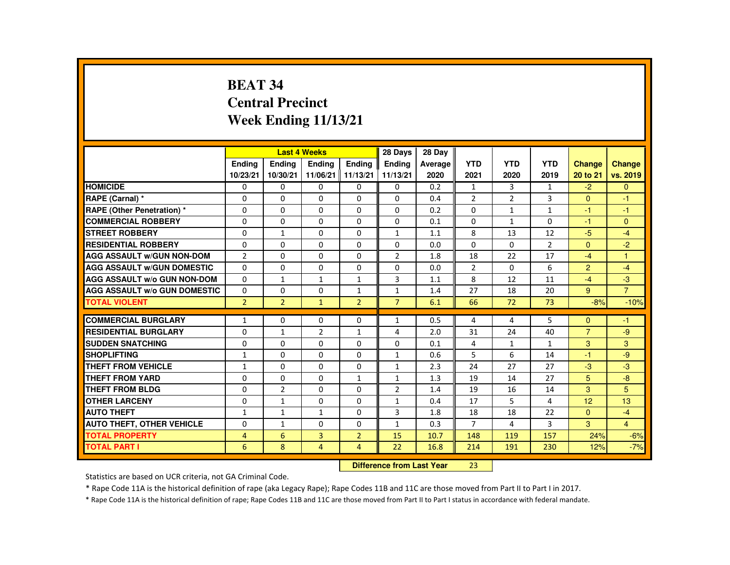# **BEAT 34 Central PrecinctWeek Ending 11/13/21**

|                                     |                |                | <b>Last 4 Weeks</b> |                | 28 Days        | 28 Day  |                |              |                |                |                |
|-------------------------------------|----------------|----------------|---------------------|----------------|----------------|---------|----------------|--------------|----------------|----------------|----------------|
|                                     | <b>Endina</b>  | <b>Endina</b>  | <b>Endina</b>       | <b>Endina</b>  | <b>Endina</b>  | Average | <b>YTD</b>     | <b>YTD</b>   | <b>YTD</b>     | <b>Change</b>  | Change         |
|                                     | 10/23/21       | 10/30/21       | 11/06/21 11/13/21   |                | 11/13/21       | 2020    | 2021           | 2020         | 2019           | 20 to 21       | vs. 2019       |
| <b>HOMICIDE</b>                     | 0              | 0              | 0                   | 0              | 0              | 0.2     | $\mathbf{1}$   | 3            | $\mathbf{1}$   | $-2$           | $\Omega$       |
| RAPE (Carnal) *                     | $\Omega$       | $\Omega$       | $\Omega$            | $\Omega$       | $\Omega$       | 0.4     | $\overline{2}$ | 2            | 3              | $\Omega$       | $-1$           |
| RAPE (Other Penetration) *          | $\Omega$       | $\Omega$       | $\Omega$            | $\Omega$       | $\Omega$       | 0.2     | $\Omega$       | $\mathbf{1}$ | $\mathbf{1}$   | $-1$           | $-1$           |
| <b>COMMERCIAL ROBBERY</b>           | 0              | 0              | 0                   | 0              | 0              | 0.1     | 0              | $\mathbf{1}$ | 0              | $-1$           | $\mathbf{0}$   |
| <b>STREET ROBBERY</b>               | $\Omega$       | $\mathbf{1}$   | $\Omega$            | $\Omega$       | $\mathbf{1}$   | 1.1     | 8              | 13           | 12             | $-5$           | $-4$           |
| <b>RESIDENTIAL ROBBERY</b>          | $\Omega$       | $\Omega$       | $\Omega$            | $\Omega$       | $\Omega$       | 0.0     | $\Omega$       | $\Omega$     | $\overline{2}$ | $\Omega$       | $-2$           |
| <b>AGG ASSAULT W/GUN NON-DOM</b>    | $\overline{2}$ | $\Omega$       | $\Omega$            | 0              | $\overline{2}$ | 1.8     | 18             | 22           | 17             | $-4$           | $\overline{1}$ |
| <b>AGG ASSAULT W/GUN DOMESTIC</b>   | $\Omega$       | $\Omega$       | $\Omega$            | $\Omega$       | $\Omega$       | 0.0     | $\overline{2}$ | $\Omega$     | 6              | $\overline{2}$ | $-4$           |
| <b>AGG ASSAULT W/o GUN NON-DOM</b>  | $\Omega$       | $\mathbf{1}$   | $\mathbf{1}$        | $\mathbf{1}$   | 3              | 1.1     | 8              | 12           | 11             | $-4$           | $-3$           |
| <b>AGG ASSAULT W/o GUN DOMESTIC</b> | $\Omega$       | $\Omega$       | $\Omega$            | $\mathbf{1}$   | $\mathbf{1}$   | 1.4     | 27             | 18           | 20             | 9              | $\overline{7}$ |
| <b>TOTAL VIOLENT</b>                | $\overline{2}$ | $\overline{2}$ | $\mathbf{1}$        | $\overline{2}$ | $\overline{7}$ | 6.1     | 66             | 72           | 73             | $-8%$          | $-10%$         |
|                                     |                |                |                     |                |                |         |                |              |                |                |                |
| <b>COMMERCIAL BURGLARY</b>          | $\mathbf{1}$   | $\Omega$       | $\Omega$            | $\Omega$       | $\mathbf{1}$   | 0.5     | 4              | 4            | 5              | $\Omega$       | $-1$           |
| <b>RESIDENTIAL BURGLARY</b>         | $\Omega$       | $\mathbf{1}$   | 2                   | $\mathbf{1}$   | 4              | 2.0     | 31             | 24           | 40             | $\overline{7}$ | $-9$           |
| <b>SUDDEN SNATCHING</b>             | $\Omega$       | $\Omega$       | $\Omega$            | $\Omega$       | 0              | 0.1     | 4              | $\mathbf{1}$ | $\mathbf{1}$   | 3              | 3              |
| <b>SHOPLIFTING</b>                  | $\mathbf{1}$   | $\Omega$       | $\Omega$            | $\Omega$       | $\mathbf{1}$   | 0.6     | 5              | 6            | 14             | $-1$           | $-9$           |
| <b>THEFT FROM VEHICLE</b>           | $\mathbf{1}$   | 0              | 0                   | 0              | $\mathbf{1}$   | 2.3     | 24             | 27           | 27             | $-3$           | $-3$           |
| <b>THEFT FROM YARD</b>              | $\Omega$       | $\Omega$       | $\Omega$            | $\mathbf{1}$   | $\mathbf{1}$   | 1.3     | 19             | 14           | 27             | 5              | $-8$           |
| <b>THEFT FROM BLDG</b>              | $\Omega$       | $\overline{2}$ | $\Omega$            | $\Omega$       | 2              | 1.4     | 19             | 16           | 14             | 3              | 5              |
| <b>OTHER LARCENY</b>                | 0              | $\mathbf{1}$   | $\Omega$            | $\Omega$       | $\mathbf{1}$   | 0.4     | 17             | 5            | 4              | 12             | 13             |
| <b>AUTO THEFT</b>                   | $\mathbf{1}$   | $\mathbf{1}$   | $\mathbf{1}$        | $\Omega$       | 3              | 1.8     | 18             | 18           | 22             | $\Omega$       | $-4$           |
| <b>AUTO THEFT, OTHER VEHICLE</b>    | $\Omega$       | $\mathbf{1}$   | $\Omega$            | $\Omega$       | $\mathbf{1}$   | 0.3     | $\overline{7}$ | 4            | 3              | $\mathcal{R}$  | $\overline{4}$ |
| <b>TOTAL PROPERTY</b>               | 4              | 6              | $\overline{3}$      | $\overline{2}$ | 15             | 10.7    | 148            | 119          | 157            | 24%            | $-6%$          |
| <b>TOTAL PART I</b>                 | 6              | 8              | $\overline{4}$      | $\overline{4}$ | 22             | 16.8    | 214            | 191          | 230            | 12%            | $-7%$          |

#### **Difference from Last Year**<sup>23</sup>

Statistics are based on UCR criteria, not GA Criminal Code.

\* Rape Code 11A is the historical definition of rape (aka Legacy Rape); Rape Codes 11B and 11C are those moved from Part II to Part I in 2017.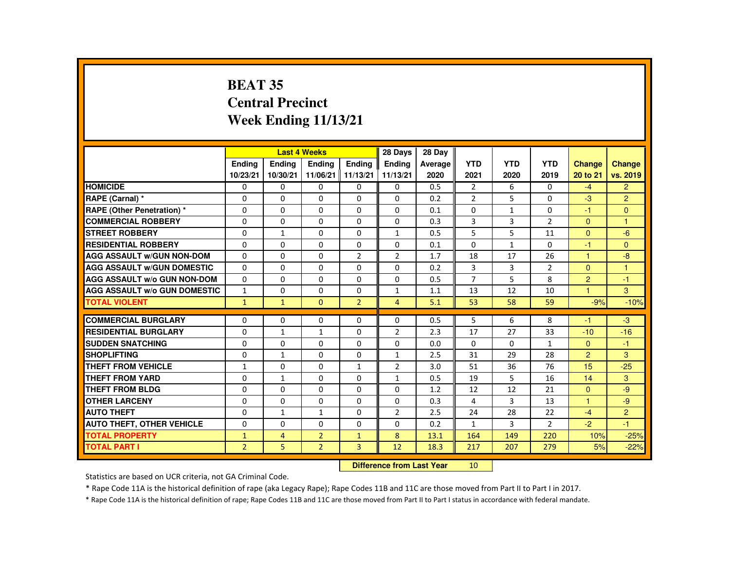# **BEAT 35 Central PrecinctWeek Ending 11/13/21**

|                                     |                |                | <b>Last 4 Weeks</b> |                      | 28 Days        | 28 Dav  |                |              |                |                      |                |
|-------------------------------------|----------------|----------------|---------------------|----------------------|----------------|---------|----------------|--------------|----------------|----------------------|----------------|
|                                     | <b>Endina</b>  | <b>Endina</b>  | <b>Endina</b>       | <b>Endina</b>        | <b>Endina</b>  | Average | <b>YTD</b>     | <b>YTD</b>   | <b>YTD</b>     | <b>Change</b>        | <b>Change</b>  |
|                                     | 10/23/21       | 10/30/21       | 11/06/21            | $\parallel$ 11/13/21 | 11/13/21       | 2020    | 2021           | 2020         | 2019           | 20 to 21             | vs. 2019       |
| <b>HOMICIDE</b>                     | $\mathbf{0}$   | 0              | $\Omega$            | 0                    | 0              | 0.5     | $\overline{2}$ | 6            | 0              | $-4$                 | $\overline{2}$ |
| RAPE (Carnal) *                     | $\Omega$       | $\Omega$       | $\Omega$            | $\Omega$             | $\Omega$       | 0.2     | $\overline{2}$ | 5            | $\Omega$       | $-3$                 | $\overline{2}$ |
| <b>RAPE (Other Penetration)*</b>    | $\Omega$       | $\Omega$       | $\Omega$            | $\Omega$             | $\Omega$       | 0.1     | $\Omega$       | $\mathbf{1}$ | $\Omega$       | $-1$                 | $\Omega$       |
| <b>COMMERCIAL ROBBERY</b>           | $\Omega$       | $\Omega$       | $\Omega$            | $\Omega$             | $\Omega$       | 0.3     | 3              | 3            | $\overline{2}$ | $\Omega$             | $\overline{1}$ |
| <b>STREET ROBBERY</b>               | $\Omega$       | $\mathbf{1}$   | $\Omega$            | $\Omega$             | $\mathbf{1}$   | 0.5     | 5              | 5            | 11             | $\Omega$             | $-6$           |
| <b>RESIDENTIAL ROBBERY</b>          | $\Omega$       | 0              | $\Omega$            | 0                    | $\Omega$       | 0.1     | 0              | $\mathbf{1}$ | 0              | $-1$                 | $\mathbf{0}$   |
| <b>AGG ASSAULT W/GUN NON-DOM</b>    | $\Omega$       | $\Omega$       | $\Omega$            | $\overline{2}$       | 2              | 1.7     | 18             | 17           | 26             | $\blacktriangleleft$ | $-8$           |
| <b>AGG ASSAULT W/GUN DOMESTIC</b>   | $\Omega$       | $\Omega$       | $\Omega$            | $\Omega$             | $\Omega$       | 0.2     | 3              | 3            | $\overline{2}$ | $\Omega$             | $\mathbf{1}$   |
| <b>AGG ASSAULT W/o GUN NON-DOM</b>  | $\Omega$       | $\Omega$       | $\Omega$            | $\Omega$             | 0              | 0.5     | $\overline{7}$ | 5            | 8              | $\overline{2}$       | $-1$           |
| <b>AGG ASSAULT W/o GUN DOMESTIC</b> | $\mathbf{1}$   | $\Omega$       | $\Omega$            | $\Omega$             | $\mathbf{1}$   | 1.1     | 13             | 12           | 10             | $\overline{1}$       | 3              |
| <b>TOTAL VIOLENT</b>                | 1              | $\mathbf{1}$   | $\mathbf{0}$        | $\overline{2}$       | $\overline{4}$ | 5.1     | 53             | 58           | 59             | $-9%$                | $-10%$         |
|                                     |                |                |                     |                      |                |         |                |              |                |                      |                |
| <b>COMMERCIAL BURGLARY</b>          | $\Omega$       | $\Omega$       | $\Omega$            | $\Omega$             | $\Omega$       | 0.5     | 5              | 6            | 8              | -1                   | $-3$           |
| <b>RESIDENTIAL BURGLARY</b>         | $\Omega$       | $\mathbf{1}$   | $\mathbf{1}$        | 0                    | $\overline{2}$ | 2.3     | 17             | 27           | 33             | $-10$                | $-16$          |
| <b>SUDDEN SNATCHING</b>             | $\Omega$       | $\Omega$       | $\Omega$            | $\Omega$             | $\Omega$       | 0.0     | $\Omega$       | $\Omega$     | $\mathbf{1}$   | $\Omega$             | $-1$           |
| <b>SHOPLIFTING</b>                  | $\Omega$       | $\mathbf{1}$   | $\Omega$            | $\Omega$             | $\mathbf{1}$   | 2.5     | 31             | 29           | 28             | 2                    | $\mathbf{3}$   |
| <b>THEFT FROM VEHICLE</b>           | $\mathbf{1}$   | $\Omega$       | $\Omega$            | $\mathbf{1}$         | $\overline{2}$ | 3.0     | 51             | 36           | 76             | 15                   | $-25$          |
| <b>THEFT FROM YARD</b>              | $\Omega$       | $\mathbf{1}$   | $\Omega$            | $\Omega$             | $\mathbf{1}$   | 0.5     | 19             | 5            | 16             | 14                   | 3              |
| <b>THEFT FROM BLDG</b>              | $\Omega$       | $\Omega$       | $\Omega$            | $\Omega$             | $\Omega$       | 1.2     | 12             | 12           | 21             | $\Omega$             | $-9$           |
| <b>OTHER LARCENY</b>                | $\Omega$       | $\Omega$       | $\Omega$            | $\Omega$             | $\Omega$       | 0.3     | 4              | 3            | 13             | $\blacktriangleleft$ | $-9$           |
| <b>AUTO THEFT</b>                   | $\Omega$       | $\mathbf{1}$   | $\mathbf{1}$        | $\Omega$             | 2              | 2.5     | 24             | 28           | 22             | $-4$                 | $\overline{2}$ |
| <b>AUTO THEFT, OTHER VEHICLE</b>    | $\Omega$       | $\Omega$       | $\Omega$            | $\Omega$             | $\Omega$       | 0.2     | $\mathbf{1}$   | 3            | $\overline{2}$ | $-2$                 | $-1$           |
| <b>TOTAL PROPERTY</b>               | $\mathbf{1}$   | $\overline{4}$ | $\overline{2}$      | $\mathbf{1}$         | 8              | 13.1    | 164            | 149          | 220            | 10%                  | $-25%$         |
| <b>TOTAL PART I</b>                 | $\overline{2}$ | 5              | $\overline{2}$      | $\overline{3}$       | 12             | 18.3    | 217            | 207          | 279            | 5%                   | $-22%$         |

#### **Difference from Last Year**<sup>10</sup>

Statistics are based on UCR criteria, not GA Criminal Code.

\* Rape Code 11A is the historical definition of rape (aka Legacy Rape); Rape Codes 11B and 11C are those moved from Part II to Part I in 2017.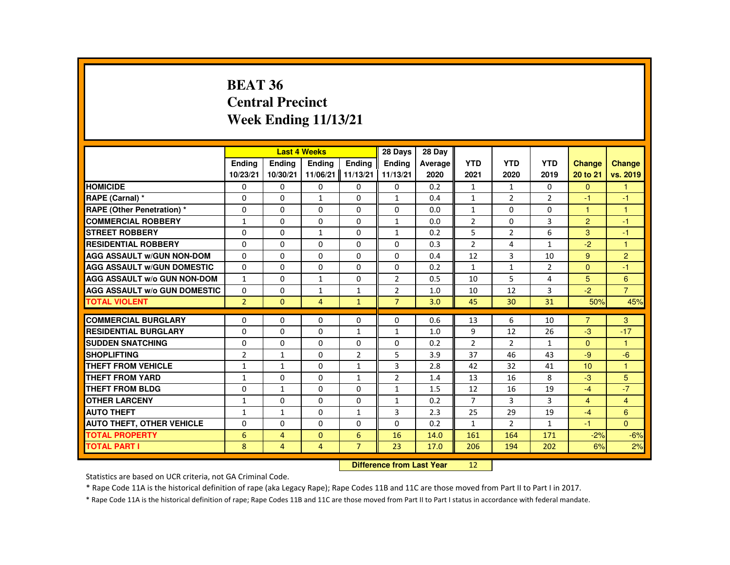## **BEAT 36 Central PrecinctWeek Ending 11/13/21**

|                                     |                | <b>Last 4 Weeks</b> |                |                | 28 Days        | 28 Day  |                |                |                |                |                |
|-------------------------------------|----------------|---------------------|----------------|----------------|----------------|---------|----------------|----------------|----------------|----------------|----------------|
|                                     | <b>Ending</b>  | <b>Ending</b>       | <b>Ending</b>  | <b>Ending</b>  | <b>Endina</b>  | Average | <b>YTD</b>     | <b>YTD</b>     | <b>YTD</b>     | <b>Change</b>  | <b>Change</b>  |
|                                     | 10/23/21       | 10/30/21            | 11/06/21       | 11/13/21       | 11/13/21       | 2020    | 2021           | 2020           | 2019           | 20 to 21       | vs. 2019       |
| <b>HOMICIDE</b>                     | 0              | 0                   | 0              | 0              | 0              | 0.2     | $\mathbf{1}$   | 1              | 0              | $\mathbf{0}$   |                |
| <b>RAPE (Carnal) *</b>              | $\Omega$       | 0                   | $\mathbf{1}$   | $\Omega$       | $\mathbf{1}$   | 0.4     | $\mathbf{1}$   | 2              | $\overline{2}$ | $-1$           | -1             |
| <b>RAPE (Other Penetration) *</b>   | $\Omega$       | $\Omega$            | $\Omega$       | $\Omega$       | $\Omega$       | 0.0     | $\mathbf{1}$   | $\Omega$       | $\Omega$       | $\mathbf{1}$   | $\overline{1}$ |
| <b>COMMERCIAL ROBBERY</b>           | 1              | $\Omega$            | $\Omega$       | $\Omega$       | $\mathbf{1}$   | 0.0     | $\overline{2}$ | $\Omega$       | 3              | $\overline{2}$ | $-1$           |
| <b>STREET ROBBERY</b>               | 0              | $\Omega$            | $\mathbf{1}$   | $\Omega$       | $\mathbf{1}$   | 0.2     | 5              | $\overline{2}$ | 6              | 3              | -1             |
| <b>RESIDENTIAL ROBBERY</b>          | $\Omega$       | $\Omega$            | $\Omega$       | $\Omega$       | $\Omega$       | 0.3     | $\overline{2}$ | 4              | $\mathbf{1}$   | $-2$           | $\mathbf{1}$   |
| <b>AGG ASSAULT W/GUN NON-DOM</b>    | $\Omega$       | 0                   | $\Omega$       | $\mathbf{0}$   | 0              | 0.4     | 12             | 3              | 10             | 9              | $\overline{2}$ |
| <b>AGG ASSAULT W/GUN DOMESTIC</b>   | $\Omega$       | 0                   | $\Omega$       | $\mathbf{0}$   | 0              | 0.2     | $\mathbf{1}$   | $\mathbf{1}$   | $\overline{2}$ | $\Omega$       | -1             |
| <b>AGG ASSAULT W/o GUN NON-DOM</b>  | $\mathbf{1}$   | $\Omega$            | $\mathbf{1}$   | $\Omega$       | $\overline{2}$ | 0.5     | 10             | 5              | 4              | 5              | 6              |
| <b>AGG ASSAULT W/o GUN DOMESTIC</b> | 0              | 0                   | 1              | $\mathbf{1}$   | $\overline{2}$ | 1.0     | 10             | 12             | 3              | $-2$           | $\overline{7}$ |
| <b>TOTAL VIOLENT</b>                | $\overline{2}$ | $\Omega$            | $\overline{4}$ | $\mathbf{1}$   | $\overline{7}$ | 3.0     | 45             | 30             | 31             | 50%            | 45%            |
|                                     |                |                     |                |                |                |         |                |                |                |                |                |
| <b>COMMERCIAL BURGLARY</b>          | 0              | 0                   | 0              | 0              | 0              | 0.6     | 13             | 6              | 10             | $\overline{7}$ | 3              |
| <b>RESIDENTIAL BURGLARY</b>         | $\Omega$       | $\Omega$            | $\Omega$       | $\mathbf{1}$   | $\mathbf{1}$   | 1.0     | 9              | 12             | 26             | $-3$           | $-17$          |
| <b>SUDDEN SNATCHING</b>             | $\Omega$       | $\Omega$            | $\Omega$       | $\Omega$       | $\Omega$       | 0.2     | $\overline{2}$ | 2              | $\mathbf{1}$   | $\Omega$       | $\overline{1}$ |
| <b>SHOPLIFTING</b>                  | 2              | $\mathbf{1}$        | 0              | 2              | 5              | 3.9     | 37             | 46             | 43             | $-9$           | $-6$           |
| <b>THEFT FROM VEHICLE</b>           | 1              | $\mathbf{1}$        | $\Omega$       | $\mathbf{1}$   | 3              | 2.8     | 42             | 32             | 41             | 10             | $\overline{1}$ |
| <b>THEFT FROM YARD</b>              | $\mathbf{1}$   | 0                   | $\Omega$       | $\mathbf{1}$   | $\overline{2}$ | 1.4     | 13             | 16             | 8              | $-3$           | 5              |
| <b>THEFT FROM BLDG</b>              | 0              | $\mathbf{1}$        | $\Omega$       | 0              | $\mathbf{1}$   | 1.5     | 12             | 16             | 19             | $-4$           | $-7$           |
| <b>OTHER LARCENY</b>                | 1              | 0                   | $\Omega$       | 0              | $\mathbf{1}$   | 0.2     | $\overline{7}$ | 3              | 3              | $\overline{4}$ | $\overline{4}$ |
| <b>AUTO THEFT</b>                   | 1              | $\mathbf{1}$        | $\Omega$       | $\mathbf{1}$   | 3              | 2.3     | 25             | 29             | 19             | $-4$           | 6              |
| <b>AUTO THEFT, OTHER VEHICLE</b>    | 0              | $\Omega$            | $\Omega$       | $\Omega$       | $\Omega$       | 0.2     | $\mathbf{1}$   | $\overline{2}$ | $\mathbf{1}$   | $-1$           | $\Omega$       |
| <b>TOTAL PROPERTY</b>               | 6              | 4                   | $\Omega$       | 6              | 16             | 14.0    | 161            | 164            | 171            | $-2%$          | $-6%$          |
| <b>TOTAL PART I</b>                 | 8              | $\overline{4}$      | $\overline{4}$ | $\overline{7}$ | 23             | 17.0    | 206            | 194            | 202            | 6%             | 2%             |
|                                     |                |                     |                |                |                |         |                |                |                |                |                |

 **Difference from Last Year**<sup>12</sup>

Statistics are based on UCR criteria, not GA Criminal Code.

\* Rape Code 11A is the historical definition of rape (aka Legacy Rape); Rape Codes 11B and 11C are those moved from Part II to Part I in 2017.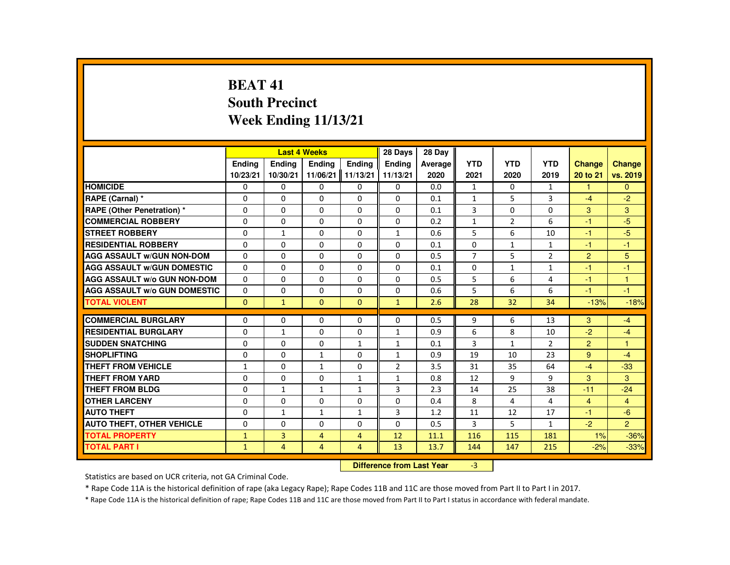# **BEAT 41 South PrecinctWeek Ending 11/13/21**

|                                     |               |                | <b>Last 4 Weeks</b> |                | 28 Days        | 28 Dav  |                |                |                |                |                |
|-------------------------------------|---------------|----------------|---------------------|----------------|----------------|---------|----------------|----------------|----------------|----------------|----------------|
|                                     | <b>Endina</b> | <b>Endina</b>  | <b>Endina</b>       | <b>Endina</b>  | <b>Endina</b>  | Average | <b>YTD</b>     | <b>YTD</b>     | <b>YTD</b>     | <b>Change</b>  | <b>Change</b>  |
|                                     | 10/23/21      | 10/30/21       | 11/06/21 11/13/21   |                | 11/13/21       | 2020    | 2021           | 2020           | 2019           | 20 to 21       | vs. 2019       |
| <b>HOMICIDE</b>                     | 0             | 0              | 0                   | 0              | 0              | 0.0     | 1              | 0              | $\mathbf{1}$   | 1              | $\mathbf{0}$   |
| RAPE (Carnal) *                     | $\Omega$      | $\Omega$       | $\Omega$            | $\Omega$       | $\Omega$       | 0.1     | $\mathbf{1}$   | 5              | 3              | $-4$           | $-2$           |
| RAPE (Other Penetration) *          | $\Omega$      | $\Omega$       | $\Omega$            | $\Omega$       | $\Omega$       | 0.1     | 3              | $\Omega$       | $\Omega$       | $\mathbf{3}$   | $\mathbf{3}$   |
| <b>COMMERCIAL ROBBERY</b>           | $\Omega$      | $\Omega$       | $\Omega$            | $\Omega$       | $\Omega$       | 0.2     | $\mathbf{1}$   | $\overline{2}$ | 6              | -1             | $-5$           |
| <b>STREET ROBBERY</b>               | $\Omega$      | $\mathbf{1}$   | $\Omega$            | $\Omega$       | $\mathbf{1}$   | 0.6     | 5              | 6              | 10             | $-1$           | -5             |
| <b>RESIDENTIAL ROBBERY</b>          | $\Omega$      | $\Omega$       | $\Omega$            | $\Omega$       | $\Omega$       | 0.1     | $\Omega$       | $\mathbf{1}$   | $\mathbf{1}$   | $-1$           | $-1$           |
| <b>AGG ASSAULT w/GUN NON-DOM</b>    | 0             | 0              | 0                   | 0              | 0              | 0.5     | $\overline{7}$ | 5              | $\overline{2}$ | $\overline{2}$ | 5              |
| <b>AGG ASSAULT W/GUN DOMESTIC</b>   | $\Omega$      | $\Omega$       | $\Omega$            | $\Omega$       | $\Omega$       | 0.1     | $\Omega$       | $\mathbf{1}$   | $\mathbf{1}$   | -1             | $-1$           |
| <b>AGG ASSAULT W/o GUN NON-DOM</b>  | $\Omega$      | $\Omega$       | $\Omega$            | $\Omega$       | $\Omega$       | 0.5     | 5              | 6              | 4              | $-1$           | $\mathbf{1}$   |
| <b>AGG ASSAULT W/o GUN DOMESTIC</b> | $\Omega$      | $\Omega$       | $\Omega$            | $\Omega$       | $\Omega$       | 0.6     | 5              | 6              | 6              | $-1$           | $-1$           |
| <b>TOTAL VIOLENT</b>                | $\Omega$      | $\mathbf{1}$   | $\Omega$            | $\Omega$       | $\mathbf{1}$   | 2.6     | 28             | 32             | 34             | $-13%$         | $-18%$         |
|                                     |               |                |                     |                |                |         |                |                |                |                |                |
| <b>COMMERCIAL BURGLARY</b>          | 0             | $\Omega$       | $\Omega$            | $\Omega$       | $\Omega$       | 0.5     | 9              | 6              | 13             | 3              | -4             |
| <b>RESIDENTIAL BURGLARY</b>         | $\Omega$      | $\mathbf{1}$   | $\Omega$            | $\Omega$       | $\mathbf{1}$   | 0.9     | 6              | 8              | 10             | $-2$           | $-4$           |
| <b>SUDDEN SNATCHING</b>             | $\Omega$      | $\Omega$       | $\Omega$            | $\mathbf{1}$   | $\mathbf{1}$   | 0.1     | 3              | $\mathbf{1}$   | $\overline{2}$ | 2              | $\overline{1}$ |
| <b>SHOPLIFTING</b>                  | $\Omega$      | $\Omega$       | $\mathbf{1}$        | $\Omega$       | $\mathbf{1}$   | 0.9     | 19             | 10             | 23             | 9              | $-4$           |
| <b>THEFT FROM VEHICLE</b>           | $\mathbf{1}$  | $\Omega$       | $\mathbf{1}$        | $\Omega$       | $\overline{2}$ | 3.5     | 31             | 35             | 64             | $-4$           | $-33$          |
| <b>THEFT FROM YARD</b>              | 0             | 0              | 0                   | $\mathbf{1}$   | $\mathbf{1}$   | 0.8     | 12             | 9              | 9              | 3              | 3              |
| <b>THEFT FROM BLDG</b>              | $\Omega$      | $\mathbf{1}$   | $\mathbf{1}$        | $\mathbf{1}$   | 3              | 2.3     | 14             | 25             | 38             | $-11$          | $-24$          |
| <b>OTHER LARCENY</b>                | $\Omega$      | 0              | 0                   | 0              | 0              | 0.4     | 8              | 4              | 4              | $\overline{4}$ | $\overline{4}$ |
| <b>AUTO THEFT</b>                   | $\Omega$      | $\mathbf{1}$   | 1                   | $\mathbf{1}$   | 3              | 1.2     | 11             | 12             | 17             | -1             | $-6$           |
| <b>AUTO THEFT, OTHER VEHICLE</b>    | $\Omega$      | $\Omega$       | $\Omega$            | $\Omega$       | $\Omega$       | 0.5     | 3              | 5              | $\mathbf{1}$   | $-2$           | $\overline{2}$ |
| <b>TOTAL PROPERTY</b>               | $\mathbf{1}$  | $\overline{3}$ | $\overline{4}$      | $\overline{4}$ | 12             | 11.1    | 116            | 115            | 181            | 1%             | $-36%$         |
| <b>TOTAL PART I</b>                 | $\mathbf{1}$  | $\overline{4}$ | $\overline{4}$      | 4              | 13             | 13.7    | 144            | 147            | 215            | $-2%$          | $-33%$         |

#### **Difference from Last Year**-3

Statistics are based on UCR criteria, not GA Criminal Code.

\* Rape Code 11A is the historical definition of rape (aka Legacy Rape); Rape Codes 11B and 11C are those moved from Part II to Part I in 2017.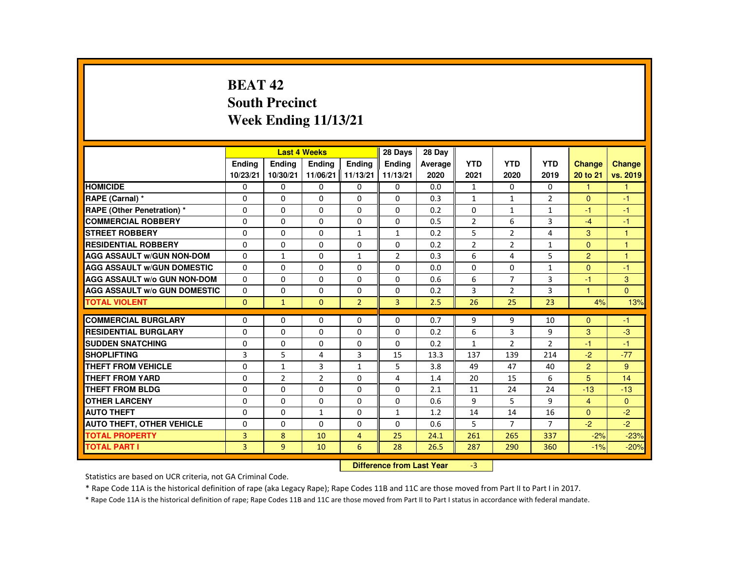# **BEAT 42 South PrecinctWeek Ending 11/13/21**

|                                     |                |                | <b>Last 4 Weeks</b> |                | 28 Days        | 28 Dav  |                |                |                |                |               |
|-------------------------------------|----------------|----------------|---------------------|----------------|----------------|---------|----------------|----------------|----------------|----------------|---------------|
|                                     | <b>Endina</b>  | <b>Endina</b>  | <b>Ending</b>       | <b>Endina</b>  | <b>Endina</b>  | Average | <b>YTD</b>     | <b>YTD</b>     | <b>YTD</b>     | <b>Change</b>  | <b>Change</b> |
|                                     | 10/23/21       | 10/30/21       | 11/06/21            | 11/13/21       | 11/13/21       | 2020    | 2021           | 2020           | 2019           | 20 to 21       | vs. 2019      |
| <b>HOMICIDE</b>                     | 0              | 0              | 0                   | 0              | 0              | 0.0     | $\mathbf{1}$   | 0              | 0              | 1              | $\mathbf{1}$  |
| RAPE (Carnal) *                     | $\Omega$       | $\Omega$       | $\Omega$            | $\Omega$       | $\Omega$       | 0.3     | $\mathbf{1}$   | $\mathbf{1}$   | $\overline{2}$ | $\Omega$       | $-1$          |
| <b>RAPE (Other Penetration) *</b>   | $\Omega$       | $\Omega$       | $\Omega$            | $\Omega$       | $\Omega$       | 0.2     | $\Omega$       | $\mathbf{1}$   | $\mathbf{1}$   | $-1$           | $-1$          |
| <b>COMMERCIAL ROBBERY</b>           | 0              | 0              | $\Omega$            | 0              | 0              | 0.5     | $\overline{2}$ | 6              | 3              | $-4$           | $-1$          |
| <b>STREET ROBBERY</b>               | $\Omega$       | $\Omega$       | $\Omega$            | $\mathbf{1}$   | $\mathbf{1}$   | 0.2     | 5              | 2              | 4              | 3              | 1             |
| <b>RESIDENTIAL ROBBERY</b>          | $\Omega$       | $\Omega$       | $\Omega$            | $\Omega$       | $\Omega$       | 0.2     | $\overline{2}$ | $\overline{2}$ | 1              | $\Omega$       | $\mathbf{1}$  |
| <b>AGG ASSAULT W/GUN NON-DOM</b>    | $\Omega$       | $\mathbf{1}$   | 0                   | $\mathbf{1}$   | $\overline{2}$ | 0.3     | 6              | 4              | 5              | $\overline{2}$ | $\mathbf{1}$  |
| <b>AGG ASSAULT W/GUN DOMESTIC</b>   | 0              | $\Omega$       | 0                   | 0              | 0              | 0.0     | 0              | 0              | $\mathbf{1}$   | $\Omega$       | $-1$          |
| <b>AGG ASSAULT W/o GUN NON-DOM</b>  | $\Omega$       | $\Omega$       | $\Omega$            | $\Omega$       | $\Omega$       | 0.6     | 6              | $\overline{7}$ | 3              | $-1$           | 3             |
| <b>AGG ASSAULT W/o GUN DOMESTIC</b> | $\Omega$       | $\Omega$       | $\Omega$            | $\Omega$       | $\Omega$       | 0.2     | 3              | $\overline{2}$ | 3              | $\mathbf{1}$   | $\Omega$      |
| <b>TOTAL VIOLENT</b>                | $\Omega$       | $\mathbf{1}$   | $\Omega$            | $\overline{2}$ | $\overline{3}$ | 2.5     | 26             | 25             | 23             | 4%             | 13%           |
|                                     |                |                |                     |                |                |         |                |                |                |                |               |
| <b>COMMERCIAL BURGLARY</b>          | $\Omega$       | $\Omega$       | $\Omega$            | $\Omega$       | $\Omega$       | 0.7     | 9              | 9              | 10             | $\Omega$       | $-1$          |
| <b>RESIDENTIAL BURGLARY</b>         | $\Omega$       | 0              | $\Omega$            | 0              | 0              | 0.2     | 6              | 3              | 9              | 3              | $-3$          |
| <b>SUDDEN SNATCHING</b>             | $\Omega$       | $\Omega$       | $\Omega$            | $\Omega$       | $\Omega$       | 0.2     | $\mathbf{1}$   | $\overline{2}$ | $\overline{2}$ | $-1$           | $-1$          |
| <b>SHOPLIFTING</b>                  | 3              | 5              | 4                   | 3              | 15             | 13.3    | 137            | 139            | 214            | $-2$           | $-77$         |
| <b>THEFT FROM VEHICLE</b>           | 0              | $\mathbf{1}$   | 3                   | $\mathbf{1}$   | 5              | 3.8     | 49             | 47             | 40             | $\overline{2}$ | 9             |
| <b>THEFT FROM YARD</b>              | $\Omega$       | $\overline{2}$ | 2                   | $\Omega$       | 4              | 1.4     | 20             | 15             | 6              | 5              | 14            |
| THEFT FROM BLDG                     | $\Omega$       | $\Omega$       | $\Omega$            | $\Omega$       | $\Omega$       | 2.1     | 11             | 24             | 24             | $-13$          | $-13$         |
| <b>OTHER LARCENY</b>                | 0              | 0              | 0                   | 0              | 0              | 0.6     | 9              | 5              | 9              | $\overline{4}$ | $\mathbf{0}$  |
| <b>AUTO THEFT</b>                   | $\Omega$       | $\Omega$       | $\mathbf{1}$        | $\Omega$       | $\mathbf{1}$   | 1.2     | 14             | 14             | 16             | $\Omega$       | $-2$          |
| <b>AUTO THEFT, OTHER VEHICLE</b>    | $\Omega$       | $\Omega$       | $\Omega$            | $\Omega$       | $\Omega$       | 0.6     | 5              | $\overline{7}$ | $\overline{7}$ | $-2$           | $-2$          |
| <b>TOTAL PROPERTY</b>               | 3              | 8              | 10                  | $\overline{4}$ | 25             | 24.1    | 261            | 265            | 337            | $-2%$          | $-23%$        |
| TOTAL PART I                        | $\overline{3}$ | 9              | 10                  | 6              | 28             | 26.5    | 287            | 290            | 360            | $-1%$          | $-20%$        |

#### **Difference from Last Year**-3

Statistics are based on UCR criteria, not GA Criminal Code.

\* Rape Code 11A is the historical definition of rape (aka Legacy Rape); Rape Codes 11B and 11C are those moved from Part II to Part I in 2017.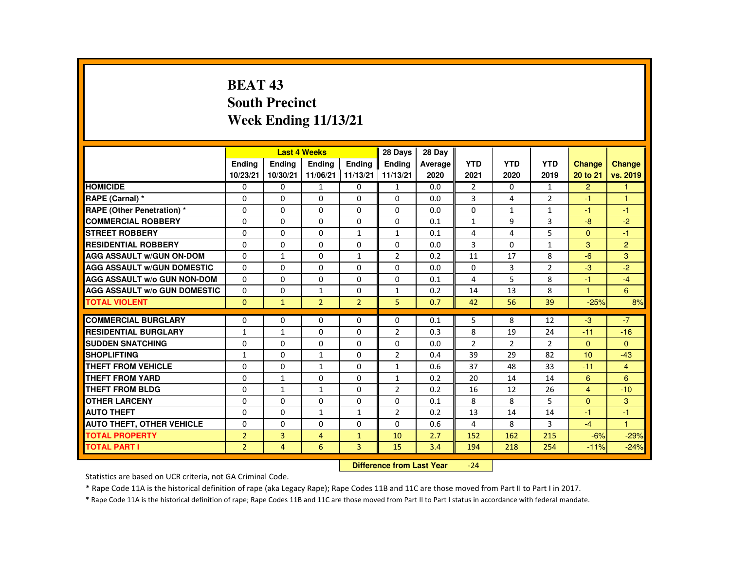# **BEAT 43 South PrecinctWeek Ending 11/13/21**

|                                     |                |                | <b>Last 4 Weeks</b> |                | 28 Days        | 28 Day  |                |              |                |                      |                      |
|-------------------------------------|----------------|----------------|---------------------|----------------|----------------|---------|----------------|--------------|----------------|----------------------|----------------------|
|                                     | <b>Endina</b>  | <b>Endina</b>  | <b>Endina</b>       | <b>Endina</b>  | <b>Endina</b>  | Average | <b>YTD</b>     | <b>YTD</b>   | <b>YTD</b>     | <b>Change</b>        | <b>Change</b>        |
|                                     | 10/23/21       | 10/30/21       | 11/06/21   11/13/21 |                | 11/13/21       | 2020    | 2021           | 2020         | 2019           | 20 to 21             | vs. 2019             |
| <b>HOMICIDE</b>                     | 0              | 0              | $\mathbf{1}$        | 0              | $\mathbf{1}$   | 0.0     | $\overline{2}$ | $\Omega$     | $\mathbf{1}$   | $\overline{2}$       | 1                    |
| RAPE (Carnal) *                     | $\Omega$       | $\Omega$       | $\Omega$            | $\Omega$       | $\Omega$       | 0.0     | 3              | 4            | $\overline{2}$ | -1                   | $\blacktriangleleft$ |
| <b>RAPE (Other Penetration) *</b>   | $\Omega$       | $\Omega$       | $\Omega$            | $\Omega$       | $\Omega$       | 0.0     | $\Omega$       | $\mathbf{1}$ | $\mathbf{1}$   | $-1$                 | $-1$                 |
| <b>COMMERCIAL ROBBERY</b>           | $\Omega$       | $\Omega$       | $\Omega$            | $\Omega$       | $\Omega$       | 0.1     | $\mathbf{1}$   | 9            | 3              | $-8$                 | $-2$                 |
| <b>STREET ROBBERY</b>               | $\Omega$       | $\Omega$       | $\Omega$            | $\mathbf{1}$   | $\mathbf{1}$   | 0.1     | 4              | 4            | 5              | $\Omega$             | $-1$                 |
| <b>RESIDENTIAL ROBBERY</b>          | $\Omega$       | $\Omega$       | $\Omega$            | $\Omega$       | $\Omega$       | 0.0     | 3              | $\Omega$     | $\mathbf{1}$   | 3                    | 2                    |
| <b>AGG ASSAULT w/GUN ON-DOM</b>     | $\Omega$       | $\mathbf{1}$   | $\Omega$            | $\mathbf{1}$   | $\overline{2}$ | 0.2     | 11             | 17           | 8              | $-6$                 | 3                    |
| <b>AGG ASSAULT W/GUN DOMESTIC</b>   | $\Omega$       | $\Omega$       | $\Omega$            | 0              | $\Omega$       | 0.0     | $\Omega$       | 3            | $\overline{2}$ | $-3$                 | $-2$                 |
| <b>AGG ASSAULT W/o GUN NON-DOM</b>  | $\Omega$       | $\Omega$       | $\Omega$            | $\Omega$       | $\Omega$       | 0.1     | 4              | 5            | 8              | -1                   | $-4$                 |
| <b>AGG ASSAULT W/o GUN DOMESTIC</b> | $\Omega$       | $\Omega$       | $\mathbf{1}$        | $\Omega$       | $\mathbf{1}$   | 0.2     | 14             | 13           | 8              | $\blacktriangleleft$ | 6                    |
| <b>TOTAL VIOLENT</b>                | $\mathbf{0}$   | $\mathbf{1}$   | $\overline{2}$      | $\overline{2}$ | 5              | 0.7     | 42             | 56           | 39             | $-25%$               | 8%                   |
|                                     |                |                |                     |                |                |         |                |              |                |                      |                      |
| <b>COMMERCIAL BURGLARY</b>          | $\Omega$       | $\Omega$       | $\Omega$            | $\Omega$       | $\Omega$       | 0.1     | 5              | 8            | 12             | $-3$                 | $-7$                 |
| <b>RESIDENTIAL BURGLARY</b>         | $\mathbf{1}$   | $\mathbf{1}$   | $\Omega$            | $\Omega$       | $\overline{2}$ | 0.3     | 8              | 19           | 24             | $-11$                | $-16$                |
| <b>SUDDEN SNATCHING</b>             | $\Omega$       | $\Omega$       | $\Omega$            | $\Omega$       | $\Omega$       | 0.0     | $\overline{2}$ | 2            | $\overline{2}$ | $\Omega$             | $\Omega$             |
| <b>SHOPLIFTING</b>                  | $\mathbf{1}$   | $\Omega$       | $\mathbf{1}$        | $\Omega$       | $\overline{2}$ | 0.4     | 39             | 29           | 82             | 10                   | $-43$                |
| THEFT FROM VEHICLE                  | $\Omega$       | 0              | 1                   | 0              | $\mathbf{1}$   | 0.6     | 37             | 48           | 33             | $-11$                | $\overline{4}$       |
| <b>THEFT FROM YARD</b>              | $\Omega$       | $\mathbf{1}$   | $\Omega$            | $\Omega$       | $\mathbf{1}$   | 0.2     | 20             | 14           | 14             | 6                    | 6                    |
| <b>THEFT FROM BLDG</b>              | $\Omega$       | $\mathbf{1}$   | $\mathbf{1}$        | $\Omega$       | $\overline{2}$ | 0.2     | 16             | 12           | 26             | $\overline{4}$       | $-10$                |
| <b>OTHER LARCENY</b>                | $\Omega$       | $\Omega$       | $\Omega$            | $\Omega$       | $\Omega$       | 0.1     | 8              | 8            | 5              | $\Omega$             | 3                    |
| <b>AUTO THEFT</b>                   | $\Omega$       | $\Omega$       | $\mathbf{1}$        | $\mathbf{1}$   | 2              | 0.2     | 13             | 14           | 14             | -1                   | $-1$                 |
| <b>AUTO THEFT, OTHER VEHICLE</b>    | $\Omega$       | $\Omega$       | $\Omega$            | $\Omega$       | $\Omega$       | 0.6     | 4              | 8            | 3              | $-4$                 | $\mathbf{1}$         |
| <b>TOTAL PROPERTY</b>               | $\overline{2}$ | $\overline{3}$ | $\overline{4}$      | $\mathbf{1}$   | 10             | 2.7     | 152            | 162          | 215            | $-6%$                | $-29%$               |
| <b>TOTAL PART I</b>                 | $\overline{2}$ | $\overline{4}$ | 6                   | $\overline{3}$ | 15             | 3.4     | 194            | 218          | 254            | $-11%$               | $-24%$               |

#### **Difference from Last Year**-24

Statistics are based on UCR criteria, not GA Criminal Code.

\* Rape Code 11A is the historical definition of rape (aka Legacy Rape); Rape Codes 11B and 11C are those moved from Part II to Part I in 2017.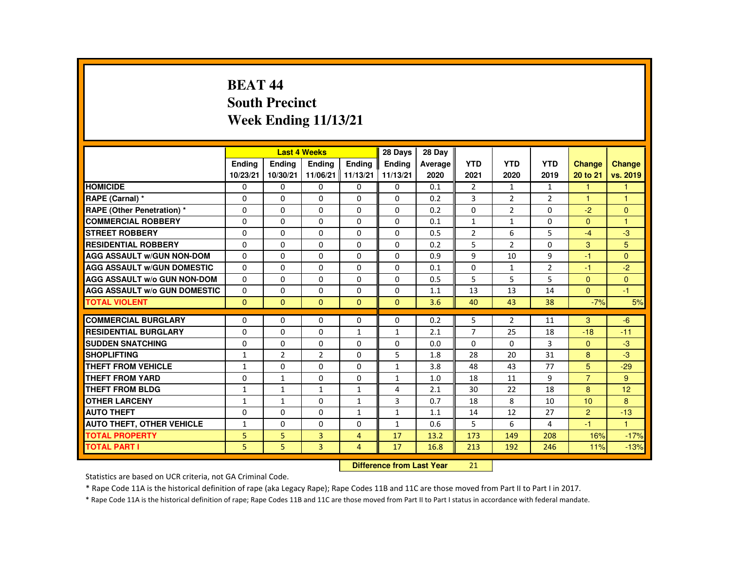# **BEAT 44 South PrecinctWeek Ending 11/13/21**

|                                     |               |                | <b>Last 4 Weeks</b>      |                | 28 Days       | 28 Day  |                |                |                |                |                |
|-------------------------------------|---------------|----------------|--------------------------|----------------|---------------|---------|----------------|----------------|----------------|----------------|----------------|
|                                     | <b>Endina</b> | <b>Endina</b>  | <b>Endina</b>            | <b>Endina</b>  | <b>Endina</b> | Average | <b>YTD</b>     | <b>YTD</b>     | <b>YTD</b>     | <b>Change</b>  | Change         |
|                                     | 10/23/21      | 10/30/21       | 11/06/21 11/13/21        |                | 11/13/21      | 2020    | 2021           | 2020           | 2019           | 20 to 21       | vs. 2019       |
| <b>HOMICIDE</b>                     | 0             | 0              | 0                        | 0              | 0             | 0.1     | $\overline{2}$ | $\mathbf{1}$   | $\mathbf{1}$   | 1              | 1              |
| RAPE (Carnal) *                     | $\Omega$      | $\Omega$       | $\Omega$                 | $\Omega$       | $\Omega$      | 0.2     | 3              | 2              | $\overline{2}$ | $\mathbf{1}$   | $\mathbf{1}$   |
| RAPE (Other Penetration) *          | $\Omega$      | $\Omega$       | $\Omega$                 | $\Omega$       | $\Omega$      | 0.2     | $\Omega$       | 2              | $\Omega$       | $-2$           | $\Omega$       |
| <b>COMMERCIAL ROBBERY</b>           | 0             | 0              | 0                        | 0              | 0             | 0.1     | $\mathbf{1}$   | $\mathbf{1}$   | 0              | $\Omega$       | $\overline{1}$ |
| <b>STREET ROBBERY</b>               | $\Omega$      | $\Omega$       | $\Omega$                 | $\Omega$       | $\Omega$      | 0.5     | $\overline{2}$ | 6              | 5              | $-4$           | $-3$           |
| <b>RESIDENTIAL ROBBERY</b>          | $\Omega$      | $\Omega$       | $\Omega$                 | $\Omega$       | $\Omega$      | 0.2     | 5              | $\overline{2}$ | $\Omega$       | 3              | 5              |
| <b>AGG ASSAULT W/GUN NON-DOM</b>    | $\Omega$      | $\Omega$       | $\Omega$                 | 0              | $\Omega$      | 0.9     | 9              | 10             | 9              | $-1$           | $\Omega$       |
| <b>AGG ASSAULT W/GUN DOMESTIC</b>   | $\Omega$      | $\Omega$       | $\Omega$                 | $\Omega$       | $\Omega$      | 0.1     | $\Omega$       | $\mathbf{1}$   | $\overline{2}$ | -1             | $-2$           |
| <b>AGG ASSAULT W/o GUN NON-DOM</b>  | $\Omega$      | $\Omega$       | $\Omega$                 | $\Omega$       | $\Omega$      | 0.5     | 5              | 5              | 5              | $\Omega$       | $\Omega$       |
| <b>AGG ASSAULT W/o GUN DOMESTIC</b> | $\Omega$      | $\Omega$       | $\Omega$                 | $\Omega$       | $\Omega$      | 1.1     | 13             | 13             | 14             | $\Omega$       | $-1$           |
| <b>TOTAL VIOLENT</b>                | $\Omega$      | $\mathbf{0}$   | $\Omega$                 | $\Omega$       | $\Omega$      | 3.6     | 40             | 43             | 38             | $-7%$          | 5%             |
|                                     |               |                |                          |                |               |         |                |                |                |                |                |
| <b>COMMERCIAL BURGLARY</b>          | $\Omega$      | $\Omega$       | $\Omega$                 | $\Omega$       | $\Omega$      | 0.2     | 5              | $\overline{2}$ | 11             | 3              | $-6$           |
| <b>RESIDENTIAL BURGLARY</b>         | $\Omega$      | 0              | $\Omega$                 | $\mathbf{1}$   | $\mathbf{1}$  | 2.1     | 7              | 25             | 18             | $-18$          | $-11$          |
| <b>SUDDEN SNATCHING</b>             | $\Omega$      | $\Omega$       | $\Omega$                 | $\Omega$       | $\Omega$      | 0.0     | $\Omega$       | $\Omega$       | 3              | $\Omega$       | $-3$           |
| <b>SHOPLIFTING</b>                  | $\mathbf{1}$  | $\overline{2}$ | $\overline{\phantom{a}}$ | $\Omega$       | 5             | 1.8     | 28             | 20             | 31             | 8              | $-3$           |
| <b>THEFT FROM VEHICLE</b>           | $\mathbf{1}$  | 0              | $\Omega$                 | 0              | $\mathbf{1}$  | 3.8     | 48             | 43             | 77             | 5              | $-29$          |
| <b>THEFT FROM YARD</b>              | $\Omega$      | $\mathbf{1}$   | $\Omega$                 | $\Omega$       | $\mathbf{1}$  | 1.0     | 18             | 11             | 9              | $\overline{7}$ | 9              |
| <b>THEFT FROM BLDG</b>              | $\mathbf{1}$  | $\mathbf{1}$   | $\mathbf{1}$             | $\mathbf{1}$   | 4             | 2.1     | 30             | 22             | 18             | 8              | 12             |
| <b>OTHER LARCENY</b>                | $\mathbf{1}$  | $\mathbf{1}$   | $\Omega$                 | $\mathbf{1}$   | 3             | 0.7     | 18             | 8              | 10             | 10             | 8              |
| <b>AUTO THEFT</b>                   | $\Omega$      | $\Omega$       | $\Omega$                 | $\mathbf{1}$   | $\mathbf{1}$  | 1.1     | 14             | 12             | 27             | $\overline{2}$ | $-13$          |
| <b>AUTO THEFT, OTHER VEHICLE</b>    | $\mathbf{1}$  | $\Omega$       | $\Omega$                 | $\Omega$       | $\mathbf{1}$  | 0.6     | 5              | 6              | 4              | $-1$           | $\mathbf{1}$   |
| <b>TOTAL PROPERTY</b>               | 5             | 5              | 3                        | $\overline{4}$ | 17            | 13.2    | 173            | 149            | 208            | 16%            | $-17%$         |
| <b>TOTAL PART I</b>                 | 5.            | 5              | $\overline{3}$           | $\overline{4}$ | 17            | 16.8    | 213            | 192            | 246            | 11%            | $-13%$         |

#### **Difference from Last Year**<sup>21</sup>

Statistics are based on UCR criteria, not GA Criminal Code.

\* Rape Code 11A is the historical definition of rape (aka Legacy Rape); Rape Codes 11B and 11C are those moved from Part II to Part I in 2017.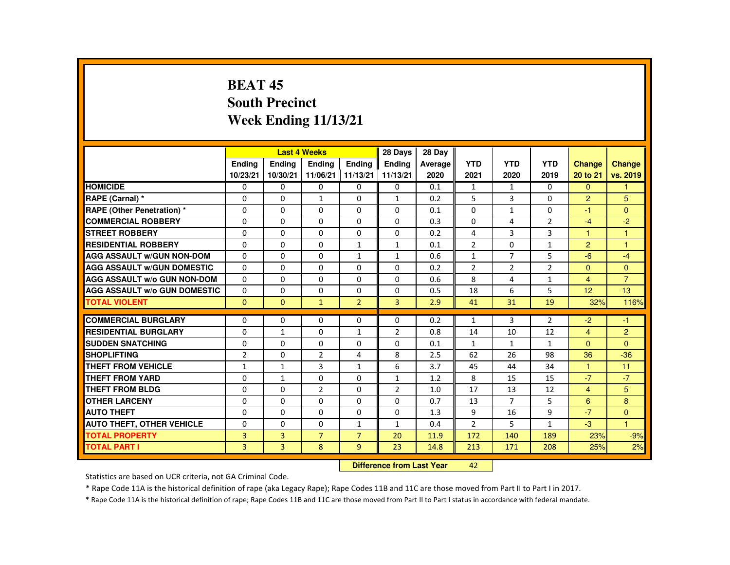# **BEAT 45 South PrecinctWeek Ending 11/13/21**

|                                     |                |                | <b>Last 4 Weeks</b> |                | 28 Days        | 28 Day  |                |                |                |                      |                |
|-------------------------------------|----------------|----------------|---------------------|----------------|----------------|---------|----------------|----------------|----------------|----------------------|----------------|
|                                     | <b>Endina</b>  | <b>Endina</b>  | <b>Endina</b>       | <b>Endina</b>  | <b>Endina</b>  | Average | <b>YTD</b>     | <b>YTD</b>     | <b>YTD</b>     | <b>Change</b>        | <b>Change</b>  |
|                                     | 10/23/21       | 10/30/21       | 11/06/21 11/13/21   |                | 11/13/21       | 2020    | 2021           | 2020           | 2019           | 20 to 21             | vs. 2019       |
| <b>HOMICIDE</b>                     | 0              | 0              | 0                   | 0              | 0              | 0.1     | $\mathbf{1}$   | 1              | 0              | $\Omega$             | 1              |
| RAPE (Carnal) *                     | $\Omega$       | $\Omega$       | $\mathbf{1}$        | $\Omega$       | $\mathbf{1}$   | 0.2     | 5              | 3              | $\Omega$       | $\overline{2}$       | 5              |
| RAPE (Other Penetration) *          | $\Omega$       | $\Omega$       | $\Omega$            | $\Omega$       | $\Omega$       | 0.1     | $\Omega$       | $\mathbf{1}$   | $\Omega$       | $-1$                 | $\Omega$       |
| <b>COMMERCIAL ROBBERY</b>           | 0              | 0              | 0                   | 0              | 0              | 0.3     | 0              | 4              | $\overline{2}$ | $-4$                 | $-2$           |
| <b>STREET ROBBERY</b>               | $\Omega$       | $\Omega$       | $\Omega$            | $\Omega$       | $\Omega$       | 0.2     | 4              | 3              | 3              | $\blacktriangleleft$ | $\overline{1}$ |
| <b>RESIDENTIAL ROBBERY</b>          | $\Omega$       | $\Omega$       | $\Omega$            | $\mathbf{1}$   | $\mathbf{1}$   | 0.1     | $\overline{2}$ | $\Omega$       | $\mathbf{1}$   | $\overline{2}$       | $\overline{1}$ |
| <b>AGG ASSAULT W/GUN NON-DOM</b>    | $\Omega$       | $\Omega$       | $\Omega$            | $\mathbf{1}$   | $\mathbf{1}$   | 0.6     | $\mathbf{1}$   | $\overline{7}$ | 5              | $-6$                 | $-4$           |
| <b>AGG ASSAULT W/GUN DOMESTIC</b>   | $\Omega$       | $\Omega$       | $\Omega$            | $\Omega$       | $\Omega$       | 0.2     | $\overline{2}$ | 2              | $\overline{2}$ | $\Omega$             | $\Omega$       |
| <b>AGG ASSAULT W/o GUN NON-DOM</b>  | $\Omega$       | $\Omega$       | $\Omega$            | $\Omega$       | $\Omega$       | 0.6     | 8              | 4              | $\mathbf{1}$   | $\overline{4}$       | $\overline{7}$ |
| <b>AGG ASSAULT W/o GUN DOMESTIC</b> | $\Omega$       | $\Omega$       | $\Omega$            | $\Omega$       | $\Omega$       | 0.5     | 18             | 6              | 5              | 12                   | 13             |
| <b>TOTAL VIOLENT</b>                | $\Omega$       | $\mathbf{0}$   | $\mathbf{1}$        | $\overline{2}$ | $\overline{3}$ | 2.9     | 41             | 31             | 19             | 32%                  | 116%           |
|                                     |                |                |                     |                |                |         |                |                |                |                      |                |
| <b>COMMERCIAL BURGLARY</b>          | $\Omega$       | $\Omega$       | $\Omega$            | $\Omega$       | $\Omega$       | 0.2     | $\mathbf{1}$   | 3              | $\overline{2}$ | $-2$                 | $-1$           |
| <b>RESIDENTIAL BURGLARY</b>         | $\Omega$       | $\mathbf{1}$   | $\Omega$            | $\mathbf{1}$   | 2              | 0.8     | 14             | 10             | 12             | $\overline{4}$       | $\overline{2}$ |
| <b>SUDDEN SNATCHING</b>             | $\Omega$       | $\Omega$       | $\Omega$            | $\Omega$       | $\Omega$       | 0.1     | $\mathbf{1}$   | $\mathbf{1}$   | $\mathbf{1}$   | $\Omega$             | $\Omega$       |
| <b>SHOPLIFTING</b>                  | $\overline{2}$ | $\Omega$       | $\overline{2}$      | 4              | 8              | 2.5     | 62             | 26             | 98             | 36                   | $-36$          |
| <b>THEFT FROM VEHICLE</b>           | $\mathbf{1}$   | $\mathbf{1}$   | 3                   | $\mathbf{1}$   | 6              | 3.7     | 45             | 44             | 34             | $\blacktriangleleft$ | 11             |
| <b>THEFT FROM YARD</b>              | $\Omega$       | $\mathbf{1}$   | $\Omega$            | $\Omega$       | $\mathbf{1}$   | 1.2     | 8              | 15             | 15             | $-7$                 | $-7$           |
| <b>THEFT FROM BLDG</b>              | $\Omega$       | $\Omega$       | $\overline{2}$      | $\Omega$       | 2              | 1.0     | 17             | 13             | 12             | $\overline{4}$       | 5              |
| <b>OTHER LARCENY</b>                | 0              | $\Omega$       | $\Omega$            | $\Omega$       | $\Omega$       | 0.7     | 13             | $\overline{7}$ | 5              | 6                    | 8              |
| <b>AUTO THEFT</b>                   | $\Omega$       | $\Omega$       | $\Omega$            | $\Omega$       | $\Omega$       | 1.3     | 9              | 16             | 9              | $-7$                 | $\Omega$       |
| <b>AUTO THEFT, OTHER VEHICLE</b>    | $\Omega$       | $\Omega$       | $\Omega$            | $\mathbf{1}$   | $\mathbf{1}$   | 0.4     | $\mathcal{P}$  | 5              | $\mathbf{1}$   | $-3$                 | $\mathbf{1}$   |
| <b>TOTAL PROPERTY</b>               | 3              | 3              | $\overline{7}$      | $\overline{7}$ | 20             | 11.9    | 172            | 140            | 189            | 23%                  | $-9%$          |
| <b>TOTAL PART I</b>                 | 3              | $\overline{3}$ | 8                   | 9              | 23             | 14.8    | 213            | 171            | 208            | 25%                  | 2%             |

#### **Difference from Last Year**<sup>42</sup>

Statistics are based on UCR criteria, not GA Criminal Code.

\* Rape Code 11A is the historical definition of rape (aka Legacy Rape); Rape Codes 11B and 11C are those moved from Part II to Part I in 2017.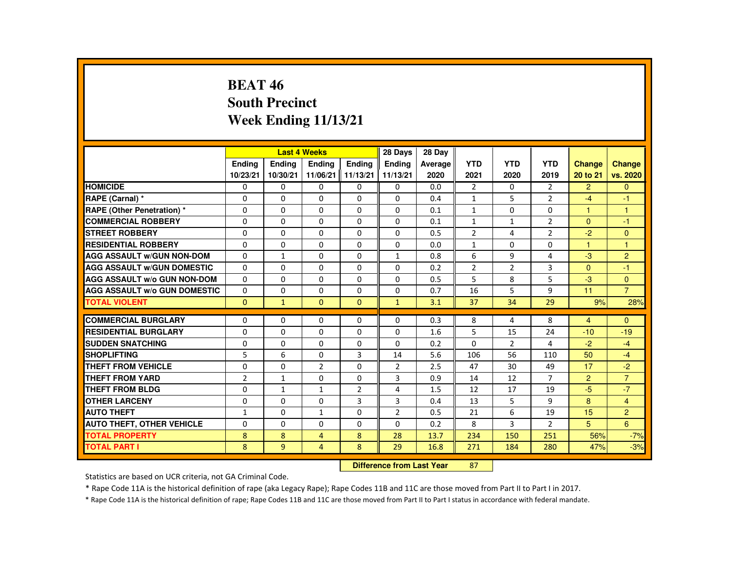# **BEAT 46 South PrecinctWeek Ending 11/13/21**

|                                     |                |               | <b>Last 4 Weeks</b> |                | 28 Days        | 28 Day  |                |                |                |                |                |
|-------------------------------------|----------------|---------------|---------------------|----------------|----------------|---------|----------------|----------------|----------------|----------------|----------------|
|                                     | <b>Endina</b>  | <b>Endina</b> | <b>Endina</b>       | <b>Endina</b>  | <b>Endina</b>  | Average | <b>YTD</b>     | <b>YTD</b>     | <b>YTD</b>     | <b>Change</b>  | Change         |
|                                     | 10/23/21       | 10/30/21      | 11/06/21 11/13/21   |                | 11/13/21       | 2020    | 2021           | 2020           | 2019           | 20 to 21       | vs. 2020       |
| <b>HOMICIDE</b>                     | $\Omega$       | 0             | 0                   | 0              | 0              | 0.0     | $\overline{2}$ | 0              | 2              | $\overline{2}$ | $\mathbf{0}$   |
| RAPE (Carnal) *                     | $\Omega$       | $\Omega$      | $\Omega$            | $\Omega$       | $\Omega$       | 0.4     | $\mathbf{1}$   | 5              | $\overline{2}$ | $-4$           | $-1$           |
| <b>RAPE (Other Penetration) *</b>   | $\Omega$       | $\Omega$      | $\Omega$            | $\Omega$       | $\Omega$       | 0.1     | $\mathbf{1}$   | $\Omega$       | $\Omega$       | $\mathbf{1}$   | $\mathbf{1}$   |
| <b>COMMERCIAL ROBBERY</b>           | $\Omega$       | $\mathbf{0}$  | $\Omega$            | $\Omega$       | $\Omega$       | 0.1     | $\mathbf{1}$   | $\mathbf{1}$   | $\overline{2}$ | $\Omega$       | $-1$           |
| <b>STREET ROBBERY</b>               | $\Omega$       | $\Omega$      | $\Omega$            | $\Omega$       | $\Omega$       | 0.5     | $\overline{2}$ | 4              | $\overline{2}$ | $-2$           | $\mathbf{0}$   |
| <b>RESIDENTIAL ROBBERY</b>          | $\Omega$       | $\Omega$      | $\Omega$            | $\Omega$       | $\Omega$       | 0.0     | $\mathbf{1}$   | $\Omega$       | $\Omega$       | 1              | $\mathbf{1}$   |
| <b>AGG ASSAULT W/GUN NON-DOM</b>    | $\Omega$       | $\mathbf{1}$  | $\Omega$            | $\Omega$       | $\mathbf{1}$   | 0.8     | 6              | 9              | 4              | $-3$           | $\overline{2}$ |
| <b>AGG ASSAULT W/GUN DOMESTIC</b>   | $\Omega$       | $\Omega$      | $\Omega$            | $\Omega$       | $\Omega$       | 0.2     | $\overline{2}$ | $\overline{2}$ | 3              | $\Omega$       | $-1$           |
| <b>AGG ASSAULT W/o GUN NON-DOM</b>  | $\Omega$       | $\Omega$      | $\Omega$            | $\Omega$       | $\Omega$       | 0.5     | 5              | 8              | 5              | $-3$           | $\Omega$       |
| <b>AGG ASSAULT W/o GUN DOMESTIC</b> | $\Omega$       | $\Omega$      | $\Omega$            | $\Omega$       | $\Omega$       | 0.7     | 16             | 5              | 9              | 11             | $\overline{7}$ |
| <b>TOTAL VIOLENT</b>                | $\Omega$       | $\mathbf{1}$  | $\Omega$            | $\Omega$       | $\mathbf{1}$   | 3.1     | 37             | 34             | 29             | 9%             | 28%            |
|                                     |                |               |                     |                |                |         |                |                |                |                |                |
| <b>COMMERCIAL BURGLARY</b>          | $\Omega$       | $\Omega$      | $\Omega$            | $\Omega$       | $\Omega$       | 0.3     | 8              | 4              | 8              | $\overline{4}$ | $\Omega$       |
| <b>RESIDENTIAL BURGLARY</b>         | $\Omega$       | $\Omega$      | $\Omega$            | $\Omega$       | $\Omega$       | 1.6     | 5              | 15             | 24             | $-10$          | $-19$          |
| <b>SUDDEN SNATCHING</b>             | $\Omega$       | $\Omega$      | $\Omega$            | $\Omega$       | $\Omega$       | 0.2     | $\Omega$       | 2              | 4              | $-2$           | $-4$           |
| <b>SHOPLIFTING</b>                  | 5              | 6             | $\Omega$            | $\mathbf{3}$   | 14             | 5.6     | 106            | 56             | 110            | 50             | $-4$           |
| THEFT FROM VEHICLE                  | $\Omega$       | $\Omega$      | $\overline{2}$      | $\Omega$       | 2              | 2.5     | 47             | 30             | 49             | 17             | $-2$           |
| <b>THEFT FROM YARD</b>              | $\overline{2}$ | $\mathbf{1}$  | $\Omega$            | $\Omega$       | $\overline{3}$ | 0.9     | 14             | 12             | $\overline{7}$ | $\overline{2}$ | $\overline{7}$ |
| <b>THEFT FROM BLDG</b>              | $\Omega$       | $\mathbf{1}$  | $\mathbf{1}$        | $\overline{2}$ | $\overline{4}$ | 1.5     | 12             | 17             | 19             | -5             | $-7$           |
| <b>OTHER LARCENY</b>                | $\Omega$       | $\Omega$      | $\Omega$            | 3              | 3              | 0.4     | 13             | 5              | 9              | 8              | $\overline{4}$ |
| <b>AUTO THEFT</b>                   | $\mathbf{1}$   | $\mathbf{0}$  | $\mathbf{1}$        | $\Omega$       | $\overline{2}$ | 0.5     | 21             | 6              | 19             | 15             | $\overline{c}$ |
| <b>AUTO THEFT, OTHER VEHICLE</b>    | $\Omega$       | $\Omega$      | $\Omega$            | $\Omega$       | $\Omega$       | 0.2     | 8              | 3              | $\overline{2}$ | 5              | 6              |
| <b>TOTAL PROPERTY</b>               | 8              | 8             | $\overline{4}$      | 8              | 28             | 13.7    | 234            | 150            | 251            | 56%            | $-7%$          |
| <b>TOTAL PART I</b>                 | 8              | 9             | $\overline{4}$      | 8              | 29             | 16.8    | 271            | 184            | 280            | 47%            | $-3%$          |
|                                     |                |               |                     |                |                |         |                |                |                |                |                |

#### **Difference from Last Year**<sup>87</sup>

Statistics are based on UCR criteria, not GA Criminal Code.

\* Rape Code 11A is the historical definition of rape (aka Legacy Rape); Rape Codes 11B and 11C are those moved from Part II to Part I in 2017.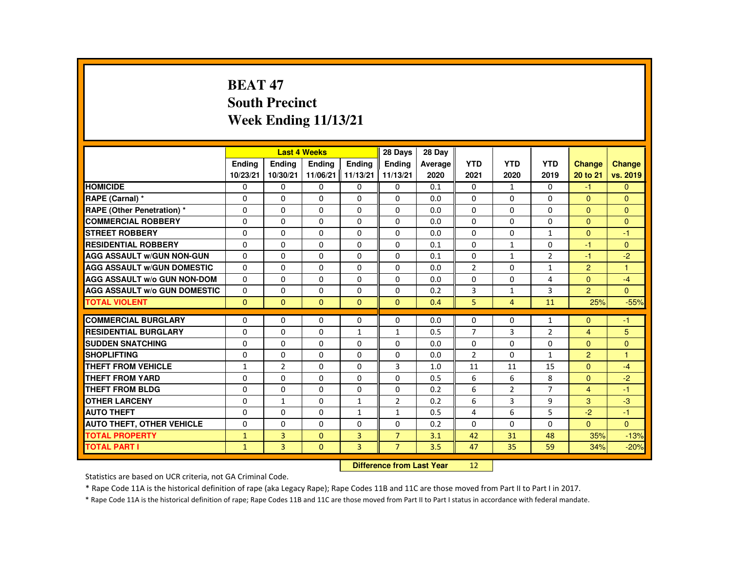# **BEAT 47 South PrecinctWeek Ending 11/13/21**

|                                     |               |                | <b>Last 4 Weeks</b> |                | 28 Days        | 28 Dav  |                |                |                |                |               |
|-------------------------------------|---------------|----------------|---------------------|----------------|----------------|---------|----------------|----------------|----------------|----------------|---------------|
|                                     | <b>Endina</b> | <b>Endina</b>  | <b>Endina</b>       | <b>Endina</b>  | <b>Endina</b>  | Average | <b>YTD</b>     | <b>YTD</b>     | <b>YTD</b>     | <b>Change</b>  | <b>Change</b> |
|                                     | 10/23/21      | 10/30/21       | 11/06/21            | 11/13/21       | 11/13/21       | 2020    | 2021           | 2020           | 2019           | 20 to 21       | vs. 2019      |
| <b>HOMICIDE</b>                     | 0             | 0              | $\mathbf{0}$        | $\Omega$       | $\mathbf{0}$   | 0.1     | $\mathbf{0}$   | 1              | 0              | $-1$           | $\Omega$      |
| RAPE (Carnal) *                     | 0             | $\Omega$       | $\Omega$            | $\Omega$       | $\Omega$       | 0.0     | 0              | $\Omega$       | $\Omega$       | $\Omega$       | $\mathbf{0}$  |
| <b>RAPE (Other Penetration) *</b>   | $\Omega$      | $\Omega$       | $\Omega$            | $\Omega$       | $\Omega$       | 0.0     | $\Omega$       | $\Omega$       | $\Omega$       | $\Omega$       | $\Omega$      |
| <b>COMMERCIAL ROBBERY</b>           | 0             | 0              | 0                   | 0              | 0              | 0.0     | $\mathbf{0}$   | 0              | 0              | $\mathbf{0}$   | $\mathbf{0}$  |
| <b>STREET ROBBERY</b>               | $\Omega$      | $\Omega$       | $\Omega$            | $\Omega$       | $\Omega$       | 0.0     | $\Omega$       | $\Omega$       | $\mathbf{1}$   | $\Omega$       | $-1$          |
| <b>RESIDENTIAL ROBBERY</b>          | $\Omega$      | $\Omega$       | $\Omega$            | $\Omega$       | $\Omega$       | 0.1     | $\Omega$       | $\mathbf{1}$   | 0              | $-1$           | $\Omega$      |
| <b>AGG ASSAULT W/GUN NON-GUN</b>    | 0             | 0              | 0                   | 0              | 0              | 0.1     | 0              | $\mathbf{1}$   | $\overline{2}$ | $-1$           | $-2$          |
| <b>AGG ASSAULT W/GUN DOMESTIC</b>   | $\Omega$      | $\Omega$       | $\Omega$            | $\Omega$       | $\Omega$       | 0.0     | $\overline{2}$ | $\Omega$       | $\mathbf{1}$   | $\overline{2}$ | $\mathbf{1}$  |
| <b>AGG ASSAULT W/o GUN NON-DOM</b>  | $\Omega$      | $\Omega$       | $\Omega$            | $\Omega$       | $\Omega$       | 0.0     | $\Omega$       | $\Omega$       | 4              | $\Omega$       | $-4$          |
| <b>AGG ASSAULT W/o GUN DOMESTIC</b> | $\Omega$      | $\Omega$       | $\Omega$            | $\Omega$       | $\Omega$       | 0.2     | 3              | $\mathbf{1}$   | 3              | $\overline{2}$ | $\Omega$      |
| <b>TOTAL VIOLENT</b>                | $\Omega$      | $\mathbf{0}$   | $\mathbf{0}$        | $\Omega$       | $\mathbf{0}$   | 0.4     | 5              | 4              | 11             | 25%            | $-55%$        |
|                                     |               |                |                     |                |                |         |                |                |                |                |               |
| <b>COMMERCIAL BURGLARY</b>          | 0             | 0              | 0                   | 0              | 0              | 0.0     | 0              | 0              | 1              | $\mathbf{0}$   | $-1$          |
| <b>RESIDENTIAL BURGLARY</b>         | $\Omega$      | $\Omega$       | $\Omega$            | $\mathbf{1}$   | $\mathbf{1}$   | 0.5     | $\overline{7}$ | 3              | $\overline{2}$ | $\overline{4}$ | 5             |
| <b>SUDDEN SNATCHING</b>             | $\Omega$      | $\Omega$       | $\Omega$            | $\Omega$       | $\Omega$       | 0.0     | $\Omega$       | $\Omega$       | $\Omega$       | $\Omega$       | $\Omega$      |
| <b>SHOPLIFTING</b>                  | $\Omega$      | $\Omega$       | $\Omega$            | $\Omega$       | $\Omega$       | 0.0     | $\overline{2}$ | $\Omega$       | $\mathbf{1}$   | $\overline{2}$ | $\mathbf{1}$  |
| <b>THEFT FROM VEHICLE</b>           | $\mathbf{1}$  | $\overline{2}$ | 0                   | 0              | 3              | 1.0     | 11             | 11             | 15             | $\Omega$       | $-4$          |
| <b>THEFT FROM YARD</b>              | $\Omega$      | $\Omega$       | $\Omega$            | $\Omega$       | $\Omega$       | 0.5     | 6              | 6              | 8              | $\Omega$       | $-2$          |
| <b>THEFT FROM BLDG</b>              | $\Omega$      | $\Omega$       | $\Omega$            | $\Omega$       | $\Omega$       | 0.2     | 6              | $\overline{2}$ | $\overline{7}$ | $\overline{4}$ | $-1$          |
| <b>OTHER LARCENY</b>                | $\Omega$      | $\mathbf{1}$   | $\Omega$            | $\mathbf{1}$   | $\overline{2}$ | 0.2     | 6              | 3              | 9              | 3              | $-3$          |
| <b>AUTO THEFT</b>                   | $\Omega$      | $\Omega$       | $\Omega$            | $\mathbf{1}$   | $\mathbf{1}$   | 0.5     | 4              | 6              | 5              | $-2$           | $-1$          |
| <b>AUTO THEFT, OTHER VEHICLE</b>    | $\Omega$      | $\Omega$       | $\Omega$            | $\Omega$       | $\Omega$       | 0.2     | $\Omega$       | $\Omega$       | $\Omega$       | $\Omega$       | $\Omega$      |
| <b>TOTAL PROPERTY</b>               | $\mathbf{1}$  | 3              | $\mathbf{0}$        | 3              | $\overline{7}$ | 3.1     | 42             | 31             | 48             | 35%            | $-13%$        |
| <b>TOTAL PART I</b>                 | $\mathbf{1}$  | $\overline{3}$ | $\mathbf{0}$        | $\overline{3}$ | $\overline{7}$ | 3.5     | 47             | 35             | 59             | 34%            | $-20%$        |
|                                     |               |                |                     |                |                |         |                |                |                |                |               |

#### **Difference from Last Year**<sup>12</sup>

Statistics are based on UCR criteria, not GA Criminal Code.

\* Rape Code 11A is the historical definition of rape (aka Legacy Rape); Rape Codes 11B and 11C are those moved from Part II to Part I in 2017.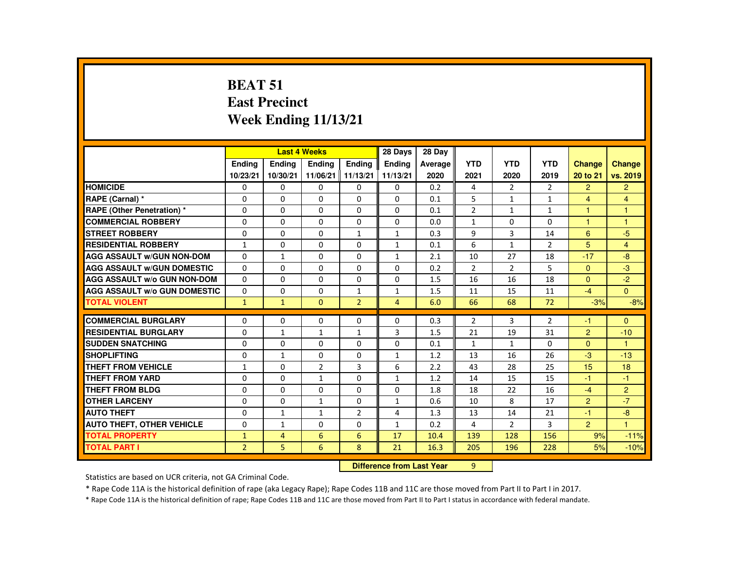# **BEAT 51 East PrecinctWeek Ending 11/13/21**

|                                     |                |                                  | <b>Last 4 Weeks</b> |                | 28 Days        | 28 Day  |                |                |                |                |                |
|-------------------------------------|----------------|----------------------------------|---------------------|----------------|----------------|---------|----------------|----------------|----------------|----------------|----------------|
|                                     | Ending         | Ending                           | Ending              | Ending         | Ending         | Average | <b>YTD</b>     | <b>YTD</b>     | <b>YTD</b>     | <b>Change</b>  | <b>Change</b>  |
|                                     | 10/23/21       | 10/30/21                         | 11/06/21            | 11/13/21       | 11/13/21       | 2020    | 2021           | 2020           | 2019           | 20 to 21       | vs. 2019       |
| <b>HOMICIDE</b>                     | 0              | $\mathbf{0}$                     | 0                   | $\mathbf{0}$   | $\mathbf{0}$   | 0.2     | 4              | 2              | $\overline{2}$ | $\overline{2}$ | $\overline{2}$ |
| RAPE (Carnal) *                     | $\Omega$       | $\Omega$                         | $\Omega$            | $\Omega$       | $\Omega$       | 0.1     | 5              | $\mathbf{1}$   | $\mathbf{1}$   | $\overline{4}$ | $\overline{4}$ |
| RAPE (Other Penetration) *          | $\Omega$       | $\Omega$                         | $\Omega$            | $\Omega$       | $\Omega$       | 0.1     | $\overline{2}$ | $\mathbf{1}$   | $\mathbf{1}$   | 1              | $\overline{1}$ |
| <b>COMMERCIAL ROBBERY</b>           | $\Omega$       | $\mathbf{0}$                     | $\Omega$            | $\Omega$       | $\Omega$       | 0.0     | $\mathbf{1}$   | $\Omega$       | $\Omega$       | н              | -1             |
| <b>STREET ROBBERY</b>               | $\Omega$       | $\Omega$                         | $\Omega$            | $\mathbf{1}$   | $\mathbf{1}$   | 0.3     | 9              | 3              | 14             | 6              | $-5$           |
| <b>RESIDENTIAL ROBBERY</b>          | $\mathbf{1}$   | $\Omega$                         | $\Omega$            | $\Omega$       | $\mathbf{1}$   | 0.1     | 6              | $\mathbf{1}$   | $\overline{2}$ | 5              | $\overline{4}$ |
| <b>AGG ASSAULT W/GUN NON-DOM</b>    | $\Omega$       | $\mathbf{1}$                     | $\Omega$            | $\Omega$       | 1              | 2.1     | 10             | 27             | 18             | $-17$          | $-8$           |
| <b>AGG ASSAULT W/GUN DOMESTIC</b>   | $\Omega$       | $\Omega$                         | $\Omega$            | $\Omega$       | $\Omega$       | 0.2     | $\overline{2}$ | $\overline{2}$ | 5              | $\Omega$       | $-3$           |
| <b>AGG ASSAULT W/o GUN NON-DOM</b>  | $\Omega$       | $\Omega$                         | 0                   | $\Omega$       | $\mathbf{0}$   | 1.5     | 16             | 16             | 18             | $\Omega$       | $-2$           |
| <b>AGG ASSAULT w/o GUN DOMESTIC</b> | $\Omega$       | $\Omega$                         | $\Omega$            | $\mathbf{1}$   | $\mathbf{1}$   | 1.5     | 11             | 15             | 11             | $-4$           | $\overline{0}$ |
| <b>TOTAL VIOLENT</b>                | $\mathbf{1}$   | $\mathbf{1}$                     | $\mathbf{0}$        | $\overline{2}$ | $\overline{4}$ | 6.0     | 66             | 68             | 72             | $-3%$          | $-8%$          |
| <b>COMMERCIAL BURGLARY</b>          | 0              | $\Omega$                         | 0                   | $\Omega$       | $\mathbf{0}$   | 0.3     | $\overline{2}$ | 3              | $\overline{2}$ | -1             | $\mathbf{0}$   |
| <b>RESIDENTIAL BURGLARY</b>         | $\Omega$       | $\mathbf{1}$                     | $\mathbf{1}$        | $\mathbf{1}$   | 3              | 1.5     | 21             | 19             | 31             | $\overline{2}$ | $-10$          |
| <b>SUDDEN SNATCHING</b>             | $\Omega$       | 0                                | $\Omega$            | $\Omega$       | $\Omega$       | 0.1     | 1              | $\mathbf{1}$   | $\Omega$       | $\Omega$       | $\overline{1}$ |
| <b>SHOPLIFTING</b>                  | $\Omega$       | $\mathbf{1}$                     | $\Omega$            | $\Omega$       | $\mathbf{1}$   | 1.2     | 13             | 16             | 26             | $-3$           | $-13$          |
| <b>THEFT FROM VEHICLE</b>           | $\mathbf{1}$   | $\Omega$                         | $\overline{2}$      | 3              | 6              | 2.2     | 43             | 28             | 25             | 15             | 18             |
| <b>THEFT FROM YARD</b>              | $\Omega$       | $\Omega$                         | $\mathbf{1}$        | $\Omega$       | $\mathbf{1}$   | 1.2     | 14             | 15             | 15             | -1             | $-1$           |
| THEFT FROM BLDG                     | $\Omega$       | $\Omega$                         | $\Omega$            | $\Omega$       | $\Omega$       | 1.8     | 18             | 22             | 16             | $-4$           | $\overline{2}$ |
| <b>OTHER LARCENY</b>                | 0              | $\Omega$                         | 1                   | $\Omega$       | 1              | 0.6     | 10             | 8              | 17             | $\overline{2}$ | $-7$           |
| <b>AUTO THEFT</b>                   | $\Omega$       | $\mathbf{1}$                     | $\mathbf{1}$        | $\overline{2}$ | 4              | 1.3     | 13             | 14             | 21             | $-1$           | $-8$           |
| <b>AUTO THEFT, OTHER VEHICLE</b>    | $\Omega$       | $\mathbf{1}$                     | $\Omega$            | $\Omega$       | $\mathbf{1}$   | 0.2     | 4              | $\overline{2}$ | 3              | $\overline{2}$ | $\mathbf{1}$   |
| <b>TOTAL PROPERTY</b>               | $\mathbf{1}$   | 4                                | 6                   | 6              | 17             | 10.4    | 139            | 128            | 156            | 9%             | $-11%$         |
| <b>TOTAL PART I</b>                 | $\overline{2}$ | 5                                | 6                   | 8              | 21             | 16.3    | 205            | 196            | 228            | 5%             | $-10%$         |
|                                     |                | <b>Difference from Last Year</b> |                     | 9              |                |         |                |                |                |                |                |

### **Difference from Last Year**

Statistics are based on UCR criteria, not GA Criminal Code.

\* Rape Code 11A is the historical definition of rape (aka Legacy Rape); Rape Codes 11B and 11C are those moved from Part II to Part I in 2017.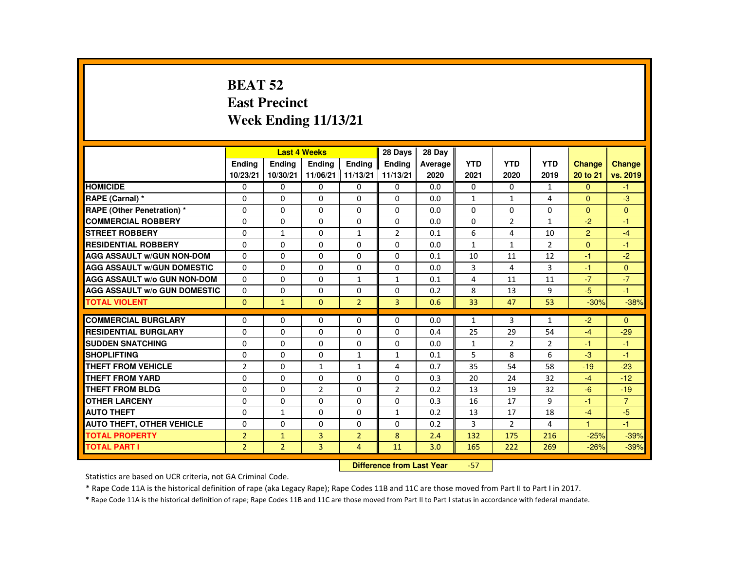# **BEAT 52 East PrecinctWeek Ending 11/13/21**

|                                     |                |                | <b>Last 4 Weeks</b> |                | 28 Days        | 28 Day  |              |                |                |                      |                |
|-------------------------------------|----------------|----------------|---------------------|----------------|----------------|---------|--------------|----------------|----------------|----------------------|----------------|
|                                     | <b>Endina</b>  | <b>Endina</b>  | <b>Endina</b>       | <b>Endina</b>  | <b>Endina</b>  | Average | <b>YTD</b>   | <b>YTD</b>     | <b>YTD</b>     | <b>Change</b>        | <b>Change</b>  |
|                                     | 10/23/21       | 10/30/21       | 11/06/21 11/13/21   |                | 11/13/21       | 2020    | 2021         | 2020           | 2019           | 20 to 21             | vs. 2019       |
| <b>HOMICIDE</b>                     | 0              | 0              | 0                   | 0              | 0              | 0.0     | 0            | $\Omega$       | $\mathbf{1}$   | $\Omega$             | $-1$           |
| RAPE (Carnal) *                     | $\Omega$       | $\Omega$       | $\Omega$            | $\Omega$       | $\Omega$       | 0.0     | 1            | 1              | 4              | $\Omega$             | $-3$           |
| <b>RAPE (Other Penetration) *</b>   | $\Omega$       | $\Omega$       | $\Omega$            | $\Omega$       | $\Omega$       | 0.0     | $\Omega$     | $\Omega$       | $\Omega$       | $\Omega$             | $\Omega$       |
| <b>COMMERCIAL ROBBERY</b>           | $\Omega$       | $\Omega$       | $\Omega$            | $\Omega$       | $\Omega$       | 0.0     | $\Omega$     | $\overline{2}$ | $\mathbf{1}$   | $-2$                 | $-1$           |
| <b>STREET ROBBERY</b>               | $\Omega$       | $\mathbf{1}$   | $\Omega$            | $\mathbf{1}$   | $\overline{2}$ | 0.1     | 6            | 4              | 10             | 2                    | $-4$           |
| <b>RESIDENTIAL ROBBERY</b>          | $\Omega$       | $\Omega$       | $\Omega$            | $\Omega$       | $\Omega$       | 0.0     | $\mathbf{1}$ | $\mathbf{1}$   | $\overline{2}$ | $\Omega$             | $-1$           |
| <b>AGG ASSAULT W/GUN NON-DOM</b>    | $\Omega$       | $\Omega$       | $\Omega$            | $\Omega$       | $\Omega$       | 0.1     | 10           | 11             | 12             | $-1$                 | $-2$           |
| <b>AGG ASSAULT W/GUN DOMESTIC</b>   | $\Omega$       | $\Omega$       | $\Omega$            | $\Omega$       | $\Omega$       | 0.0     | 3            | 4              | 3              | $-1$                 | $\Omega$       |
| <b>AGG ASSAULT W/o GUN NON-DOM</b>  | $\Omega$       | 0              | $\Omega$            | $\mathbf{1}$   | $\mathbf{1}$   | 0.1     | 4            | 11             | 11             | $-7$                 | $-7$           |
| <b>AGG ASSAULT W/o GUN DOMESTIC</b> | $\Omega$       | $\Omega$       | $\Omega$            | $\Omega$       | $\Omega$       | 0.2     | 8            | 13             | 9              | $-5$                 | $-1$           |
| <b>TOTAL VIOLENT</b>                | $\Omega$       | $\mathbf{1}$   | $\Omega$            | $\overline{2}$ | $\overline{3}$ | 0.6     | 33           | 47             | 53             | $-30%$               | $-38%$         |
|                                     |                |                |                     |                |                |         |              |                |                |                      |                |
| <b>COMMERCIAL BURGLARY</b>          | $\Omega$       | $\Omega$       | $\Omega$            | $\Omega$       | $\Omega$       | 0.0     | $\mathbf{1}$ | 3              | $\mathbf{1}$   | $-2$                 | $\Omega$       |
| <b>RESIDENTIAL BURGLARY</b>         | $\Omega$       | 0              | $\Omega$            | $\Omega$       | $\Omega$       | 0.4     | 25           | 29             | 54             | $-4$                 | $-29$          |
| <b>SUDDEN SNATCHING</b>             | $\Omega$       | $\Omega$       | $\Omega$            | $\Omega$       | $\Omega$       | 0.0     | $\mathbf{1}$ | 2              | $\overline{2}$ | -1                   | $-1$           |
| <b>SHOPLIFTING</b>                  | $\Omega$       | $\Omega$       | $\Omega$            | $\mathbf{1}$   | $\mathbf{1}$   | 0.1     | 5            | 8              | 6              | $-3$                 | $-1$           |
| <b>THEFT FROM VEHICLE</b>           | $\overline{2}$ | 0              | 1                   | $\mathbf{1}$   | 4              | 0.7     | 35           | 54             | 58             | $-19$                | $-23$          |
| <b>THEFT FROM YARD</b>              | $\Omega$       | $\Omega$       | $\Omega$            | $\Omega$       | $\Omega$       | 0.3     | 20           | 24             | 32             | $-4$                 | $-12$          |
| <b>THEFT FROM BLDG</b>              | $\Omega$       | $\Omega$       | $\overline{2}$      | $\Omega$       | $\overline{2}$ | 0.2     | 13           | 19             | 32             | $-6$                 | $-19$          |
| <b>OTHER LARCENY</b>                | $\Omega$       | $\Omega$       | $\Omega$            | $\Omega$       | $\Omega$       | 0.3     | 16           | 17             | 9              | -1                   | $\overline{7}$ |
| <b>AUTO THEFT</b>                   | $\Omega$       | $\mathbf{1}$   | $\Omega$            | $\Omega$       | $\mathbf{1}$   | 0.2     | 13           | 17             | 18             | $-4$                 | $-5$           |
| <b>AUTO THEFT, OTHER VEHICLE</b>    | $\Omega$       | $\Omega$       | $\Omega$            | $\Omega$       | $\Omega$       | 0.2     | 3            | $\overline{2}$ | 4              | $\blacktriangleleft$ | $-1$           |
| <b>TOTAL PROPERTY</b>               | $\overline{2}$ | $\mathbf{1}$   | 3                   | $\overline{2}$ | 8              | 2.4     | 132          | 175            | 216            | $-25%$               | $-39%$         |
| <b>TOTAL PART I</b>                 | $\overline{2}$ | $\overline{2}$ | $\overline{3}$      | 4              | 11             | 3.0     | 165          | 222            | 269            | $-26%$               | $-39%$         |

#### **Difference from Last Year**-57

Statistics are based on UCR criteria, not GA Criminal Code.

\* Rape Code 11A is the historical definition of rape (aka Legacy Rape); Rape Codes 11B and 11C are those moved from Part II to Part I in 2017.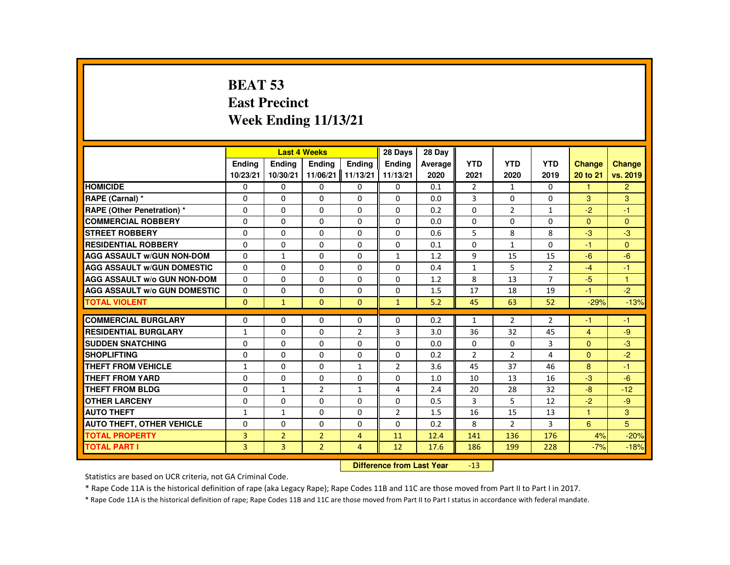# **BEAT 53 East PrecinctWeek Ending 11/13/21**

|                                     |               |                | <b>Last 4 Weeks</b> |                      | 28 Days        | 28 Dav  |                |                |                |                |                |
|-------------------------------------|---------------|----------------|---------------------|----------------------|----------------|---------|----------------|----------------|----------------|----------------|----------------|
|                                     | <b>Endina</b> | <b>Endina</b>  | <b>Endina</b>       | <b>Endina</b>        | <b>Endina</b>  | Average | <b>YTD</b>     | <b>YTD</b>     | <b>YTD</b>     | <b>Change</b>  | Change         |
|                                     | 10/23/21      | 10/30/21       | 11/06/21            | $\parallel$ 11/13/21 | 11/13/21       | 2020    | 2021           | 2020           | 2019           | 20 to 21       | vs. 2019       |
| <b>HOMICIDE</b>                     | 0             | 0              | 0                   | 0                    | 0              | 0.1     | $\overline{2}$ | 1              | $\mathbf{0}$   | 1              | $\overline{2}$ |
| RAPE (Carnal) *                     | $\Omega$      | $\Omega$       | $\Omega$            | $\Omega$             | $\Omega$       | 0.0     | 3              | $\Omega$       | $\Omega$       | 3              | 3              |
| RAPE (Other Penetration) *          | $\Omega$      | $\Omega$       | $\Omega$            | $\Omega$             | $\Omega$       | 0.2     | $\Omega$       | $\overline{2}$ | $\mathbf{1}$   | $-2$           | $-1$           |
| <b>COMMERCIAL ROBBERY</b>           | 0             | 0              | 0                   | 0                    | 0              | 0.0     | 0              | 0              | 0              | $\Omega$       | $\Omega$       |
| <b>STREET ROBBERY</b>               | $\Omega$      | $\Omega$       | $\Omega$            | $\Omega$             | $\Omega$       | 0.6     | 5              | 8              | 8              | $-3$           | $-3$           |
| <b>RESIDENTIAL ROBBERY</b>          | $\Omega$      | $\Omega$       | $\Omega$            | $\Omega$             | $\Omega$       | 0.1     | $\Omega$       | $\mathbf{1}$   | $\Omega$       | $-1$           | $\Omega$       |
| <b>AGG ASSAULT W/GUN NON-DOM</b>    | 0             | $\mathbf{1}$   | $\Omega$            | 0                    | $\mathbf{1}$   | 1.2     | 9              | 15             | 15             | $-6$           | $-6$           |
| <b>AGG ASSAULT W/GUN DOMESTIC</b>   | $\Omega$      | $\Omega$       | $\Omega$            | $\Omega$             | $\Omega$       | 0.4     | $\mathbf{1}$   | 5              | $\overline{2}$ | $-4$           | $-1$           |
| <b>AGG ASSAULT W/o GUN NON-DOM</b>  | $\Omega$      | $\Omega$       | $\Omega$            | $\Omega$             | $\Omega$       | 1.2     | 8              | 13             | $\overline{7}$ | $-5$           | $\mathbf{1}$   |
| <b>AGG ASSAULT W/o GUN DOMESTIC</b> | $\Omega$      | 0              | $\Omega$            | $\Omega$             | $\Omega$       | 1.5     | 17             | 18             | 19             | $-1$           | $-2$           |
| <b>TOTAL VIOLENT</b>                | $\Omega$      | $\mathbf{1}$   | $\mathbf{0}$        | $\Omega$             | $\mathbf{1}$   | 5.2     | 45             | 63             | 52             | $-29%$         | $-13%$         |
|                                     |               |                |                     |                      |                |         |                |                |                |                |                |
| <b>COMMERCIAL BURGLARY</b>          | 0             | 0              | 0                   | 0                    | 0              | 0.2     | $\mathbf{1}$   | $\overline{2}$ | $\overline{2}$ | -1             | $-1$           |
| <b>RESIDENTIAL BURGLARY</b>         | $\mathbf{1}$  | $\Omega$       | $\Omega$            | $\overline{2}$       | 3              | 3.0     | 36             | 32             | 45             | $\overline{4}$ | -9             |
| <b>SUDDEN SNATCHING</b>             | $\Omega$      | $\Omega$       | $\Omega$            | $\Omega$             | $\Omega$       | 0.0     | $\Omega$       | $\Omega$       | 3              | $\Omega$       | $-3$           |
| <b>SHOPLIFTING</b>                  | $\Omega$      | $\Omega$       | $\Omega$            | $\Omega$             | $\Omega$       | 0.2     | $\overline{2}$ | $\overline{2}$ | 4              | $\Omega$       | $-2$           |
| THEFT FROM VEHICLE                  | $\mathbf{1}$  | 0              | $\Omega$            | $\mathbf{1}$         | $\overline{2}$ | 3.6     | 45             | 37             | 46             | 8              | $-1$           |
| <b>THEFT FROM YARD</b>              | $\Omega$      | $\Omega$       | $\Omega$            | $\Omega$             | $\Omega$       | 1.0     | 10             | 13             | 16             | $-3$           | $-6$           |
| <b>THEFT FROM BLDG</b>              | $\Omega$      | $\mathbf{1}$   | 2                   | $\mathbf{1}$         | 4              | 2.4     | 20             | 28             | 32             | -8             | $-12$          |
| <b>OTHER LARCENY</b>                | 0             | 0              | 0                   | 0                    | $\Omega$       | 0.5     | 3              | 5              | 12             | $-2$           | $-9$           |
| <b>AUTO THEFT</b>                   | $\mathbf{1}$  | $\mathbf{1}$   | $\Omega$            | $\Omega$             | $\overline{2}$ | 1.5     | 16             | 15             | 13             | $\mathbf{1}$   | 3              |
| <b>AUTO THEFT, OTHER VEHICLE</b>    | $\Omega$      | $\Omega$       | $\Omega$            | $\Omega$             | $\Omega$       | 0.2     | 8              | $\overline{2}$ | 3              | 6              | 5              |
| <b>TOTAL PROPERTY</b>               | 3             | $\overline{2}$ | $\overline{2}$      | $\overline{4}$       | 11             | 12.4    | 141            | 136            | 176            | 4%             | $-20%$         |
| <b>TOTAL PART I</b>                 | 3             | $\overline{3}$ | $\overline{2}$      | $\overline{4}$       | 12             | 17.6    | 186            | 199            | 228            | $-7%$          | $-18%$         |
|                                     |               |                |                     |                      |                |         |                |                |                |                |                |

#### **Difference from Last Year** $-13$

Statistics are based on UCR criteria, not GA Criminal Code.

\* Rape Code 11A is the historical definition of rape (aka Legacy Rape); Rape Codes 11B and 11C are those moved from Part II to Part I in 2017.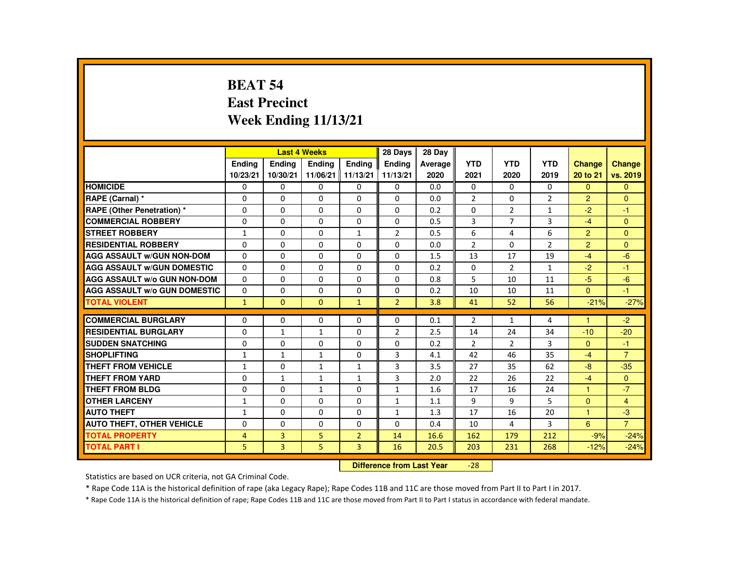# **BEAT 54 East PrecinctWeek Ending 11/13/21**

|                                     |               |                | <b>Last 4 Weeks</b> |                | 28 Days        | 28 Day  |                |                |                |                |                |
|-------------------------------------|---------------|----------------|---------------------|----------------|----------------|---------|----------------|----------------|----------------|----------------|----------------|
|                                     | <b>Endina</b> | <b>Endina</b>  | <b>Endina</b>       | <b>Endina</b>  | <b>Endina</b>  | Average | <b>YTD</b>     | <b>YTD</b>     | <b>YTD</b>     | <b>Change</b>  | <b>Change</b>  |
|                                     | 10/23/21      | 10/30/21       | 11/06/21   11/13/21 |                | 11/13/21       | 2020    | 2021           | 2020           | 2019           | 20 to 21       | vs. 2019       |
| <b>HOMICIDE</b>                     | 0             | 0              | 0                   | 0              | 0              | 0.0     | 0              | $\Omega$       | $\Omega$       | $\Omega$       | $\mathbf{0}$   |
| RAPE (Carnal) *                     | $\Omega$      | $\Omega$       | $\Omega$            | $\Omega$       | $\Omega$       | 0.0     | $\overline{2}$ | $\Omega$       | $\overline{2}$ | $\overline{2}$ | $\Omega$       |
| <b>RAPE (Other Penetration) *</b>   | $\Omega$      | $\Omega$       | $\Omega$            | $\Omega$       | $\Omega$       | 0.2     | $\Omega$       | $\overline{2}$ | $\mathbf{1}$   | $-2$           | $-1$           |
| <b>COMMERCIAL ROBBERY</b>           | $\Omega$      | $\Omega$       | $\Omega$            | $\Omega$       | $\Omega$       | 0.5     | 3              | $\overline{7}$ | 3              | $-4$           | $\Omega$       |
| <b>STREET ROBBERY</b>               | $\mathbf{1}$  | $\Omega$       | $\Omega$            | $\mathbf{1}$   | 2              | 0.5     | 6              | 4              | 6              | 2              | $\Omega$       |
| <b>RESIDENTIAL ROBBERY</b>          | $\Omega$      | $\Omega$       | $\Omega$            | $\Omega$       | $\Omega$       | 0.0     | $\overline{2}$ | $\Omega$       | $\overline{2}$ | $\overline{2}$ | $\Omega$       |
| <b>AGG ASSAULT W/GUN NON-DOM</b>    | $\Omega$      | $\Omega$       | $\Omega$            | $\Omega$       | $\Omega$       | 1.5     | 13             | 17             | 19             | $-4$           | $-6$           |
| <b>AGG ASSAULT W/GUN DOMESTIC</b>   | $\Omega$      | $\Omega$       | $\Omega$            | 0              | 0              | 0.2     | $\Omega$       | 2              | $\mathbf{1}$   | $-2$           | $-1$           |
| <b>AGG ASSAULT W/o GUN NON-DOM</b>  | $\Omega$      | $\Omega$       | $\Omega$            | $\Omega$       | $\Omega$       | 0.8     | 5              | 10             | 11             | $-5$           | $-6$           |
| <b>AGG ASSAULT W/o GUN DOMESTIC</b> | $\Omega$      | $\Omega$       | $\Omega$            | $\Omega$       | $\Omega$       | 0.2     | 10             | 10             | 11             | $\Omega$       | $-1$           |
| <b>TOTAL VIOLENT</b>                | $\mathbf{1}$  | $\Omega$       | $\Omega$            | $\mathbf{1}$   | $\overline{2}$ | 3.8     | 41             | 52             | 56             | $-21%$         | $-27%$         |
|                                     |               |                |                     |                |                |         |                |                |                |                |                |
| <b>COMMERCIAL BURGLARY</b>          | $\Omega$      | $\Omega$       | $\Omega$            | $\Omega$       | $\Omega$       | 0.1     | $\overline{2}$ | 1              | 4              | 1              | $-2$           |
| <b>RESIDENTIAL BURGLARY</b>         | $\Omega$      | $\mathbf{1}$   | $\mathbf{1}$        | $\Omega$       | $\overline{2}$ | 2.5     | 14             | 24             | 34             | $-10$          | $-20$          |
| <b>SUDDEN SNATCHING</b>             | $\Omega$      | $\Omega$       | $\Omega$            | $\Omega$       | $\Omega$       | 0.2     | $\overline{2}$ | 2              | 3              | $\Omega$       | $-1$           |
| <b>SHOPLIFTING</b>                  | $\mathbf{1}$  | $\mathbf{1}$   | $\mathbf{1}$        | $\Omega$       | 3              | 4.1     | 42             | 46             | 35             | $-4$           | $\overline{7}$ |
| THEFT FROM VEHICLE                  | $\mathbf{1}$  | 0              | 1                   | $\mathbf{1}$   | 3              | 3.5     | 27             | 35             | 62             | -8             | $-35$          |
| <b>THEFT FROM YARD</b>              | $\Omega$      | $\mathbf{1}$   | 1                   | 1              | 3              | 2.0     | 22             | 26             | 22             | $-4$           | $\Omega$       |
| <b>THEFT FROM BLDG</b>              | $\Omega$      | $\Omega$       | $\mathbf{1}$        | $\Omega$       | $\mathbf{1}$   | 1.6     | 17             | 16             | 24             | $\overline{1}$ | $-7$           |
| <b>OTHER LARCENY</b>                | $\mathbf{1}$  | $\Omega$       | $\Omega$            | $\Omega$       | $\mathbf{1}$   | 1.1     | 9              | 9              | 5              | $\Omega$       | $\overline{4}$ |
| <b>AUTO THEFT</b>                   | $\mathbf{1}$  | $\Omega$       | $\Omega$            | $\Omega$       | $\mathbf{1}$   | 1.3     | 17             | 16             | 20             | 1              | $-3$           |
| <b>AUTO THEFT, OTHER VEHICLE</b>    | $\Omega$      | $\Omega$       | $\Omega$            | $\Omega$       | $\Omega$       | 0.4     | 10             | 4              | 3              | 6              | $\overline{7}$ |
| <b>TOTAL PROPERTY</b>               | 4             | 3              | 5                   | $\overline{2}$ | 14             | 16.6    | 162            | 179            | 212            | $-9%$          | $-24%$         |
| <b>TOTAL PART I</b>                 | 5             | $\overline{3}$ | 5                   | $\overline{3}$ | 16             | 20.5    | 203            | 231            | 268            | $-12%$         | $-24%$         |

#### **Difference from Last Year**-28

Statistics are based on UCR criteria, not GA Criminal Code.

\* Rape Code 11A is the historical definition of rape (aka Legacy Rape); Rape Codes 11B and 11C are those moved from Part II to Part I in 2017.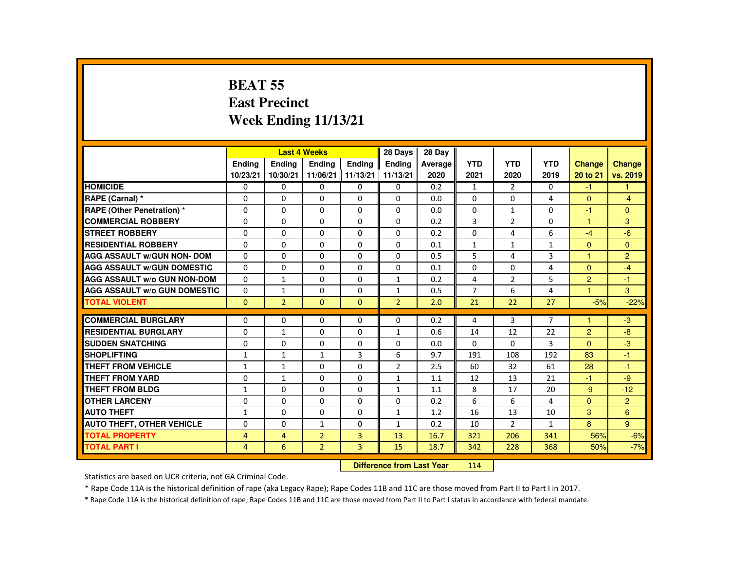# **BEAT 55 East PrecinctWeek Ending 11/13/21**

|                                     |                |                | <b>Last 4 Weeks</b> |                | 28 Days        | 28 Day  |                |                |                |                |                |
|-------------------------------------|----------------|----------------|---------------------|----------------|----------------|---------|----------------|----------------|----------------|----------------|----------------|
|                                     | <b>Endina</b>  | <b>Endina</b>  | <b>Endina</b>       | <b>Endina</b>  | <b>Endina</b>  | Average | <b>YTD</b>     | <b>YTD</b>     | <b>YTD</b>     | <b>Change</b>  | <b>Change</b>  |
|                                     | 10/23/21       | 10/30/21       | 11/06/21            | 11/13/21       | 11/13/21       | 2020    | 2021           | 2020           | 2019           | 20 to 21       | vs. 2019       |
| <b>HOMICIDE</b>                     | 0              | $\mathbf{0}$   | 0                   | 0              | $\Omega$       | 0.2     | $\mathbf{1}$   | 2              | 0              | $-1$           | 1              |
| RAPE (Carnal) *                     | $\Omega$       | $\Omega$       | $\Omega$            | $\Omega$       | $\Omega$       | 0.0     | 0              | $\Omega$       | 4              | $\mathbf{0}$   | $-4$           |
| <b>RAPE (Other Penetration) *</b>   | $\Omega$       | $\Omega$       | $\Omega$            | $\Omega$       | $\Omega$       | 0.0     | $\Omega$       | $\mathbf{1}$   | $\Omega$       | $-1$           | $\Omega$       |
| <b>COMMERCIAL ROBBERY</b>           | 0              | $\mathbf{0}$   | 0                   | 0              | 0              | 0.2     | 3              | 2              | 0              | 1              | 3              |
| <b>STREET ROBBERY</b>               | $\Omega$       | $\Omega$       | $\Omega$            | $\Omega$       | $\Omega$       | 0.2     | $\Omega$       | 4              | 6              | $-4$           | $-6$           |
| <b>RESIDENTIAL ROBBERY</b>          | $\Omega$       | $\Omega$       | $\Omega$            | $\Omega$       | $\Omega$       | 0.1     | $\mathbf{1}$   | $\mathbf{1}$   | $\mathbf{1}$   | $\Omega$       | $\mathbf{0}$   |
| <b>AGG ASSAULT w/GUN NON- DOM</b>   | 0              | $\mathbf{0}$   | 0                   | 0              | 0              | 0.5     | 5              | 4              | 3              | 1              | $\overline{2}$ |
| <b>AGG ASSAULT w/GUN DOMESTIC</b>   | $\Omega$       | $\Omega$       | $\Omega$            | $\Omega$       | $\Omega$       | 0.1     | $\Omega$       | $\Omega$       | 4              | $\Omega$       | $-4$           |
| <b>AGG ASSAULT w/o GUN NON-DOM</b>  | $\Omega$       | $\mathbf{1}$   | $\Omega$            | $\Omega$       | $\mathbf{1}$   | 0.2     | 4              | 2              | 5              | $\overline{2}$ | $-1$           |
| <b>AGG ASSAULT w/o GUN DOMESTIC</b> | $\Omega$       | $\mathbf{1}$   | $\Omega$            | $\Omega$       | $\mathbf{1}$   | 0.5     | $\overline{7}$ | 6              | $\overline{4}$ | $\overline{1}$ | 3              |
| <b>TOTAL VIOLENT</b>                | $\Omega$       | $\overline{2}$ | $\Omega$            | $\Omega$       | $\overline{2}$ | 2.0     | 21             | 22             | 27             | $-5%$          | $-22%$         |
|                                     |                |                |                     |                |                |         |                |                |                |                |                |
| <b>COMMERCIAL BURGLARY</b>          | $\Omega$       | $\mathbf{0}$   | 0                   | 0              | 0              | 0.2     | 4              | 3              | $\overline{7}$ | $\overline{1}$ | $-3$           |
| <b>RESIDENTIAL BURGLARY</b>         | $\Omega$       | $\mathbf{1}$   | $\Omega$            | $\Omega$       | $\mathbf{1}$   | 0.6     | 14             | 12             | 22             | $\overline{2}$ | $-8$           |
| <b>SUDDEN SNATCHING</b>             | $\Omega$       | $\Omega$       | $\Omega$            | $\Omega$       | $\Omega$       | 0.0     | $\Omega$       | $\Omega$       | 3              | $\Omega$       | $-3$           |
| <b>SHOPLIFTING</b>                  | $\mathbf{1}$   | $\mathbf{1}$   | $\mathbf{1}$        | 3              | 6              | 9.7     | 191            | 108            | 192            | 83             | $-1$           |
| THEFT FROM VEHICLE                  | $\mathbf{1}$   | $\mathbf{1}$   | $\Omega$            | $\Omega$       | $\overline{2}$ | 2.5     | 60             | 32             | 61             | 28             | $-1$           |
| <b>THEFT FROM YARD</b>              | $\Omega$       | $\mathbf{1}$   | $\Omega$            | $\Omega$       | $\mathbf{1}$   | 1.1     | 12             | 13             | 21             | $-1$           | $-9$           |
| <b>THEFT FROM BLDG</b>              | $\mathbf{1}$   | $\Omega$       | $\Omega$            | $\Omega$       | $\mathbf{1}$   | 1.1     | 8              | 17             | 20             | $-9$           | $-12$          |
| <b>OTHER LARCENY</b>                | 0              | $\mathbf{0}$   | 0                   | $\Omega$       | $\Omega$       | 0.2     | 6              | 6              | 4              | $\mathbf{0}$   | $\overline{2}$ |
| <b>AUTO THEFT</b>                   | $\mathbf{1}$   | $\Omega$       | $\Omega$            | $\Omega$       | $\mathbf{1}$   | 1.2     | 16             | 13             | 10             | 3              | 6              |
| <b>AUTO THEFT, OTHER VEHICLE</b>    | $\Omega$       | $\Omega$       | $\mathbf{1}$        | $\Omega$       | $\mathbf{1}$   | 0.2     | 10             | $\overline{2}$ | $\mathbf{1}$   | 8              | 9              |
| <b>TOTAL PROPERTY</b>               | 4              | $\overline{4}$ | $\overline{2}$      | 3              | 13             | 16.7    | 321            | 206            | 341            | 56%            | $-6%$          |
| <b>TOTAL PART I</b>                 | $\overline{4}$ | 6              | $\overline{2}$      | $\overline{3}$ | 15             | 18.7    | 342            | 228            | 368            | 50%            | $-7%$          |
|                                     |                |                |                     |                |                |         |                |                |                |                |                |

#### **Difference from Last Year**<sup>114</sup>

Statistics are based on UCR criteria, not GA Criminal Code.

\* Rape Code 11A is the historical definition of rape (aka Legacy Rape); Rape Codes 11B and 11C are those moved from Part II to Part I in 2017.